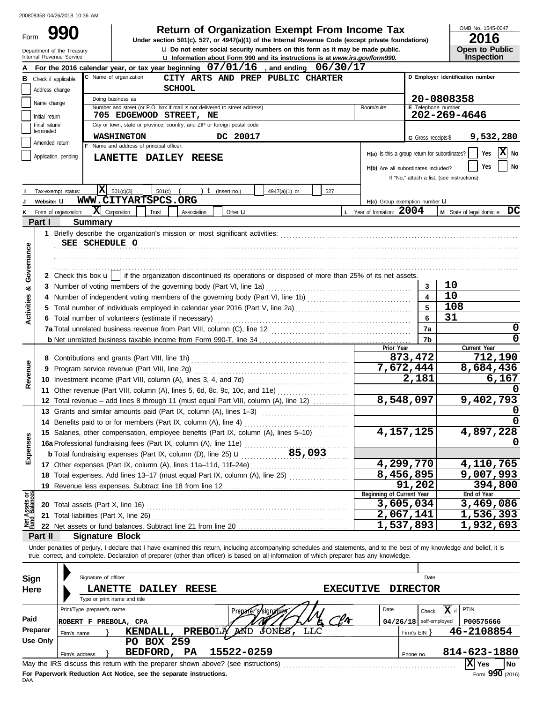Form

# **990 2016 2016 2016 2016 2016 2016 2016 2016 2016 2016 2016 2016 2016 2016 2016 2016 2016 2016 2016 2016 2016 2016 2016 2016 2016 2016 2016 2016 2016 2016 2016**

**u** Do not enter social security numbers on this form as it may be made public.<br>**If information about Form 990 and its instructions is at MARAN its** *COVIFORD900* **Under section 501(c), 527, or 4947(a)(1) of the Internal Revenue Code (except private foundations)** OMB No. 1545-0047

| ZUIU                  |
|-----------------------|
| <b>Open to Public</b> |
| <b>Inspection</b>     |

|                                | Department of the Treasury<br>Internal Revenue Service | <b>u</b> Do not enter social security numbers on this form as it may be made public.<br><b>u</b> Information about Form 990 and its instructions is at www.irs.gov/form990. |                                                                                   | <b>Open to Public</b><br><b>Inspection</b> |
|--------------------------------|--------------------------------------------------------|-----------------------------------------------------------------------------------------------------------------------------------------------------------------------------|-----------------------------------------------------------------------------------|--------------------------------------------|
|                                |                                                        | For the 2016 calendar year, or tax year beginning $07/01/16$<br>, and ending $06/30/17$                                                                                     |                                                                                   |                                            |
| В                              | Check if applicable:                                   | C Name of organization<br>CITY ARTS AND PREP PUBLIC CHARTER                                                                                                                 |                                                                                   | D Employer identification number           |
|                                | Address change                                         | <b>SCHOOL</b>                                                                                                                                                               |                                                                                   |                                            |
|                                |                                                        | Doing business as                                                                                                                                                           |                                                                                   | 20-0808358                                 |
|                                | Name change                                            | Number and street (or P.O. box if mail is not delivered to street address)                                                                                                  | Room/suite                                                                        | <b>E</b> Telephone number                  |
|                                | Initial return                                         | 705 EDGEWOOD STREET, NE                                                                                                                                                     |                                                                                   | 202-269-4646                               |
|                                | Final return/<br>terminated                            | City or town, state or province, country, and ZIP or foreign postal code                                                                                                    |                                                                                   |                                            |
|                                | Amended return                                         | <b>WASHINGTON</b><br>DC 20017                                                                                                                                               | G Gross receipts \$                                                               | 9,532,280                                  |
|                                | Application pending                                    | F Name and address of principal officer:                                                                                                                                    | $H(a)$ Is this a group return for subordinates?                                   | X No<br>Yes                                |
|                                |                                                        | LANETTE DAILEY REESE                                                                                                                                                        |                                                                                   | No<br>Yes                                  |
|                                |                                                        |                                                                                                                                                                             | H(b) Are all subordinates included?<br>If "No," attach a list. (see instructions) |                                            |
|                                |                                                        |                                                                                                                                                                             |                                                                                   |                                            |
|                                | Tax-exempt status:                                     | IХ<br>501(c)(3)<br>501(c)<br>$t$ (insert no.)<br>4947(a)(1) or<br>527<br>WWW.CITYARTSPCS.ORG                                                                                |                                                                                   |                                            |
|                                | Website: U                                             |                                                                                                                                                                             | H(c) Group exemption number LI                                                    |                                            |
| κ                              | Form of organization:                                  | $ \mathbf{X} $ Corporation<br>Trust<br>Association<br>Other <b>u</b>                                                                                                        | L Year of formation: 2004                                                         | M State of legal domicile: DC              |
|                                | Part I                                                 | Summary                                                                                                                                                                     |                                                                                   |                                            |
|                                |                                                        | SEE SCHEDULE O                                                                                                                                                              |                                                                                   |                                            |
|                                |                                                        |                                                                                                                                                                             |                                                                                   |                                            |
|                                |                                                        |                                                                                                                                                                             |                                                                                   |                                            |
| Governance                     |                                                        | 2 Check this box $\mathbf{u}$   if the organization discontinued its operations or disposed of more than 25% of its net assets.                                             |                                                                                   |                                            |
|                                |                                                        |                                                                                                                                                                             | 3                                                                                 | 10                                         |
| య                              |                                                        |                                                                                                                                                                             | 4                                                                                 | 10                                         |
| <b>Activities</b>              |                                                        | Total number of individuals employed in calendar year 2016 (Part V, line 2a) [[[[[[[[[[[[[[[[[[[[[[[[[[[[[[[[                                                               | 5                                                                                 | 108                                        |
|                                |                                                        | 6 Total number of volunteers (estimate if necessary)                                                                                                                        | 6                                                                                 | 31                                         |
|                                |                                                        |                                                                                                                                                                             | 7a                                                                                | 0                                          |
|                                |                                                        |                                                                                                                                                                             | 7b                                                                                | 0                                          |
|                                |                                                        |                                                                                                                                                                             | Prior Year                                                                        | Current Year                               |
|                                |                                                        |                                                                                                                                                                             | 873,472                                                                           | 712,190                                    |
| Revenue                        | 9                                                      | Program service revenue (Part VIII, line 2g)                                                                                                                                | 7,672,444                                                                         | 8,684,436                                  |
|                                |                                                        |                                                                                                                                                                             | 2,181                                                                             | 6,167                                      |
|                                |                                                        | 11 Other revenue (Part VIII, column (A), lines 5, 6d, 8c, 9c, 10c, and 11e)                                                                                                 |                                                                                   |                                            |
|                                |                                                        | 12 Total revenue - add lines 8 through 11 (must equal Part VIII, column (A), line 12)                                                                                       | 8,548,097                                                                         | 9,402,793                                  |
|                                |                                                        | 13 Grants and similar amounts paid (Part IX, column (A), lines 1-3)                                                                                                         |                                                                                   |                                            |
|                                |                                                        | 14 Benefits paid to or for members (Part IX, column (A), line 4)                                                                                                            |                                                                                   | <sup>0</sup>                               |
| <b>Ses</b>                     |                                                        | 15 Salaries, other compensation, employee benefits (Part IX, column (A), lines 5-10)                                                                                        | 4,157,125                                                                         | 4,897,228                                  |
|                                |                                                        | 16a Professional fundraising fees (Part IX, column (A), line 11e)                                                                                                           |                                                                                   |                                            |
| Expens                         |                                                        | 85,093<br><b>b</b> Total fundraising expenses (Part IX, column (D), line 25) $\mathbf{u}$                                                                                   |                                                                                   |                                            |
|                                |                                                        | 17 Other expenses (Part IX, column (A), lines 11a-11d, 11f-24e)                                                                                                             | 4,299,770                                                                         | 4,110,765                                  |
|                                |                                                        | 18 Total expenses. Add lines 13-17 (must equal Part IX, column (A), line 25)                                                                                                | 8,456,895                                                                         | 9,007,993                                  |
|                                |                                                        | 19 Revenue less expenses. Subtract line 18 from line 12                                                                                                                     | 91,202<br>Beginning of Current Year                                               | 394,800<br>End of Year                     |
| Net Assets or<br>Fund Balances |                                                        |                                                                                                                                                                             | 3,605,034                                                                         | 3,469,086                                  |
|                                |                                                        | 21 Total liabilities (Part X, line 26)                                                                                                                                      | 2,067,141                                                                         | 1,536,393                                  |
|                                |                                                        |                                                                                                                                                                             | 1,537,893                                                                         | 1,932,693                                  |
|                                | Part II                                                | <b>Signature Block</b>                                                                                                                                                      |                                                                                   |                                            |
|                                |                                                        | Under penalties of perjury, I declare that I have examined this return, including accompanying schedules and statements, and to the best of my knowledge and belief, it is  |                                                                                   |                                            |
|                                |                                                        | true, correct, and complete. Declaration of preparer (other than officer) is based on all information of which preparer has any knowledge.                                  |                                                                                   |                                            |
|                                |                                                        |                                                                                                                                                                             |                                                                                   |                                            |
| Sign                           |                                                        | Signature of officer                                                                                                                                                        | Date                                                                              |                                            |
| Here                           |                                                        | <b>LANETTE</b><br><b>DAILEY</b><br><b>REESE</b><br><b>EXECUTIVE</b>                                                                                                         | <b>DIRECTOR</b>                                                                   |                                            |
|                                |                                                        | Type or print name and title                                                                                                                                                |                                                                                   |                                            |
|                                |                                                        | Print/Type preparer's name<br>Preparer's/signatur                                                                                                                           | Date<br>Check                                                                     | $\sqrt{X}$ if<br>PTIN                      |
| Paid                           |                                                        | -lr<br>ROBERT F PREBOLA, CPA                                                                                                                                                | $04/26/18$ self-employed                                                          | P00575666                                  |
|                                | Preparer<br>Firm's name                                | <b>JONES</b><br><b>PREBOLA</b><br>MND<br>KENDALL,                                                                                                                           | Firm's $EIN$ }                                                                    | 46-2108854                                 |
|                                | <b>Use Only</b>                                        | PO BOX 259                                                                                                                                                                  |                                                                                   |                                            |
|                                | Firm's address                                         | 15522-0259<br>BEDFORD, PA                                                                                                                                                   | Phone no.                                                                         | 814-623-1880                               |
|                                |                                                        | May the IRS discuss this return with the preparer shown above? (see instructions)                                                                                           |                                                                                   | $ X $ Yes<br>No                            |

| Sign     |             |                | Signature of officer         |                                                                                   |              |                |                      |              |            |                  |      |              | Date                     |              |           |
|----------|-------------|----------------|------------------------------|-----------------------------------------------------------------------------------|--------------|----------------|----------------------|--------------|------------|------------------|------|--------------|--------------------------|--------------|-----------|
| Here     |             |                | <b>LANETTE</b>               | <b>DAILEY</b>                                                                     | <b>REESE</b> |                |                      |              |            | <b>EXECUTIVE</b> |      |              | <b>DIRECTOR</b>          |              |           |
|          |             |                | Type or print name and title |                                                                                   |              |                |                      |              |            |                  |      |              |                          |              |           |
|          |             |                | Print/Type preparer's name   |                                                                                   |              |                | Preparer s/signature |              |            |                  | Date |              | Check                    | PTIN         |           |
| Paid     |             | ROBERT F       | PREBOLA, CPA                 |                                                                                   |              |                |                      |              |            |                  |      |              | $04/26/18$ self-employed | P00575666    |           |
| Preparer | Firm's name |                |                              | KENDALL,                                                                          |              | <b>PREBOLA</b> | MÓD                  | <b>JONES</b> | <b>LLC</b> |                  |      | Firm's $EIN$ |                          | 46-2108854   |           |
| Use Only |             |                |                              | <b>BOX 259</b><br>PO.                                                             |              |                |                      |              |            |                  |      |              |                          |              |           |
|          |             | Firm's address |                              | BEDFORD,                                                                          | <b>PA</b>    |                | 15522-0259           |              |            |                  |      | Phone no.    |                          | 814-623-1880 |           |
|          |             |                |                              | May the IRS discuss this return with the preparer shown above? (see instructions) |              |                |                      |              |            |                  |      |              |                          | .xı<br>Yes   | <b>No</b> |
|          |             |                |                              | Fax Bananceal: Badrietten, Aat Nation, and the accession instruments              |              |                |                      |              |            |                  |      |              |                          |              | nnn.      |

**For Paperwork Reduction Act Notice, see the separate instructions.**<br>DAA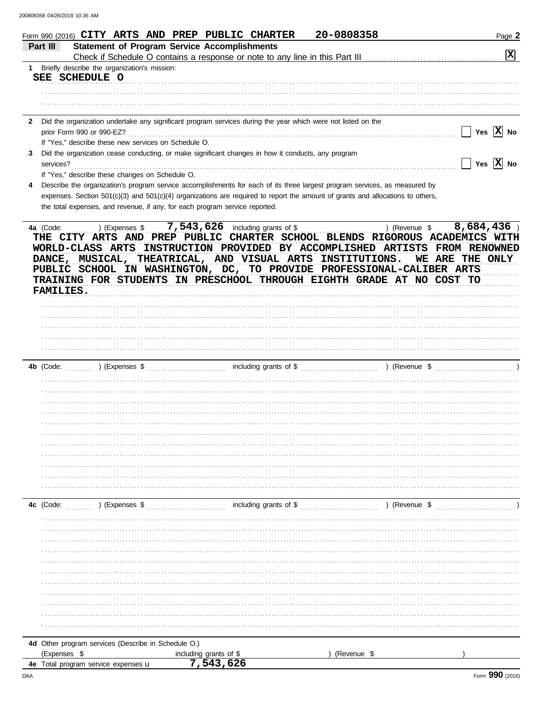| 1 Briefly describe the organization's mission:<br>SEE SCHEDULE O<br>Did the organization undertake any significant program services during the year which were not listed on the<br>Yes $ X $ No<br>prior Form 990 or 990-EZ?<br>If "Yes," describe these new services on Schedule O.<br>Did the organization cease conducting, or make significant changes in how it conducts, any program<br>Yes $ \overline{X} $ No<br>services?<br>If "Yes," describe these changes on Schedule O.<br>Describe the organization's program service accomplishments for each of its three largest program services, as measured by<br>expenses. Section 501(c)(3) and 501(c)(4) organizations are required to report the amount of grants and allocations to others,<br>the total expenses, and revenue, if any, for each program service reported.<br>) (Revenue \$ 8,684,436)<br>4a (Code:<br>) (Expenses \$<br>THE CITY ARTS AND PREP PUBLIC CHARTER SCHOOL BLENDS RIGOROUS ACADEMICS WITH<br>WORLD-CLASS ARTS INSTRUCTION PROVIDED BY ACCOMPLISHED ARTISTS<br><b>FROM RENOWNED</b><br>DANCE, MUSICAL, THEATRICAL, AND VISUAL ARTS INSTITUTIONS.<br>WE ARE THE ONLY<br>PUBLIC SCHOOL IN WASHINGTON, DC, TO PROVIDE PROFESSIONAL-CALIBER ARTS<br>TRAINING FOR STUDENTS IN PRESCHOOL THROUGH EIGHTH GRADE AT NO COST TO<br><b>FAMILIES.</b><br>) (Expenses \$<br>4b (Code:<br>including grants of \$<br>) (Revenue \$<br>4c (Code:<br>) (Expenses \$ | Part III | <b>Statement of Program Service Accomplishments</b> |                |
|-----------------------------------------------------------------------------------------------------------------------------------------------------------------------------------------------------------------------------------------------------------------------------------------------------------------------------------------------------------------------------------------------------------------------------------------------------------------------------------------------------------------------------------------------------------------------------------------------------------------------------------------------------------------------------------------------------------------------------------------------------------------------------------------------------------------------------------------------------------------------------------------------------------------------------------------------------------------------------------------------------------------------------------------------------------------------------------------------------------------------------------------------------------------------------------------------------------------------------------------------------------------------------------------------------------------------------------------------------------------------------------------------------------------------------------------|----------|-----------------------------------------------------|----------------|
|                                                                                                                                                                                                                                                                                                                                                                                                                                                                                                                                                                                                                                                                                                                                                                                                                                                                                                                                                                                                                                                                                                                                                                                                                                                                                                                                                                                                                                         |          |                                                     | $ \mathbf{x} $ |
|                                                                                                                                                                                                                                                                                                                                                                                                                                                                                                                                                                                                                                                                                                                                                                                                                                                                                                                                                                                                                                                                                                                                                                                                                                                                                                                                                                                                                                         |          |                                                     |                |
|                                                                                                                                                                                                                                                                                                                                                                                                                                                                                                                                                                                                                                                                                                                                                                                                                                                                                                                                                                                                                                                                                                                                                                                                                                                                                                                                                                                                                                         |          |                                                     |                |
|                                                                                                                                                                                                                                                                                                                                                                                                                                                                                                                                                                                                                                                                                                                                                                                                                                                                                                                                                                                                                                                                                                                                                                                                                                                                                                                                                                                                                                         |          |                                                     |                |
|                                                                                                                                                                                                                                                                                                                                                                                                                                                                                                                                                                                                                                                                                                                                                                                                                                                                                                                                                                                                                                                                                                                                                                                                                                                                                                                                                                                                                                         |          |                                                     |                |
|                                                                                                                                                                                                                                                                                                                                                                                                                                                                                                                                                                                                                                                                                                                                                                                                                                                                                                                                                                                                                                                                                                                                                                                                                                                                                                                                                                                                                                         |          |                                                     |                |
|                                                                                                                                                                                                                                                                                                                                                                                                                                                                                                                                                                                                                                                                                                                                                                                                                                                                                                                                                                                                                                                                                                                                                                                                                                                                                                                                                                                                                                         |          |                                                     |                |
|                                                                                                                                                                                                                                                                                                                                                                                                                                                                                                                                                                                                                                                                                                                                                                                                                                                                                                                                                                                                                                                                                                                                                                                                                                                                                                                                                                                                                                         |          |                                                     |                |
|                                                                                                                                                                                                                                                                                                                                                                                                                                                                                                                                                                                                                                                                                                                                                                                                                                                                                                                                                                                                                                                                                                                                                                                                                                                                                                                                                                                                                                         |          |                                                     |                |
|                                                                                                                                                                                                                                                                                                                                                                                                                                                                                                                                                                                                                                                                                                                                                                                                                                                                                                                                                                                                                                                                                                                                                                                                                                                                                                                                                                                                                                         |          |                                                     |                |
|                                                                                                                                                                                                                                                                                                                                                                                                                                                                                                                                                                                                                                                                                                                                                                                                                                                                                                                                                                                                                                                                                                                                                                                                                                                                                                                                                                                                                                         |          |                                                     |                |
|                                                                                                                                                                                                                                                                                                                                                                                                                                                                                                                                                                                                                                                                                                                                                                                                                                                                                                                                                                                                                                                                                                                                                                                                                                                                                                                                                                                                                                         |          |                                                     |                |
|                                                                                                                                                                                                                                                                                                                                                                                                                                                                                                                                                                                                                                                                                                                                                                                                                                                                                                                                                                                                                                                                                                                                                                                                                                                                                                                                                                                                                                         |          |                                                     |                |
|                                                                                                                                                                                                                                                                                                                                                                                                                                                                                                                                                                                                                                                                                                                                                                                                                                                                                                                                                                                                                                                                                                                                                                                                                                                                                                                                                                                                                                         |          |                                                     |                |
|                                                                                                                                                                                                                                                                                                                                                                                                                                                                                                                                                                                                                                                                                                                                                                                                                                                                                                                                                                                                                                                                                                                                                                                                                                                                                                                                                                                                                                         |          |                                                     |                |
|                                                                                                                                                                                                                                                                                                                                                                                                                                                                                                                                                                                                                                                                                                                                                                                                                                                                                                                                                                                                                                                                                                                                                                                                                                                                                                                                                                                                                                         |          |                                                     |                |
|                                                                                                                                                                                                                                                                                                                                                                                                                                                                                                                                                                                                                                                                                                                                                                                                                                                                                                                                                                                                                                                                                                                                                                                                                                                                                                                                                                                                                                         |          |                                                     |                |
|                                                                                                                                                                                                                                                                                                                                                                                                                                                                                                                                                                                                                                                                                                                                                                                                                                                                                                                                                                                                                                                                                                                                                                                                                                                                                                                                                                                                                                         |          |                                                     |                |
|                                                                                                                                                                                                                                                                                                                                                                                                                                                                                                                                                                                                                                                                                                                                                                                                                                                                                                                                                                                                                                                                                                                                                                                                                                                                                                                                                                                                                                         |          |                                                     |                |
|                                                                                                                                                                                                                                                                                                                                                                                                                                                                                                                                                                                                                                                                                                                                                                                                                                                                                                                                                                                                                                                                                                                                                                                                                                                                                                                                                                                                                                         |          |                                                     |                |
|                                                                                                                                                                                                                                                                                                                                                                                                                                                                                                                                                                                                                                                                                                                                                                                                                                                                                                                                                                                                                                                                                                                                                                                                                                                                                                                                                                                                                                         |          |                                                     |                |
|                                                                                                                                                                                                                                                                                                                                                                                                                                                                                                                                                                                                                                                                                                                                                                                                                                                                                                                                                                                                                                                                                                                                                                                                                                                                                                                                                                                                                                         |          |                                                     |                |
|                                                                                                                                                                                                                                                                                                                                                                                                                                                                                                                                                                                                                                                                                                                                                                                                                                                                                                                                                                                                                                                                                                                                                                                                                                                                                                                                                                                                                                         |          |                                                     |                |
|                                                                                                                                                                                                                                                                                                                                                                                                                                                                                                                                                                                                                                                                                                                                                                                                                                                                                                                                                                                                                                                                                                                                                                                                                                                                                                                                                                                                                                         |          |                                                     |                |
|                                                                                                                                                                                                                                                                                                                                                                                                                                                                                                                                                                                                                                                                                                                                                                                                                                                                                                                                                                                                                                                                                                                                                                                                                                                                                                                                                                                                                                         |          |                                                     |                |
|                                                                                                                                                                                                                                                                                                                                                                                                                                                                                                                                                                                                                                                                                                                                                                                                                                                                                                                                                                                                                                                                                                                                                                                                                                                                                                                                                                                                                                         |          |                                                     |                |
|                                                                                                                                                                                                                                                                                                                                                                                                                                                                                                                                                                                                                                                                                                                                                                                                                                                                                                                                                                                                                                                                                                                                                                                                                                                                                                                                                                                                                                         |          |                                                     |                |
|                                                                                                                                                                                                                                                                                                                                                                                                                                                                                                                                                                                                                                                                                                                                                                                                                                                                                                                                                                                                                                                                                                                                                                                                                                                                                                                                                                                                                                         |          |                                                     |                |
|                                                                                                                                                                                                                                                                                                                                                                                                                                                                                                                                                                                                                                                                                                                                                                                                                                                                                                                                                                                                                                                                                                                                                                                                                                                                                                                                                                                                                                         |          |                                                     |                |
|                                                                                                                                                                                                                                                                                                                                                                                                                                                                                                                                                                                                                                                                                                                                                                                                                                                                                                                                                                                                                                                                                                                                                                                                                                                                                                                                                                                                                                         |          |                                                     |                |
|                                                                                                                                                                                                                                                                                                                                                                                                                                                                                                                                                                                                                                                                                                                                                                                                                                                                                                                                                                                                                                                                                                                                                                                                                                                                                                                                                                                                                                         |          |                                                     |                |
|                                                                                                                                                                                                                                                                                                                                                                                                                                                                                                                                                                                                                                                                                                                                                                                                                                                                                                                                                                                                                                                                                                                                                                                                                                                                                                                                                                                                                                         |          |                                                     |                |
|                                                                                                                                                                                                                                                                                                                                                                                                                                                                                                                                                                                                                                                                                                                                                                                                                                                                                                                                                                                                                                                                                                                                                                                                                                                                                                                                                                                                                                         |          |                                                     |                |
|                                                                                                                                                                                                                                                                                                                                                                                                                                                                                                                                                                                                                                                                                                                                                                                                                                                                                                                                                                                                                                                                                                                                                                                                                                                                                                                                                                                                                                         |          |                                                     |                |
|                                                                                                                                                                                                                                                                                                                                                                                                                                                                                                                                                                                                                                                                                                                                                                                                                                                                                                                                                                                                                                                                                                                                                                                                                                                                                                                                                                                                                                         |          |                                                     |                |
|                                                                                                                                                                                                                                                                                                                                                                                                                                                                                                                                                                                                                                                                                                                                                                                                                                                                                                                                                                                                                                                                                                                                                                                                                                                                                                                                                                                                                                         |          |                                                     |                |
|                                                                                                                                                                                                                                                                                                                                                                                                                                                                                                                                                                                                                                                                                                                                                                                                                                                                                                                                                                                                                                                                                                                                                                                                                                                                                                                                                                                                                                         |          |                                                     |                |
|                                                                                                                                                                                                                                                                                                                                                                                                                                                                                                                                                                                                                                                                                                                                                                                                                                                                                                                                                                                                                                                                                                                                                                                                                                                                                                                                                                                                                                         |          |                                                     |                |
|                                                                                                                                                                                                                                                                                                                                                                                                                                                                                                                                                                                                                                                                                                                                                                                                                                                                                                                                                                                                                                                                                                                                                                                                                                                                                                                                                                                                                                         |          |                                                     |                |
|                                                                                                                                                                                                                                                                                                                                                                                                                                                                                                                                                                                                                                                                                                                                                                                                                                                                                                                                                                                                                                                                                                                                                                                                                                                                                                                                                                                                                                         |          |                                                     |                |
|                                                                                                                                                                                                                                                                                                                                                                                                                                                                                                                                                                                                                                                                                                                                                                                                                                                                                                                                                                                                                                                                                                                                                                                                                                                                                                                                                                                                                                         |          |                                                     |                |
|                                                                                                                                                                                                                                                                                                                                                                                                                                                                                                                                                                                                                                                                                                                                                                                                                                                                                                                                                                                                                                                                                                                                                                                                                                                                                                                                                                                                                                         |          |                                                     |                |
|                                                                                                                                                                                                                                                                                                                                                                                                                                                                                                                                                                                                                                                                                                                                                                                                                                                                                                                                                                                                                                                                                                                                                                                                                                                                                                                                                                                                                                         |          |                                                     |                |
|                                                                                                                                                                                                                                                                                                                                                                                                                                                                                                                                                                                                                                                                                                                                                                                                                                                                                                                                                                                                                                                                                                                                                                                                                                                                                                                                                                                                                                         |          |                                                     |                |
|                                                                                                                                                                                                                                                                                                                                                                                                                                                                                                                                                                                                                                                                                                                                                                                                                                                                                                                                                                                                                                                                                                                                                                                                                                                                                                                                                                                                                                         |          |                                                     |                |
|                                                                                                                                                                                                                                                                                                                                                                                                                                                                                                                                                                                                                                                                                                                                                                                                                                                                                                                                                                                                                                                                                                                                                                                                                                                                                                                                                                                                                                         |          |                                                     |                |
|                                                                                                                                                                                                                                                                                                                                                                                                                                                                                                                                                                                                                                                                                                                                                                                                                                                                                                                                                                                                                                                                                                                                                                                                                                                                                                                                                                                                                                         |          |                                                     |                |
|                                                                                                                                                                                                                                                                                                                                                                                                                                                                                                                                                                                                                                                                                                                                                                                                                                                                                                                                                                                                                                                                                                                                                                                                                                                                                                                                                                                                                                         |          |                                                     |                |
|                                                                                                                                                                                                                                                                                                                                                                                                                                                                                                                                                                                                                                                                                                                                                                                                                                                                                                                                                                                                                                                                                                                                                                                                                                                                                                                                                                                                                                         |          |                                                     |                |
|                                                                                                                                                                                                                                                                                                                                                                                                                                                                                                                                                                                                                                                                                                                                                                                                                                                                                                                                                                                                                                                                                                                                                                                                                                                                                                                                                                                                                                         |          |                                                     |                |
|                                                                                                                                                                                                                                                                                                                                                                                                                                                                                                                                                                                                                                                                                                                                                                                                                                                                                                                                                                                                                                                                                                                                                                                                                                                                                                                                                                                                                                         |          |                                                     |                |

7,543,626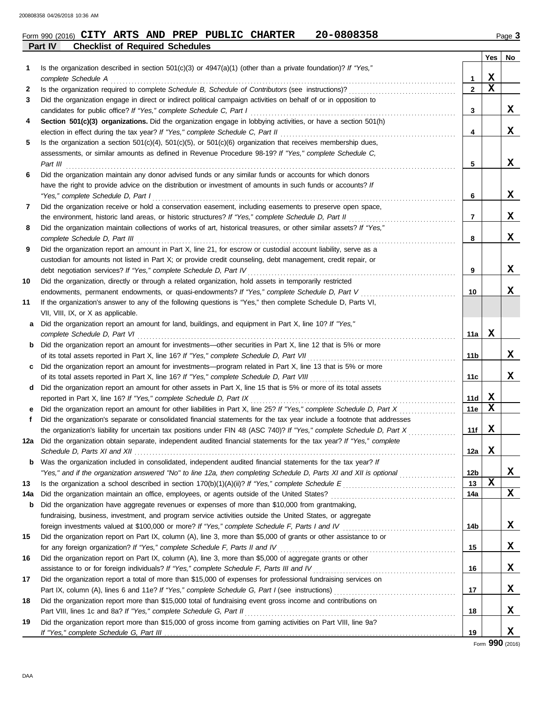## **Part IV Checklist of Required Schedules** Form 990 (2016) Page **3 CITY ARTS AND PREP PUBLIC CHARTER 20-0808358**

|     |                                                                                                                                              |                 | Yes         | No |
|-----|----------------------------------------------------------------------------------------------------------------------------------------------|-----------------|-------------|----|
| 1   | Is the organization described in section $501(c)(3)$ or $4947(a)(1)$ (other than a private foundation)? If "Yes,"                            |                 |             |    |
|     | complete Schedule A                                                                                                                          | 1               | X           |    |
| 2   |                                                                                                                                              | $\mathbf{2}$    | $\mathbf x$ |    |
| 3   | Did the organization engage in direct or indirect political campaign activities on behalf of or in opposition to                             |                 |             |    |
|     | candidates for public office? If "Yes," complete Schedule C, Part I                                                                          | 3               |             | x  |
| 4   | Section 501(c)(3) organizations. Did the organization engage in lobbying activities, or have a section 501(h)                                |                 |             |    |
|     | election in effect during the tax year? If "Yes," complete Schedule C, Part II                                                               | 4               |             | x  |
| 5   | Is the organization a section $501(c)(4)$ , $501(c)(5)$ , or $501(c)(6)$ organization that receives membership dues,                         |                 |             |    |
|     | assessments, or similar amounts as defined in Revenue Procedure 98-19? If "Yes," complete Schedule C,                                        |                 |             |    |
|     | Part III                                                                                                                                     | 5               |             | x  |
| 6   | Did the organization maintain any donor advised funds or any similar funds or accounts for which donors                                      |                 |             |    |
|     | have the right to provide advice on the distribution or investment of amounts in such funds or accounts? If                                  |                 |             |    |
|     | "Yes," complete Schedule D, Part I                                                                                                           | 6               |             | X  |
| 7   | Did the organization receive or hold a conservation easement, including easements to preserve open space,                                    |                 |             |    |
|     | the environment, historic land areas, or historic structures? If "Yes," complete Schedule D, Part II                                         | 7               |             | x  |
| 8   | Did the organization maintain collections of works of art, historical treasures, or other similar assets? If "Yes,"                          |                 |             |    |
|     | complete Schedule D, Part III                                                                                                                | 8               |             | x  |
| 9   | Did the organization report an amount in Part X, line 21, for escrow or custodial account liability, serve as a                              |                 |             |    |
|     | custodian for amounts not listed in Part X; or provide credit counseling, debt management, credit repair, or                                 |                 |             |    |
|     | debt negotiation services? If "Yes," complete Schedule D, Part IV                                                                            | 9               |             | x  |
| 10  | Did the organization, directly or through a related organization, hold assets in temporarily restricted                                      |                 |             |    |
|     | endowments, permanent endowments, or quasi-endowments? If "Yes," complete Schedule D, Part V                                                 | 10              |             | x  |
| 11  | If the organization's answer to any of the following questions is "Yes," then complete Schedule D, Parts VI,                                 |                 |             |    |
|     | VII, VIII, IX, or X as applicable.                                                                                                           |                 |             |    |
| a   | Did the organization report an amount for land, buildings, and equipment in Part X, line 10? If "Yes,"                                       |                 | х           |    |
|     | complete Schedule D, Part VI<br>Did the organization report an amount for investments—other securities in Part X, line 12 that is 5% or more | 11a             |             |    |
| b   | of its total assets reported in Part X, line 16? If "Yes," complete Schedule D, Part VII                                                     | 11b             |             | x  |
| c   | Did the organization report an amount for investments—program related in Part X, line 13 that is 5% or more                                  |                 |             |    |
|     | of its total assets reported in Part X, line 16? If "Yes," complete Schedule D, Part VIII                                                    | 11c             |             | x  |
| d   | Did the organization report an amount for other assets in Part X, line 15 that is 5% or more of its total assets                             |                 |             |    |
|     | reported in Part X, line 16? If "Yes," complete Schedule D, Part IX                                                                          | 11d             | x           |    |
| е   | Did the organization report an amount for other liabilities in Part X, line 25? If "Yes," complete Schedule D, Part X                        | <b>11e</b>      | X           |    |
| f   | Did the organization's separate or consolidated financial statements for the tax year include a footnote that addresses                      |                 |             |    |
|     | the organization's liability for uncertain tax positions under FIN 48 (ASC 740)? If "Yes," complete Schedule D, Part X                       | 11f             | X           |    |
| 12a | Did the organization obtain separate, independent audited financial statements for the tax year? If "Yes," complete                          |                 |             |    |
|     |                                                                                                                                              | 12a             | X           |    |
|     | <b>b</b> Was the organization included in consolidated, independent audited financial statements for the tax year? If                        |                 |             |    |
|     | "Yes," and if the organization answered "No" to line 12a, then completing Schedule D, Parts XI and XII is optional                           | 12 <sub>b</sub> |             | x  |
| 13  |                                                                                                                                              | 13              | X           |    |
| 14a | Did the organization maintain an office, employees, or agents outside of the United States?                                                  | 14a             |             | x  |
| b   | Did the organization have aggregate revenues or expenses of more than \$10,000 from grantmaking,                                             |                 |             |    |
|     | fundraising, business, investment, and program service activities outside the United States, or aggregate                                    |                 |             |    |
|     |                                                                                                                                              | 14b             |             | x  |
| 15  | Did the organization report on Part IX, column (A), line 3, more than \$5,000 of grants or other assistance to or                            |                 |             |    |
|     | for any foreign organization? If "Yes," complete Schedule F, Parts II and IV                                                                 | 15              |             | X  |
| 16  | Did the organization report on Part IX, column (A), line 3, more than \$5,000 of aggregate grants or other                                   |                 |             |    |
|     | assistance to or for foreign individuals? If "Yes," complete Schedule F, Parts III and IV                                                    | 16              |             | X  |
| 17  | Did the organization report a total of more than \$15,000 of expenses for professional fundraising services on                               |                 |             |    |
|     |                                                                                                                                              | 17              |             | X  |
| 18  | Did the organization report more than \$15,000 total of fundraising event gross income and contributions on                                  |                 |             |    |
|     | Part VIII, lines 1c and 8a? If "Yes," complete Schedule G, Part II                                                                           | 18              |             | х  |
| 19  | Did the organization report more than \$15,000 of gross income from gaming activities on Part VIII, line 9a?                                 |                 |             |    |
|     |                                                                                                                                              | 19              |             | X  |

Form **990** (2016)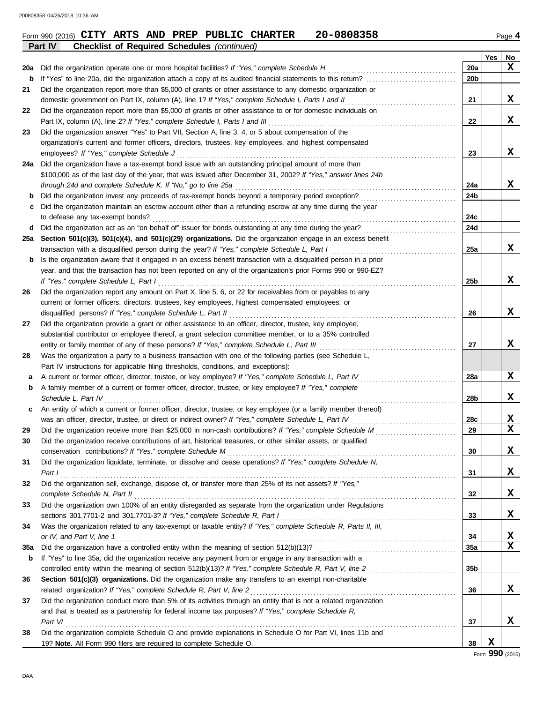|             | <b>Checklist of Required Schedules (continued)</b><br>Part IV                                                    |                 |     |    |
|-------------|------------------------------------------------------------------------------------------------------------------|-----------------|-----|----|
|             |                                                                                                                  |                 | Yes | No |
| 20a         | Did the organization operate one or more hospital facilities? If "Yes," complete Schedule H                      | 20a             |     | X  |
| b           | If "Yes" to line 20a, did the organization attach a copy of its audited financial statements to this return?     | 20b             |     |    |
| 21          | Did the organization report more than \$5,000 of grants or other assistance to any domestic organization or      |                 |     |    |
|             | domestic government on Part IX, column (A), line 1? If "Yes," complete Schedule I, Parts I and II                | 21              |     | x  |
| 22          | Did the organization report more than \$5,000 of grants or other assistance to or for domestic individuals on    |                 |     |    |
|             | Part IX, column (A), line 2? If "Yes," complete Schedule I, Parts I and III                                      | 22              |     | X  |
| 23          | Did the organization answer "Yes" to Part VII, Section A, line 3, 4, or 5 about compensation of the              |                 |     |    |
|             | organization's current and former officers, directors, trustees, key employees, and highest compensated          |                 |     |    |
|             | employees? If "Yes," complete Schedule J                                                                         | 23              |     | X  |
| 24a         | Did the organization have a tax-exempt bond issue with an outstanding principal amount of more than              |                 |     |    |
|             | \$100,000 as of the last day of the year, that was issued after December 31, 2002? If "Yes," answer lines 24b    |                 |     |    |
|             | through 24d and complete Schedule K. If "No," go to line 25a                                                     | 24a             |     | x  |
| b           | Did the organization invest any proceeds of tax-exempt bonds beyond a temporary period exception?                | 24b             |     |    |
| с           | Did the organization maintain an escrow account other than a refunding escrow at any time during the year        |                 |     |    |
|             | to defease any tax-exempt bonds?                                                                                 | 24c             |     |    |
| d           | Did the organization act as an "on behalf of" issuer for bonds outstanding at any time during the year?          | 24d             |     |    |
| 25a         | Section 501(c)(3), 501(c)(4), and 501(c)(29) organizations. Did the organization engage in an excess benefit     |                 |     |    |
|             | transaction with a disqualified person during the year? If "Yes," complete Schedule L, Part I                    | 25a             |     | X  |
| $\mathbf b$ | Is the organization aware that it engaged in an excess benefit transaction with a disqualified person in a prior |                 |     |    |
|             | year, and that the transaction has not been reported on any of the organization's prior Forms 990 or 990-EZ?     |                 |     |    |
|             | If "Yes," complete Schedule L, Part I                                                                            | 25 <sub>b</sub> |     | X  |
| 26          | Did the organization report any amount on Part X, line 5, 6, or 22 for receivables from or payables to any       |                 |     |    |
|             | current or former officers, directors, trustees, key employees, highest compensated employees, or                |                 |     |    |
|             | disqualified persons? If "Yes," complete Schedule L, Part II                                                     | 26              |     | X  |
| 27          | Did the organization provide a grant or other assistance to an officer, director, trustee, key employee,         |                 |     |    |
|             | substantial contributor or employee thereof, a grant selection committee member, or to a 35% controlled          |                 |     |    |
|             | entity or family member of any of these persons? If "Yes," complete Schedule L, Part III                         | 27              |     | X  |
| 28          | Was the organization a party to a business transaction with one of the following parties (see Schedule L,        |                 |     |    |
|             | Part IV instructions for applicable filing thresholds, conditions, and exceptions):                              |                 |     |    |
| а           | A current or former officer, director, trustee, or key employee? If "Yes," complete Schedule L, Part IV          | 28a             |     | X  |
| b           | A family member of a current or former officer, director, trustee, or key employee? If "Yes," complete           |                 |     |    |
|             | Schedule L, Part IV                                                                                              | 28b             |     | x  |
| c           | An entity of which a current or former officer, director, trustee, or key employee (or a family member thereof)  |                 |     |    |
|             | was an officer, director, trustee, or direct or indirect owner? If "Yes," complete Schedule L, Part IV           | 28c             |     | X  |
| 29          | Did the organization receive more than \$25,000 in non-cash contributions? If "Yes," complete Schedule M         | 29              |     | X  |
|             | Did the organization receive contributions of art, historical treasures, or other similar assets, or qualified   |                 |     |    |
|             | conservation contributions? If "Yes," complete Schedule M                                                        | 30              |     | X  |
| 31          | Did the organization liquidate, terminate, or dissolve and cease operations? If "Yes," complete Schedule N,      |                 |     |    |
|             | Part I                                                                                                           | 31              |     | X  |
| 32          | Did the organization sell, exchange, dispose of, or transfer more than 25% of its net assets? If "Yes,"          |                 |     |    |
|             | complete Schedule N, Part II                                                                                     | 32              |     | X  |
| 33          | Did the organization own 100% of an entity disregarded as separate from the organization under Regulations       |                 |     |    |
|             | sections 301.7701-2 and 301.7701-3? If "Yes," complete Schedule R, Part I                                        | 33              |     | X  |
| 34          | Was the organization related to any tax-exempt or taxable entity? If "Yes," complete Schedule R, Parts II, III,  |                 |     |    |
|             | or IV, and Part V, line 1                                                                                        | 34              |     | х  |
| 35a         |                                                                                                                  | 35a             |     | X  |
| b           | If "Yes" to line 35a, did the organization receive any payment from or engage in any transaction with a          |                 |     |    |
|             | controlled entity within the meaning of section 512(b)(13)? If "Yes," complete Schedule R, Part V, line 2        | 35b             |     |    |
| 36          | Section 501(c)(3) organizations. Did the organization make any transfers to an exempt non-charitable             |                 |     |    |
|             | related organization? If "Yes," complete Schedule R, Part V, line 2                                              | 36              |     | X  |
| 37          | Did the organization conduct more than 5% of its activities through an entity that is not a related organization |                 |     |    |
|             | and that is treated as a partnership for federal income tax purposes? If "Yes," complete Schedule R,             |                 |     |    |
|             | Part VI                                                                                                          | 37              |     | X  |
| 38          | Did the organization complete Schedule O and provide explanations in Schedule O for Part VI, lines 11b and       |                 |     |    |
|             | 19? Note. All Form 990 filers are required to complete Schedule O.                                               | 38              | X   |    |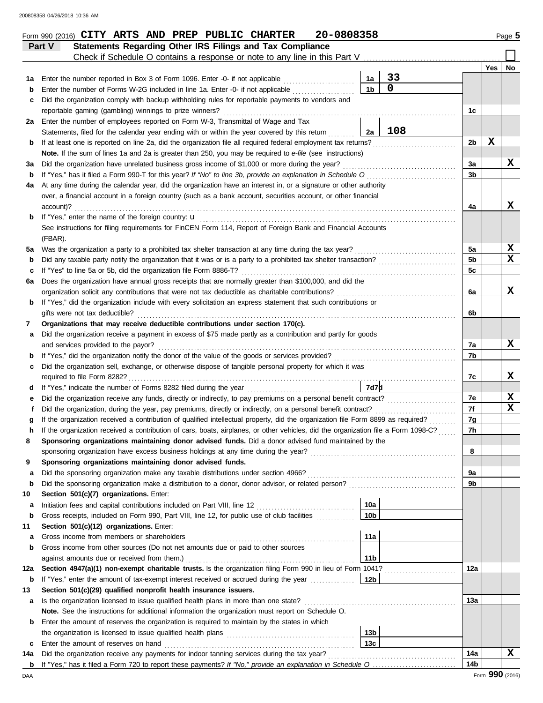|             | Statements Regarding Other IRS Filings and Tax Compliance<br>Part V<br>Check if Schedule O contains a response or note to any line in this Part V |     |                      |                   |                |     |             |
|-------------|---------------------------------------------------------------------------------------------------------------------------------------------------|-----|----------------------|-------------------|----------------|-----|-------------|
|             |                                                                                                                                                   |     |                      |                   |                | Yes | No.         |
| 1a          | Enter the number reported in Box 3 of Form 1096. Enter -0- if not applicable                                                                      |     | 1a<br>1 <sub>b</sub> | 33<br>$\mathbf 0$ |                |     |             |
| b           | Enter the number of Forms W-2G included in line 1a. Enter -0- if not applicable <i>minimizion</i> .                                               |     |                      |                   |                |     |             |
| c           | Did the organization comply with backup withholding rules for reportable payments to vendors and                                                  |     |                      |                   |                |     |             |
|             | reportable gaming (gambling) winnings to prize winners?<br>Enter the number of employees reported on Form W-3, Transmittal of Wage and Tax        |     |                      |                   | 1c             |     |             |
| 2a          | Statements, filed for the calendar year ending with or within the year covered by this return                                                     |     | 2a                   | 108               |                |     |             |
| b           | If at least one is reported on line 2a, did the organization file all required federal employment tax returns?                                    |     |                      |                   | 2b             | х   |             |
|             | Note. If the sum of lines 1a and 2a is greater than 250, you may be required to e-file (see instructions)                                         |     |                      |                   |                |     |             |
| За          | Did the organization have unrelated business gross income of \$1,000 or more during the year?                                                     |     |                      |                   | 3a             |     | X           |
| b           | If "Yes," has it filed a Form 990-T for this year? If "No" to line 3b, provide an explanation in Schedule O                                       |     |                      |                   | 3b             |     |             |
| 4a          | At any time during the calendar year, did the organization have an interest in, or a signature or other authority                                 |     |                      |                   |                |     |             |
|             | over, a financial account in a foreign country (such as a bank account, securities account, or other financial                                    |     |                      |                   |                |     |             |
|             | account)?                                                                                                                                         |     |                      |                   | 4a             |     | x           |
| b           | If "Yes," enter the name of the foreign country: <b>u</b>                                                                                         |     |                      |                   |                |     |             |
|             | See instructions for filing requirements for FinCEN Form 114, Report of Foreign Bank and Financial Accounts                                       |     |                      |                   |                |     |             |
|             | (FBAR).                                                                                                                                           |     |                      |                   |                |     |             |
| 5a          | Was the organization a party to a prohibited tax shelter transaction at any time during the tax year?                                             |     |                      |                   | 5a             |     | X           |
| b           | Did any taxable party notify the organization that it was or is a party to a prohibited tax shelter transaction?                                  |     |                      |                   | 5 <sub>b</sub> |     | $\mathbf x$ |
| C           | If "Yes" to line 5a or 5b, did the organization file Form 8886-T?                                                                                 |     |                      |                   | 5c             |     |             |
| 6а          | Does the organization have annual gross receipts that are normally greater than \$100,000, and did the                                            |     |                      |                   |                |     |             |
|             | organization solicit any contributions that were not tax deductible as charitable contributions?                                                  |     |                      |                   | 6a             |     | x           |
| b           | If "Yes," did the organization include with every solicitation an express statement that such contributions or                                    |     |                      |                   |                |     |             |
|             | gifts were not tax deductible?                                                                                                                    |     |                      |                   | 6b             |     |             |
| 7           | Organizations that may receive deductible contributions under section 170(c).                                                                     |     |                      |                   |                |     |             |
| а           | Did the organization receive a payment in excess of \$75 made partly as a contribution and partly for goods                                       |     |                      |                   |                |     |             |
|             | and services provided to the payor?                                                                                                               |     |                      |                   | 7a             |     | x           |
| b           | If "Yes," did the organization notify the donor of the value of the goods or services provided?                                                   |     |                      |                   | 7b             |     |             |
| c           | Did the organization sell, exchange, or otherwise dispose of tangible personal property for which it was                                          |     |                      |                   |                |     |             |
|             | required to file Form 8282?                                                                                                                       |     |                      |                   | 7c             |     | X           |
| d           |                                                                                                                                                   |     | 7d7 <b>d</b>         |                   |                |     |             |
| е           | Did the organization receive any funds, directly or indirectly, to pay premiums on a personal benefit contract?                                   |     |                      |                   | 7e             |     | X           |
| f           | Did the organization, during the year, pay premiums, directly or indirectly, on a personal benefit contract?                                      |     |                      |                   | 7f             |     | $\mathbf x$ |
| g           | If the organization received a contribution of qualified intellectual property, did the organization file Form 8899 as required?                  |     |                      |                   | 7g             |     |             |
| h           | If the organization received a contribution of cars, boats, airplanes, or other vehicles, did the organization file a Form 1098-C?                |     |                      |                   | 7h             |     |             |
|             | Sponsoring organizations maintaining donor advised funds. Did a donor advised fund maintained by the                                              |     |                      |                   |                |     |             |
|             |                                                                                                                                                   |     |                      |                   | 8              |     |             |
| 9           | Sponsoring organizations maintaining donor advised funds.                                                                                         |     |                      |                   | 9a             |     |             |
| а<br>b      | Did the sponsoring organization make a distribution to a donor, donor advisor, or related person?                                                 |     |                      |                   | 9b             |     |             |
| 10          | Section 501(c)(7) organizations. Enter:                                                                                                           |     |                      |                   |                |     |             |
| а           | Initiation fees and capital contributions included on Part VIII, line 12 [11] [11] [12] [11] [11] [12] [11] [1                                    |     | 10a                  |                   |                |     |             |
| $\mathbf b$ | Gross receipts, included on Form 990, Part VIII, line 12, for public use of club facilities                                                       |     | 10 <sub>b</sub>      |                   |                |     |             |
| 11          | Section 501(c)(12) organizations. Enter:                                                                                                          |     |                      |                   |                |     |             |
| а           | Gross income from members or shareholders                                                                                                         |     | 11a                  |                   |                |     |             |
| b           | Gross income from other sources (Do not net amounts due or paid to other sources                                                                  |     |                      |                   |                |     |             |
|             | against amounts due or received from them.)                                                                                                       |     | 11 <sub>b</sub>      |                   |                |     |             |
| 12a         | Section 4947(a)(1) non-exempt charitable trusts. Is the organization filing Form 990 in lieu of Form 1041?                                        |     |                      |                   | 12a            |     |             |
| b           | If "Yes," enter the amount of tax-exempt interest received or accrued during the year                                                             | 12b |                      |                   |                |     |             |
| 13          | Section 501(c)(29) qualified nonprofit health insurance issuers.                                                                                  |     |                      |                   |                |     |             |
| а           | Is the organization licensed to issue qualified health plans in more than one state?                                                              |     |                      |                   | 13а            |     |             |
|             | Note. See the instructions for additional information the organization must report on Schedule O.                                                 |     |                      |                   |                |     |             |
| b           | Enter the amount of reserves the organization is required to maintain by the states in which                                                      |     |                      |                   |                |     |             |
|             |                                                                                                                                                   |     | 13 <sub>b</sub>      |                   |                |     |             |
| c           | Enter the amount of reserves on hand                                                                                                              |     | 13 <sub>c</sub>      |                   |                |     |             |
| 14a         | Did the organization receive any payments for indoor tanning services during the tax year?                                                        |     |                      |                   | 14a            |     | x           |
|             |                                                                                                                                                   |     |                      |                   | 14b            |     |             |

Form 990 (2016) Page **5 CITY ARTS AND PREP PUBLIC CHARTER 20-0808358**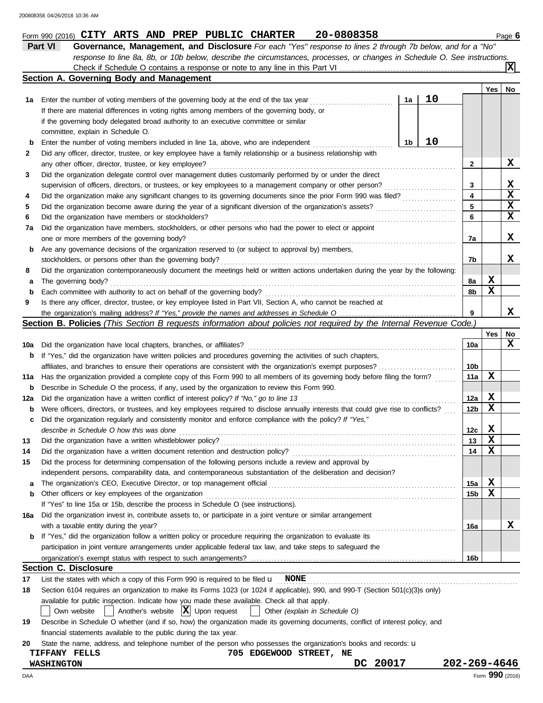|          | Part VI<br>Governance, Management, and Disclosure For each "Yes" response to lines 2 through 7b below, and for a "No"                                                |          |                 |                 |             |
|----------|----------------------------------------------------------------------------------------------------------------------------------------------------------------------|----------|-----------------|-----------------|-------------|
|          | response to line 8a, 8b, or 10b below, describe the circumstances, processes, or changes in Schedule O. See instructions.                                            |          |                 |                 |             |
|          |                                                                                                                                                                      |          |                 |                 | ΙXΙ         |
|          | Section A. Governing Body and Management                                                                                                                             |          |                 | Yes             | No          |
| 1а       | Enter the number of voting members of the governing body at the end of the tax year                                                                                  | 10<br>1a |                 |                 |             |
|          | If there are material differences in voting rights among members of the governing body, or                                                                           |          |                 |                 |             |
|          | if the governing body delegated broad authority to an executive committee or similar                                                                                 |          |                 |                 |             |
|          | committee, explain in Schedule O.                                                                                                                                    |          |                 |                 |             |
| b        | Enter the number of voting members included in line 1a, above, who are independent                                                                                   | 10<br>1b |                 |                 |             |
| 2        | Did any officer, director, trustee, or key employee have a family relationship or a business relationship with                                                       |          |                 |                 |             |
|          | any other officer, director, trustee, or key employee?                                                                                                               |          | 2               |                 | X           |
| 3        | Did the organization delegate control over management duties customarily performed by or under the direct                                                            |          |                 |                 |             |
|          | supervision of officers, directors, or trustees, or key employees to a management company or other person?                                                           |          | 3               |                 | X           |
| 4        | Did the organization make any significant changes to its governing documents since the prior Form 990 was filed?                                                     |          | 4               |                 | $\mathbf x$ |
| 5        |                                                                                                                                                                      |          | 5               |                 | X           |
| 6        | Did the organization have members or stockholders?                                                                                                                   |          | 6               |                 | X           |
| 7a       | Did the organization have members, stockholders, or other persons who had the power to elect or appoint                                                              |          |                 |                 |             |
|          | one or more members of the governing body?                                                                                                                           |          | 7a              |                 | X           |
| b        | Are any governance decisions of the organization reserved to (or subject to approval by) members,                                                                    |          |                 |                 |             |
|          | stockholders, or persons other than the governing body?                                                                                                              |          | 7b              |                 | x           |
| 8        | Did the organization contemporaneously document the meetings held or written actions undertaken during the year by the following:                                    |          |                 |                 |             |
| а        | The governing body?                                                                                                                                                  |          | 8a              | X               |             |
| b        | Each committee with authority to act on behalf of the governing body?                                                                                                |          | 8b              | X               |             |
| 9        | Is there any officer, director, trustee, or key employee listed in Part VII, Section A, who cannot be reached at                                                     |          |                 |                 |             |
|          |                                                                                                                                                                      |          | 9               |                 | х           |
|          | <b>Section B. Policies</b> (This Section B requests information about policies not required by the Internal Revenue Code.)                                           |          |                 |                 |             |
|          |                                                                                                                                                                      |          |                 | Yes             | No          |
| 10a      | Did the organization have local chapters, branches, or affiliates?                                                                                                   |          | 10a             |                 | x           |
| b        | If "Yes," did the organization have written policies and procedures governing the activities of such chapters,                                                       |          |                 |                 |             |
|          |                                                                                                                                                                      |          | 10b             |                 |             |
| 11a      | Has the organization provided a complete copy of this Form 990 to all members of its governing body before filing the form?                                          |          | 11a             | х               |             |
| b        | Describe in Schedule O the process, if any, used by the organization to review this Form 990.                                                                        |          |                 |                 |             |
| 12a      | Did the organization have a written conflict of interest policy? If "No," go to line 13                                                                              |          | 12a             | X               |             |
| b        | Were officers, directors, or trustees, and key employees required to disclose annually interests that could give rise to conflicts?                                  |          | 12 <sub>b</sub> | X               |             |
| c        | Did the organization regularly and consistently monitor and enforce compliance with the policy? If "Yes,"                                                            |          |                 |                 |             |
|          | describe in Schedule O how this was done                                                                                                                             |          | 12c             | x               |             |
|          | Did the organization have a written whistleblower policy?                                                                                                            |          | 13              | X               |             |
| 14       | Did the organization have a written document retention and destruction policy?                                                                                       |          | 14              | х               |             |
| 15       | Did the process for determining compensation of the following persons include a review and approval by                                                               |          |                 |                 |             |
|          | independent persons, comparability data, and contemporaneous substantiation of the deliberation and decision?                                                        |          |                 |                 |             |
| а        |                                                                                                                                                                      |          | 15a             | X               |             |
| b        | Other officers or key employees of the organization                                                                                                                  |          | 15 <sub>b</sub> | х               |             |
|          | If "Yes" to line 15a or 15b, describe the process in Schedule O (see instructions).                                                                                  |          |                 |                 |             |
| 16a      | Did the organization invest in, contribute assets to, or participate in a joint venture or similar arrangement                                                       |          |                 |                 |             |
|          | with a taxable entity during the year?                                                                                                                               |          | 16a             |                 | X           |
| b        | If "Yes," did the organization follow a written policy or procedure requiring the organization to evaluate its                                                       |          |                 |                 |             |
|          | participation in joint venture arrangements under applicable federal tax law, and take steps to safeguard the                                                        |          |                 |                 |             |
|          |                                                                                                                                                                      |          |                 |                 |             |
|          | <b>Section C. Disclosure</b>                                                                                                                                         |          | 16b             |                 |             |
|          | List the states with which a copy of this Form 990 is required to be filed $\mathbf{u}$ NONE                                                                         |          |                 |                 |             |
| 17<br>18 | Section 6104 requires an organization to make its Forms 1023 (or 1024 if applicable), 990, and 990-T (Section 501(c)(3)s only)                                       |          |                 |                 |             |
|          |                                                                                                                                                                      |          |                 |                 |             |
|          | available for public inspection. Indicate how you made these available. Check all that apply.<br>Another's website $ X $ Upon request                                |          |                 |                 |             |
|          | Other (explain in Schedule O)<br>Own website<br>$\mathbf{1}$                                                                                                         |          |                 |                 |             |
| 19       | Describe in Schedule O whether (and if so, how) the organization made its governing documents, conflict of interest policy, and                                      |          |                 |                 |             |
|          | financial statements available to the public during the tax year.                                                                                                    |          |                 |                 |             |
| 20       | State the name, address, and telephone number of the person who possesses the organization's books and records: u<br>705 EDGEWOOD STREET, NE<br><b>TIFFANY FELLS</b> |          |                 |                 |             |
|          | DC 20017<br><b>WASHINGTON</b>                                                                                                                                        |          | 202-269-4646    |                 |             |
|          |                                                                                                                                                                      |          |                 | Form 990 (2016) |             |
| DAA      |                                                                                                                                                                      |          |                 |                 |             |

Form 990 (2016) **CITY ARTS AND PREP PUBLIC CHARTER** 20-0808358

**CITY ARTS AND PREP PUBLIC CHARTER 20-0808358**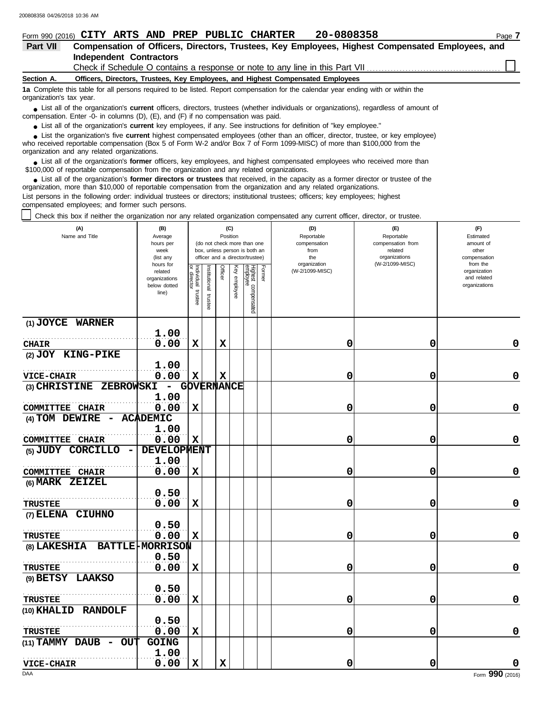| 20-0808358<br>Form 990 (2016) CITY ARTS AND PREP PUBLIC CHARTER                                                                                                                                                                     | Page 7 |  |  |  |  |  |  |  |  |  |
|-------------------------------------------------------------------------------------------------------------------------------------------------------------------------------------------------------------------------------------|--------|--|--|--|--|--|--|--|--|--|
| <b>Part VII</b><br>Compensation of Officers, Directors, Trustees, Key Employees, Highest Compensated Employees, and                                                                                                                 |        |  |  |  |  |  |  |  |  |  |
| <b>Independent Contractors</b>                                                                                                                                                                                                      |        |  |  |  |  |  |  |  |  |  |
|                                                                                                                                                                                                                                     |        |  |  |  |  |  |  |  |  |  |
| Section A.<br>Officers, Directors, Trustees, Key Employees, and Highest Compensated Employees                                                                                                                                       |        |  |  |  |  |  |  |  |  |  |
| 1a Complete this table for all persons required to be listed. Report compensation for the calendar year ending with or within the<br>organization's tax year.                                                                       |        |  |  |  |  |  |  |  |  |  |
| • List all of the organization's current officers, directors, trustees (whether individuals or organizations), regardless of amount of<br>compensation. Enter -0- in columns $(D)$ , $(E)$ , and $(F)$ if no compensation was paid. |        |  |  |  |  |  |  |  |  |  |
| s that all of the experience assument less employees. If any Can instructions for definition of "less employee"                                                                                                                     |        |  |  |  |  |  |  |  |  |  |

● List all of the organization's **current** key employees, if any. See instructions for definition of "key employee."

who received reportable compensation (Box 5 of Form W-2 and/or Box 7 of Form 1099-MISC) of more than \$100,000 from the organization and any related organizations. ■ List the organization's five **current** highest compensated employees (other than an officer, director, trustee, or key employee)<br> **•** Preceived reportable compensation (Box 5 of Form W.2 and/or Box 7 of Form 1000 MISC)

■ List all of the organization's **former** officers, key employees, and highest compensated employees who received more than<br> **•** 00,000 of reportable compensation from the ergonization and any related ergonizations \$100,000 of reportable compensation from the organization and any related organizations.

■ List all of the organization's **former directors or trustees** that received, in the capacity as a former director or trustee of the<br>paization, more than \$10,000 of reportable compensation from the organization and any r organization, more than \$10,000 of reportable compensation from the organization and any related organizations. List persons in the following order: individual trustees or directors; institutional trustees; officers; key employees; highest compensated employees; and former such persons.

Check this box if neither the organization nor any related organization compensated any current officer, director, or trustee.

| (A)<br>Name and Title                             | (B)<br>Average<br>hours per<br>week<br>(list any               |                                  |                         | (C)<br>Position |                 | (do not check more than one<br>box, unless person is both an<br>officer and a director/trustee) |        | (D)<br>Reportable<br>compensation<br>from<br>the | (F)<br>Estimated<br>amount of<br>other<br>compensation<br>from the |                                              |
|---------------------------------------------------|----------------------------------------------------------------|----------------------------------|-------------------------|-----------------|-----------------|-------------------------------------------------------------------------------------------------|--------|--------------------------------------------------|--------------------------------------------------------------------|----------------------------------------------|
|                                                   | hours for<br>related<br>organizations<br>below dotted<br>line) | Individual<br>directo<br>trustee | nstitutional<br>trustee | Officer         | Ķey<br>employee | Highest compensated<br>employee                                                                 | Former | organization<br>(W-2/1099-MISC)                  | (W-2/1099-MISC)                                                    | organization<br>and related<br>organizations |
| (1) JOYCE WARNER                                  |                                                                |                                  |                         |                 |                 |                                                                                                 |        |                                                  |                                                                    |                                              |
| <b>CHAIR</b>                                      | 1.00<br>0.00                                                   | $\mathbf x$                      |                         | $\mathbf x$     |                 |                                                                                                 |        | 0                                                | 0                                                                  | 0                                            |
| (2) JOY KING-PIKE                                 |                                                                |                                  |                         |                 |                 |                                                                                                 |        |                                                  |                                                                    |                                              |
|                                                   | 1.00                                                           |                                  |                         |                 |                 |                                                                                                 |        |                                                  |                                                                    |                                              |
| <b>VICE-CHAIR</b>                                 | 0.00                                                           | $\mathbf x$                      |                         | $\mathbf x$     |                 |                                                                                                 |        | 0                                                | 0                                                                  | 0                                            |
| (3) CHRISTINE ZEBROWSKI                           | $\overline{\phantom{a}}$                                       |                                  | GOVERNANCE              |                 |                 |                                                                                                 |        |                                                  |                                                                    |                                              |
| <b>COMMITTEE CHAIR</b>                            | 1.00<br>0.00                                                   | $\mathbf x$                      |                         |                 |                 |                                                                                                 |        | 0                                                | 0                                                                  | 0                                            |
| $(4)$ TOM DEWIRE $-$                              | <b>ACADEMIC</b>                                                |                                  |                         |                 |                 |                                                                                                 |        |                                                  |                                                                    |                                              |
|                                                   | 1.00                                                           |                                  |                         |                 |                 |                                                                                                 |        |                                                  |                                                                    |                                              |
| <b>COMMITTEE CHAIR</b>                            | 0.00                                                           | $\mathbf x$                      |                         |                 |                 |                                                                                                 |        | 0                                                | 0                                                                  | 0                                            |
| (5) JUDY CORCILLO<br>$\qquad \qquad \blacksquare$ | DEVELOPMENT                                                    |                                  |                         |                 |                 |                                                                                                 |        |                                                  |                                                                    |                                              |
|                                                   | 1.00                                                           |                                  |                         |                 |                 |                                                                                                 |        |                                                  |                                                                    |                                              |
| <b>COMMITTEE CHAIR</b>                            | 0.00                                                           | X                                |                         |                 |                 |                                                                                                 |        | 0                                                | 0                                                                  | 0                                            |
| (6) MARK ZEIZEL                                   |                                                                |                                  |                         |                 |                 |                                                                                                 |        |                                                  |                                                                    |                                              |
|                                                   | 0.50<br>0.00                                                   | $\mathbf x$                      |                         |                 |                 |                                                                                                 |        | 0                                                | 0                                                                  | 0                                            |
| <b>TRUSTEE</b><br>(7) ELENA CIUHNO                |                                                                |                                  |                         |                 |                 |                                                                                                 |        |                                                  |                                                                    |                                              |
|                                                   | 0.50                                                           |                                  |                         |                 |                 |                                                                                                 |        |                                                  |                                                                    |                                              |
| <b>TRUSTEE</b>                                    | 0.00                                                           | $\mathbf x$                      |                         |                 |                 |                                                                                                 |        | 0                                                | 0                                                                  | $\mathbf 0$                                  |
| (8) LAKESHIA                                      | <b>BATTLE-MORRISON</b>                                         |                                  |                         |                 |                 |                                                                                                 |        |                                                  |                                                                    |                                              |
|                                                   | 0.50                                                           |                                  |                         |                 |                 |                                                                                                 |        |                                                  |                                                                    |                                              |
| <b>TRUSTEE</b>                                    | 0.00                                                           | $\mathbf x$                      |                         |                 |                 |                                                                                                 |        | 0                                                | 0                                                                  | 0                                            |
| (9) BETSY LAAKSO                                  |                                                                |                                  |                         |                 |                 |                                                                                                 |        |                                                  |                                                                    |                                              |
|                                                   | 0.50                                                           |                                  |                         |                 |                 |                                                                                                 |        |                                                  |                                                                    |                                              |
| <b>TRUSTEE</b>                                    | 0.00                                                           | X                                |                         |                 |                 |                                                                                                 |        | 0                                                | 0                                                                  | 0                                            |
| <b>RANDOLF</b><br>(10) KHALID                     | 0.50                                                           |                                  |                         |                 |                 |                                                                                                 |        |                                                  |                                                                    |                                              |
| <b>TRUSTEE</b>                                    | 0.00                                                           | $\mathbf x$                      |                         |                 |                 |                                                                                                 |        | 0                                                | 0                                                                  | 0                                            |
| (11) TAMMY DAUB<br><b>OUT</b>                     | GOING                                                          |                                  |                         |                 |                 |                                                                                                 |        |                                                  |                                                                    |                                              |
|                                                   | 1.00                                                           |                                  |                         |                 |                 |                                                                                                 |        |                                                  |                                                                    |                                              |
| <b>VICE-CHAIR</b>                                 | 0.00                                                           | $\mathbf x$                      |                         | $\mathbf x$     |                 |                                                                                                 |        | 0                                                | 0                                                                  | 0                                            |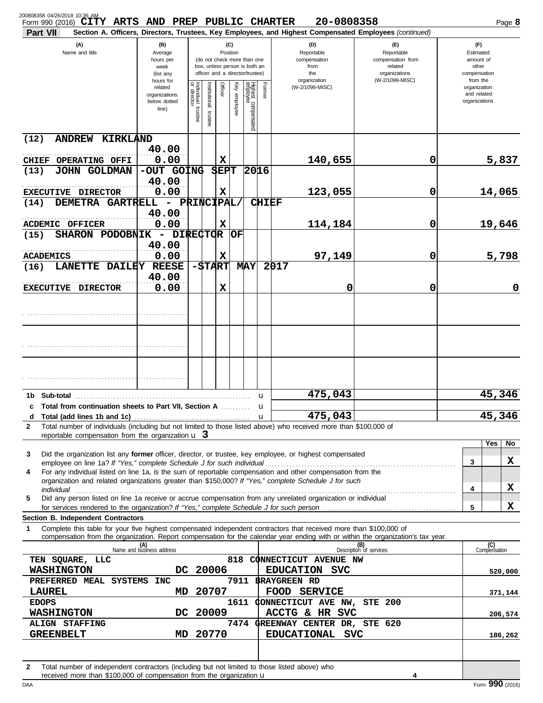| Form 990 (2016) CITY ARTS AND PREP PUBLIC CHARTER<br>Part VII                                                                                                                                                                                                                                               |                                                                |                                      |                         |                |              |                                                                                                 |                  | 20-0808358<br>Section A. Officers, Directors, Trustees, Key Employees, and Highest Compensated Employees (continued) |                                                                    |                                                          | Page 8              |
|-------------------------------------------------------------------------------------------------------------------------------------------------------------------------------------------------------------------------------------------------------------------------------------------------------------|----------------------------------------------------------------|--------------------------------------|-------------------------|----------------|--------------|-------------------------------------------------------------------------------------------------|------------------|----------------------------------------------------------------------------------------------------------------------|--------------------------------------------------------------------|----------------------------------------------------------|---------------------|
| (A)<br>Name and title                                                                                                                                                                                                                                                                                       | (B)<br>Average<br>hours per<br>week<br>(list any               |                                      |                         | Position       | (C)          | (do not check more than one<br>box, unless person is both an<br>officer and a director/trustee) |                  | (D)<br>Reportable<br>compensation<br>from<br>the                                                                     | (F)<br>Reportable<br>compensation from<br>related<br>organizations | (F)<br>Estimated<br>amount of<br>other<br>compensation   |                     |
|                                                                                                                                                                                                                                                                                                             | hours for<br>related<br>organizations<br>below dotted<br>line) | Individual<br>or director<br>trustee | nstitutional<br>trustee | Officer        | Key employee | Highest compensated<br>employee                                                                 | Former           | organization<br>(W-2/1099-MISC)                                                                                      | (W-2/1099-MISC)                                                    | from the<br>organization<br>and related<br>organizations |                     |
| ANDREW KIRKLAND<br>(12)                                                                                                                                                                                                                                                                                     |                                                                |                                      |                         |                |              |                                                                                                 |                  |                                                                                                                      |                                                                    |                                                          |                     |
| <b>OPERATING OFFI</b><br><b>CHIEF</b>                                                                                                                                                                                                                                                                       | 40.00<br>0.00                                                  |                                      |                         | $\mathbf x$    |              |                                                                                                 |                  | 140,655                                                                                                              | 0                                                                  |                                                          | 5,837               |
| (13)<br>JOHN GOLDMAN                                                                                                                                                                                                                                                                                        | -OUT GOING<br>40.00                                            |                                      |                         | <b>SEPT</b>    |              | 20 16                                                                                           |                  |                                                                                                                      |                                                                    |                                                          |                     |
| EXECUTIVE DIRECTOR                                                                                                                                                                                                                                                                                          | 0.00                                                           |                                      |                         | $\mathbf x$    |              |                                                                                                 |                  | 123,055                                                                                                              | 0                                                                  |                                                          | 14,065              |
| DEMETRA GARTRELL<br>(14)<br><b>ACDEMIC OFFICER</b>                                                                                                                                                                                                                                                          | - PRINCIPAL,<br>40.00<br>0.00                                  |                                      |                         | $\mathbf x$    |              |                                                                                                 |                  | <b>CHIEF</b><br>114,184                                                                                              | 0                                                                  |                                                          | 19,646              |
| SHARON PODOBNIK - DIRECTOR<br>(15)                                                                                                                                                                                                                                                                          |                                                                |                                      |                         |                | OF           |                                                                                                 |                  |                                                                                                                      |                                                                    |                                                          |                     |
|                                                                                                                                                                                                                                                                                                             | 40.00                                                          |                                      |                         |                |              |                                                                                                 |                  |                                                                                                                      |                                                                    |                                                          |                     |
| <b>ACADEMICS</b><br><b>LANETTE</b><br><b>DAILEY</b><br>(16)                                                                                                                                                                                                                                                 | 0.00<br><b>REESE</b>                                           |                                      |                         | X<br>$ $$ TART |              | MAY                                                                                             |                  | 97,149<br>2017                                                                                                       | 0                                                                  |                                                          | 5,798               |
|                                                                                                                                                                                                                                                                                                             | 40.00                                                          |                                      |                         |                |              |                                                                                                 |                  |                                                                                                                      |                                                                    |                                                          |                     |
| EXECUTIVE DIRECTOR                                                                                                                                                                                                                                                                                          | 0.00                                                           |                                      |                         | X              |              |                                                                                                 |                  | 0                                                                                                                    | 0                                                                  |                                                          | 0                   |
|                                                                                                                                                                                                                                                                                                             |                                                                |                                      |                         |                |              |                                                                                                 |                  |                                                                                                                      |                                                                    |                                                          |                     |
|                                                                                                                                                                                                                                                                                                             |                                                                |                                      |                         |                |              |                                                                                                 |                  |                                                                                                                      |                                                                    |                                                          |                     |
| Sub-total<br>1b.                                                                                                                                                                                                                                                                                            |                                                                |                                      |                         |                |              |                                                                                                 | u                | 475,043                                                                                                              |                                                                    |                                                          | 45,346              |
| c Total from continuation sheets to Part VII, Section A<br>d                                                                                                                                                                                                                                                |                                                                |                                      |                         |                |              |                                                                                                 | u<br>$\mathbf u$ | 475,043                                                                                                              |                                                                    |                                                          | 45,346              |
| Total number of individuals (including but not limited to those listed above) who received more than \$100,000 of<br>$\mathbf{2}$                                                                                                                                                                           |                                                                |                                      |                         |                |              |                                                                                                 |                  |                                                                                                                      |                                                                    |                                                          |                     |
| reportable compensation from the organization $\mathbf{u}$ 3                                                                                                                                                                                                                                                |                                                                |                                      |                         |                |              |                                                                                                 |                  |                                                                                                                      |                                                                    |                                                          | <b>Yes</b><br>No    |
| Did the organization list any former officer, director, or trustee, key employee, or highest compensated<br>3                                                                                                                                                                                               |                                                                |                                      |                         |                |              |                                                                                                 |                  |                                                                                                                      |                                                                    |                                                          |                     |
| For any individual listed on line 1a, is the sum of reportable compensation and other compensation from the<br>4                                                                                                                                                                                            |                                                                |                                      |                         |                |              |                                                                                                 |                  |                                                                                                                      |                                                                    | 3                                                        | x                   |
| organization and related organizations greater than \$150,000? If "Yes," complete Schedule J for such                                                                                                                                                                                                       |                                                                |                                      |                         |                |              |                                                                                                 |                  |                                                                                                                      |                                                                    |                                                          |                     |
| individual<br>Did any person listed on line 1a receive or accrue compensation from any unrelated organization or individual<br>5                                                                                                                                                                            |                                                                |                                      |                         |                |              |                                                                                                 |                  |                                                                                                                      |                                                                    | 4                                                        | X                   |
|                                                                                                                                                                                                                                                                                                             |                                                                |                                      |                         |                |              |                                                                                                 |                  |                                                                                                                      |                                                                    | 5                                                        | x                   |
| Section B. Independent Contractors<br>Complete this table for your five highest compensated independent contractors that received more than \$100,000 of<br>$\mathbf 1$<br>compensation from the organization. Report compensation for the calendar year ending with or within the organization's tax year. |                                                                |                                      |                         |                |              |                                                                                                 |                  |                                                                                                                      |                                                                    |                                                          |                     |
|                                                                                                                                                                                                                                                                                                             | (A)<br>Name and business address                               |                                      |                         |                |              |                                                                                                 |                  |                                                                                                                      | (B)<br>Description of services                                     |                                                          | (C)<br>Compensation |
| TEN SQUARE, LLC                                                                                                                                                                                                                                                                                             |                                                                |                                      |                         |                |              |                                                                                                 |                  | 818 CONNECTICUT AVENUE NW                                                                                            |                                                                    |                                                          |                     |
| <b>WASHINGTON</b><br>PREFERRED MEAL SYSTEMS INC                                                                                                                                                                                                                                                             | DC 20006                                                       |                                      |                         |                |              |                                                                                                 |                  | EDUCATION SVC<br>7911 BRAYGREEN RD                                                                                   |                                                                    |                                                          | 520,000             |
| LAUREL                                                                                                                                                                                                                                                                                                      | MD.                                                            |                                      | 20707                   |                |              |                                                                                                 |                  | FOOD SERVICE                                                                                                         |                                                                    |                                                          | 371,144             |
| <b>EDOPS</b>                                                                                                                                                                                                                                                                                                |                                                                |                                      |                         |                |              |                                                                                                 |                  | 1611 CONNECTICUT AVE NW, STE 200                                                                                     |                                                                    |                                                          |                     |
| <b>WASHINGTON</b><br><b>ALIGN STAFFING</b>                                                                                                                                                                                                                                                                  | DC 20009                                                       |                                      |                         |                |              |                                                                                                 |                  | ACCTG & HR SVC<br>7474 GREENWAY CENTER DR, STE 620                                                                   |                                                                    |                                                          | 206,574             |
| <b>GREENBELT</b>                                                                                                                                                                                                                                                                                            | MD.                                                            |                                      | 20770                   |                |              |                                                                                                 |                  | EDUCATIONAL SVC                                                                                                      |                                                                    |                                                          | 186,262             |
| Total number of independent contractors (including but not limited to those listed above) who<br>$\mathbf{2}$<br>received more than \$100,000 of compensation from the organization <b>u</b>                                                                                                                |                                                                |                                      |                         |                |              |                                                                                                 |                  |                                                                                                                      |                                                                    |                                                          |                     |

|  |  |  | received more than \$100,000 of compensation from the organization $\mathbf u$ |
|--|--|--|--------------------------------------------------------------------------------|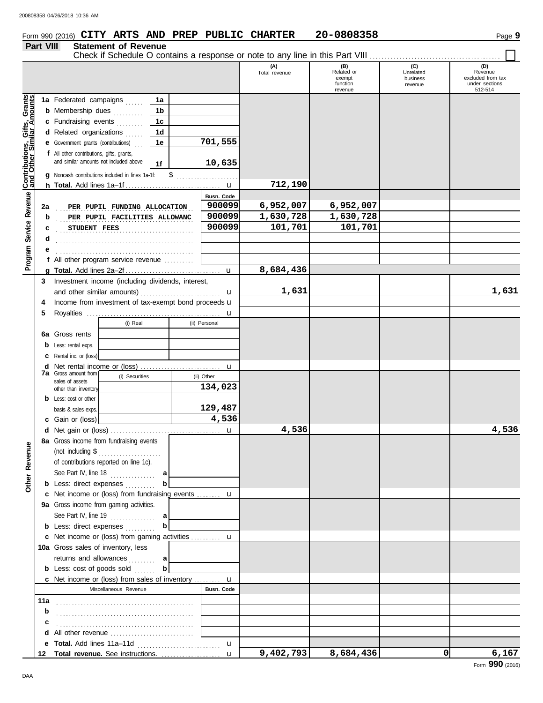# Form 990 (2016) Page **9 CITY ARTS AND PREP PUBLIC CHARTER 20-0808358**

### **Part VIII Statement of Revenue**

Check if Schedule O contains a response or note to any line in this Part VIII . . . . . . . . . . . . . . . . . . . . . . . . . . . . . . . . . . . . . . . . . . . .

|                                              |     |                                                                                        |                |         |               | (A)<br>Total revenue | (B)<br>Related or<br>exempt | (C)<br>Unrelated<br>business | (D)<br>Revenue<br>excluded from tax |
|----------------------------------------------|-----|----------------------------------------------------------------------------------------|----------------|---------|---------------|----------------------|-----------------------------|------------------------------|-------------------------------------|
|                                              |     |                                                                                        |                |         |               |                      | function<br>revenue         | revenue                      | under sections<br>512-514           |
|                                              |     | 1a Federated campaigns                                                                 | 1a             |         |               |                      |                             |                              |                                     |
| Service Revenue Contributions, Gifts, Grants |     | <b>b</b> Membership dues                                                               | 1b             |         |               |                      |                             |                              |                                     |
|                                              |     | c Fundraising events                                                                   | 1 <sub>c</sub> |         |               |                      |                             |                              |                                     |
|                                              |     | d Related organizations                                                                | 1 <sub>d</sub> |         |               |                      |                             |                              |                                     |
|                                              |     | 1e<br><b>e</b> Government grants (contributions)                                       |                | 701,555 |               |                      |                             |                              |                                     |
|                                              |     | f All other contributions, gifts, grants,                                              |                |         |               |                      |                             |                              |                                     |
|                                              |     | and similar amounts not included above                                                 | 1f             |         | 10,635        |                      |                             |                              |                                     |
|                                              |     | <b>g</b> Noncash contributions included in lines 1a-1f:                                |                |         |               |                      |                             |                              |                                     |
|                                              |     |                                                                                        |                |         |               | 712,190              |                             |                              |                                     |
|                                              |     |                                                                                        |                |         | Busn. Code    |                      |                             |                              |                                     |
|                                              | 2a  | PER PUPIL FUNDING ALLOCATION                                                           |                |         | 900099        | 6,952,007            | 6,952,007                   |                              |                                     |
|                                              | b   | PER PUPIL FACILITIES ALLOWANC                                                          |                |         | 900099        | 1,630,728            | 1,630,728                   |                              |                                     |
|                                              | c   | STUDENT FEES                                                                           |                |         | 900099        | 101,701              | 101,701                     |                              |                                     |
|                                              | d   |                                                                                        |                |         |               |                      |                             |                              |                                     |
|                                              |     |                                                                                        |                |         |               |                      |                             |                              |                                     |
| Program                                      |     | f All other program service revenue $\ldots$                                           |                |         |               |                      |                             |                              |                                     |
|                                              |     |                                                                                        |                |         |               | 8,684,436            |                             |                              |                                     |
|                                              | 3   | Investment income (including dividends, interest,                                      |                |         |               |                      |                             |                              |                                     |
|                                              |     |                                                                                        |                |         | u             | 1,631                |                             |                              | 1,631                               |
|                                              | 4   | Income from investment of tax-exempt bond proceeds u                                   |                |         |               |                      |                             |                              |                                     |
|                                              | 5   |                                                                                        |                |         | u             |                      |                             |                              |                                     |
|                                              |     | (i) Real                                                                               |                |         | (ii) Personal |                      |                             |                              |                                     |
|                                              |     | <b>6a</b> Gross rents                                                                  |                |         |               |                      |                             |                              |                                     |
|                                              |     | Less: rental exps.                                                                     |                |         |               |                      |                             |                              |                                     |
|                                              |     | Rental inc. or (loss)                                                                  |                |         |               |                      |                             |                              |                                     |
|                                              | d   |                                                                                        |                |         |               |                      |                             |                              |                                     |
|                                              |     | <b>7a</b> Gross amount from<br>(i) Securities<br>sales of assets                       |                |         | (ii) Other    |                      |                             |                              |                                     |
|                                              |     | other than inventory                                                                   |                |         | 134,023       |                      |                             |                              |                                     |
|                                              |     | <b>b</b> Less: cost or other                                                           |                |         |               |                      |                             |                              |                                     |
|                                              |     | basis & sales exps.                                                                    |                |         | 129,487       |                      |                             |                              |                                     |
|                                              |     | c Gain or (loss)                                                                       |                |         | 4,536         |                      |                             |                              |                                     |
|                                              |     |                                                                                        |                |         |               | 4,536                |                             |                              | 4,536                               |
|                                              |     | 8a Gross income from fundraising events                                                |                |         |               |                      |                             |                              |                                     |
| enue                                         |     | (not including \$                                                                      |                |         |               |                      |                             |                              |                                     |
|                                              |     | of contributions reported on line 1c).                                                 |                |         |               |                      |                             |                              |                                     |
|                                              |     | See Part IV, line $18$                                                                 | a              |         |               |                      |                             |                              |                                     |
| Other Rev                                    |     | <b>b</b> Less: direct expenses                                                         | b              |         |               |                      |                             |                              |                                     |
|                                              |     | c Net income or (loss) from fundraising events  u                                      |                |         |               |                      |                             |                              |                                     |
|                                              |     | 9a Gross income from gaming activities.                                                |                |         |               |                      |                             |                              |                                     |
|                                              |     | See Part IV, line 19 $\ldots$                                                          | al             |         |               |                      |                             |                              |                                     |
|                                              |     | <b>b</b> Less: direct expenses                                                         | $\mathbf b$    |         |               |                      |                             |                              |                                     |
|                                              |     | c Net income or (loss) from gaming activities  u<br>10a Gross sales of inventory, less |                |         |               |                      |                             |                              |                                     |
|                                              |     |                                                                                        |                |         |               |                      |                             |                              |                                     |
|                                              |     | returns and allowances<br><b>b</b> Less: cost of goods sold                            | al<br>b        |         |               |                      |                             |                              |                                     |
|                                              |     | <b>c</b> Net income or (loss) from sales of inventory $\mathbf{u}$                     |                |         |               |                      |                             |                              |                                     |
|                                              |     | Miscellaneous Revenue                                                                  |                |         | Busn. Code    |                      |                             |                              |                                     |
|                                              | 11a |                                                                                        |                |         |               |                      |                             |                              |                                     |
|                                              | b   |                                                                                        |                |         |               |                      |                             |                              |                                     |
|                                              | с   |                                                                                        |                |         |               |                      |                             |                              |                                     |
|                                              |     | d All other revenue                                                                    |                |         |               |                      |                             |                              |                                     |
|                                              |     |                                                                                        |                |         | $\mathbf{u}$  |                      |                             |                              |                                     |
|                                              |     | 12 Total revenue. See instructions.                                                    |                |         | $\mathbf{u}$  | 9,402,793            | 8,684,436                   | 0                            | 6,167                               |
|                                              |     |                                                                                        |                |         |               |                      |                             |                              |                                     |

Form **990** (2016)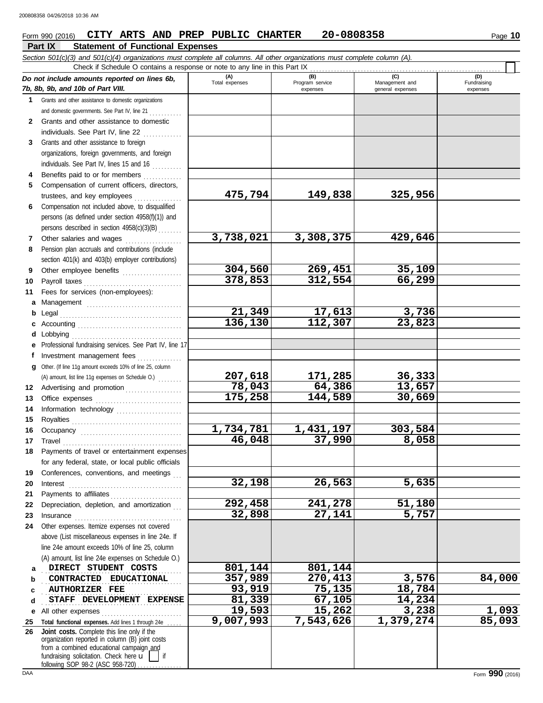### Form 990 (2016) Page **10 CITY ARTS AND PREP PUBLIC CHARTER 20-0808358**

#### **Part IX Statement of Functional Expenses** Г

|              | Check if Schedule O contains a response or note to any line in this Part IX                                                                                                                           |                       |                        |                       | (D)         |
|--------------|-------------------------------------------------------------------------------------------------------------------------------------------------------------------------------------------------------|-----------------------|------------------------|-----------------------|-------------|
|              | Do not include amounts reported on lines 6b,                                                                                                                                                          | (A)<br>Total expenses | (B)<br>Program service | (C)<br>Management and | Fundraising |
|              | 7b, 8b, 9b, and 10b of Part VIII.                                                                                                                                                                     |                       | expenses               | general expenses      | expenses    |
| $\mathbf 1$  | Grants and other assistance to domestic organizations                                                                                                                                                 |                       |                        |                       |             |
|              | and domestic governments. See Part IV, line 21                                                                                                                                                        |                       |                        |                       |             |
| $\mathbf{2}$ | Grants and other assistance to domestic                                                                                                                                                               |                       |                        |                       |             |
|              | individuals. See Part IV, line 22                                                                                                                                                                     |                       |                        |                       |             |
| 3            | Grants and other assistance to foreign                                                                                                                                                                |                       |                        |                       |             |
|              | organizations, foreign governments, and foreign                                                                                                                                                       |                       |                        |                       |             |
|              | individuals. See Part IV, lines 15 and 16                                                                                                                                                             |                       |                        |                       |             |
| 4            | Benefits paid to or for members                                                                                                                                                                       |                       |                        |                       |             |
| 5            | Compensation of current officers, directors,                                                                                                                                                          |                       |                        |                       |             |
|              | trustees, and key employees<br><u>.</u><br>1986 - Paul Barbara, president al II-lea                                                                                                                   | 475,794               | 149,838                | 325,956               |             |
| 6            | Compensation not included above, to disqualified                                                                                                                                                      |                       |                        |                       |             |
|              | persons (as defined under section 4958(f)(1)) and                                                                                                                                                     |                       |                        |                       |             |
|              | persons described in section 4958(c)(3)(B)                                                                                                                                                            |                       |                        |                       |             |
| 7            | Other salaries and wages                                                                                                                                                                              | 3,738,021             | 3,308,375              | 429,646               |             |
| 8            | Pension plan accruals and contributions (include                                                                                                                                                      |                       |                        |                       |             |
|              | section 401(k) and 403(b) employer contributions)                                                                                                                                                     |                       |                        |                       |             |
| 9            | Other employee benefits                                                                                                                                                                               | 304,560               | 269,451                | 35,109                |             |
| 10           | Payroll taxes                                                                                                                                                                                         | 378,853               | 312,554                | 66,299                |             |
| 11           | Fees for services (non-employees):                                                                                                                                                                    |                       |                        |                       |             |
| а            | Management                                                                                                                                                                                            |                       |                        |                       |             |
| b            |                                                                                                                                                                                                       | 21,349                | 17,613                 | 3,736                 |             |
|              |                                                                                                                                                                                                       | 136,130               | 112,307                | 23,823                |             |
| d            | Lobbying                                                                                                                                                                                              |                       |                        |                       |             |
| е            | Professional fundraising services. See Part IV, line 17                                                                                                                                               |                       |                        |                       |             |
| f            | Investment management fees                                                                                                                                                                            |                       |                        |                       |             |
| g            | Other. (If line 11g amount exceeds 10% of line 25, column                                                                                                                                             |                       |                        |                       |             |
|              | (A) amount, list line 11g expenses on Schedule O.)                                                                                                                                                    | 207,618               | 171,285                | 36,333                |             |
| 12           | Advertising and promotion                                                                                                                                                                             | 78,043                | 64,386                 | 13,657                |             |
| 13           |                                                                                                                                                                                                       | 175,258               | 144,589                | 30,669                |             |
| 14           | Information technology                                                                                                                                                                                |                       |                        |                       |             |
| 15           |                                                                                                                                                                                                       |                       |                        |                       |             |
| 16           |                                                                                                                                                                                                       | 1,734,781             | 1,431,197              | 303,584               |             |
| 17           | $\begin{minipage}{0.5\textwidth} \centering \begin{tabular}{@{}c@{}} \textbf{True} & \textbf{True} \\ \textbf{True} & \textbf{True} \\ \textbf{True} & \textbf{True} \\ \end{tabular} \end{minipage}$ | 46,048                | 37,990                 | 8,058                 |             |
| 18           | Payments of travel or entertainment expenses                                                                                                                                                          |                       |                        |                       |             |
|              | for any federal, state, or local public officials                                                                                                                                                     |                       |                        |                       |             |
| 19           | Conferences, conventions, and meetings                                                                                                                                                                |                       |                        |                       |             |
| 20           | Interest                                                                                                                                                                                              | 32,198                | 26,563                 | 5,635                 |             |
| 21           | Payments to affiliates                                                                                                                                                                                |                       |                        |                       |             |
| 22           | Depreciation, depletion, and amortization                                                                                                                                                             | 292,458               | 241,278                | 51,180                |             |
| 23           |                                                                                                                                                                                                       | 32,898                | 27,141                 | 5,757                 |             |
| 24           | Other expenses. Itemize expenses not covered                                                                                                                                                          |                       |                        |                       |             |
|              | above (List miscellaneous expenses in line 24e. If                                                                                                                                                    |                       |                        |                       |             |
|              | line 24e amount exceeds 10% of line 25, column                                                                                                                                                        |                       |                        |                       |             |
|              | (A) amount, list line 24e expenses on Schedule O.)                                                                                                                                                    |                       |                        |                       |             |
| а            | DIRECT STUDENT COSTS                                                                                                                                                                                  | 801,144               | 801,144                |                       |             |
| b            | CONTRACTED EDUCATIONAL                                                                                                                                                                                | 357,989               | 270,413                | 3,576                 | 84,000      |
| c            | <b>AUTHORIZER FEE</b>                                                                                                                                                                                 | 93,919                | 75,135                 | 18,784                |             |
| d            | STAFF DEVELOPMENT EXPENSE                                                                                                                                                                             | 81,339                | 67,105                 | 14,234                |             |
| е            | All other expenses                                                                                                                                                                                    | 19,593                | 15,262                 | 3,238                 | 1,093       |
| 25           | Total functional expenses. Add lines 1 through 24e                                                                                                                                                    | 9,007,993             | 7,543,626              | 1,379,274             | 85,093      |
| 26           | Joint costs. Complete this line only if the<br>organization reported in column (B) joint costs                                                                                                        |                       |                        |                       |             |
|              | from a combined educational campaign and                                                                                                                                                              |                       |                        |                       |             |
|              | fundraising solicitation. Check here u                                                                                                                                                                |                       |                        |                       |             |

following SOP 98-2 (ASC 958-720) . . . . . . . . . . . . .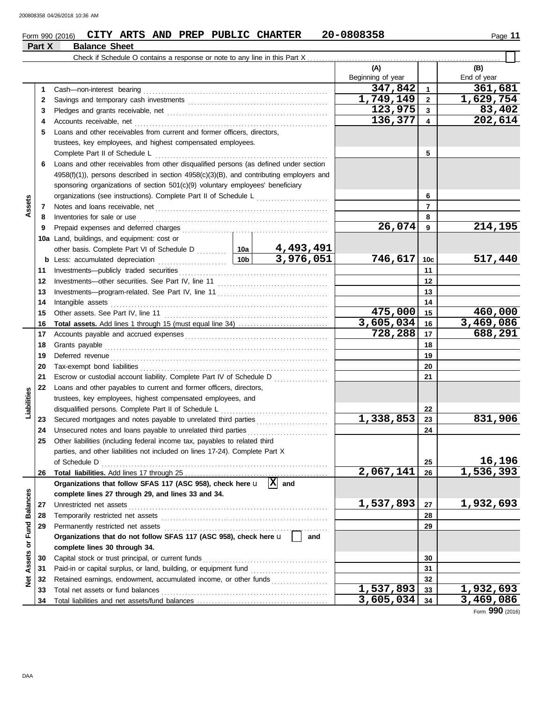### Form 990 (2016) Page **11 CITY ARTS AND PREP PUBLIC CHARTER 20-0808358 Part X Balance Sheet**

|                         |    |                                                                                              |           |                    | (A)<br>Beginning of year |                         | (B)<br>End of year |
|-------------------------|----|----------------------------------------------------------------------------------------------|-----------|--------------------|--------------------------|-------------------------|--------------------|
|                         | 1. | Cash-non-interest bearing                                                                    |           |                    | 347,842                  | $\mathbf{1}$            | 361,681            |
|                         | 2  |                                                                                              |           |                    | 1,749,149                | $\mathbf{2}$            | 1,629,754          |
|                         | 3  |                                                                                              |           |                    | 123,975                  | $\overline{\mathbf{3}}$ | 83,402             |
|                         | 4  | Accounts receivable, net                                                                     |           |                    | 136,377                  | 4                       | 202,614            |
|                         | 5  | Loans and other receivables from current and former officers, directors,                     |           |                    |                          |                         |                    |
|                         |    | trustees, key employees, and highest compensated employees.                                  |           |                    |                          |                         |                    |
|                         |    | Complete Part II of Schedule L                                                               |           |                    |                          | 5                       |                    |
|                         | 6. | Loans and other receivables from other disqualified persons (as defined under section        |           |                    |                          |                         |                    |
|                         |    | $4958(f)(1)$ , persons described in section $4958(c)(3)(B)$ , and contributing employers and |           |                    |                          |                         |                    |
|                         |    | sponsoring organizations of section 501(c)(9) voluntary employees' beneficiary               |           |                    |                          |                         |                    |
|                         |    |                                                                                              |           |                    |                          | 6                       |                    |
| Assets                  | 7  |                                                                                              |           |                    |                          | $\overline{7}$          |                    |
|                         | 8  | Inventories for sale or use                                                                  |           |                    |                          | 8                       |                    |
|                         | 9  |                                                                                              | 26,074    | 9                  | 214,195                  |                         |                    |
|                         |    | 10a Land, buildings, and equipment: cost or                                                  |           |                    |                          |                         |                    |
|                         |    | other basis. Complete Part VI of Schedule D  10a                                             |           | 4,493,491          |                          |                         |                    |
|                         |    |                                                                                              | 10b       | 3,976,051          | 746,617                  | 10 <sub>c</sub>         | 517,440            |
|                         | 11 |                                                                                              |           |                    |                          | 11                      |                    |
|                         | 12 |                                                                                              |           |                    |                          | 12                      |                    |
|                         | 13 |                                                                                              |           | 13                 |                          |                         |                    |
|                         | 14 | Intangible assets                                                                            |           |                    |                          | 14                      |                    |
|                         | 15 |                                                                                              |           |                    | 475,000                  | 15                      | 460,000            |
|                         | 16 |                                                                                              |           |                    | 3,605,034                | 16                      | 3,469,086          |
|                         | 17 |                                                                                              |           | 728,288            | 17                       | 688,291                 |                    |
|                         | 18 |                                                                                              |           |                    |                          | 18                      |                    |
|                         | 19 | Deferred revenue                                                                             |           |                    |                          | 19                      |                    |
|                         | 20 |                                                                                              |           |                    |                          | 20                      |                    |
|                         | 21 | Escrow or custodial account liability. Complete Part IV of Schedule D                        |           |                    |                          | 21                      |                    |
|                         | 22 | Loans and other payables to current and former officers, directors,                          |           |                    |                          |                         |                    |
| Liabilities             |    | trustees, key employees, highest compensated employees, and                                  |           |                    |                          |                         |                    |
|                         |    | disqualified persons. Complete Part II of Schedule L                                         |           |                    |                          | 22                      |                    |
|                         | 23 |                                                                                              |           |                    | 1,338,853                | 23                      | 831,906            |
|                         | 24 | Unsecured notes and loans payable to unrelated third parties                                 |           |                    |                          | 24                      |                    |
|                         | 25 | Other liabilities (including federal income tax, payables to related third                   |           |                    |                          |                         |                    |
|                         |    | parties, and other liabilities not included on lines 17-24). Complete Part X                 |           |                    |                          |                         |                    |
|                         |    | of Schedule D                                                                                |           |                    |                          | 25                      | 16,196             |
|                         | 26 |                                                                                              |           |                    | 2,067,141                | 26                      | 1,536,393          |
|                         |    | Organizations that follow SFAS 117 (ASC 958), check here u                                   |           | $\overline{X}$ and |                          |                         |                    |
|                         |    | complete lines 27 through 29, and lines 33 and 34.                                           |           |                    |                          |                         |                    |
|                         | 27 | Unrestricted net assets                                                                      |           |                    | 1,537,893                | 27                      | 1,932,693          |
|                         | 28 | Temporarily restricted net assets                                                            |           |                    |                          | 28                      |                    |
|                         | 29 | Permanently restricted net assets                                                            |           |                    |                          | 29                      |                    |
|                         |    | Organizations that do not follow SFAS 117 (ASC 958), check here u                            |           | and                |                          |                         |                    |
| Assets or Fund Balances |    | complete lines 30 through 34.                                                                |           |                    |                          |                         |                    |
|                         | 30 | Capital stock or trust principal, or current funds                                           |           | 30                 |                          |                         |                    |
|                         | 31 | Paid-in or capital surplus, or land, building, or equipment fund                             |           |                    |                          | 31                      |                    |
| ğ                       | 32 | Retained earnings, endowment, accumulated income, or other funds                             |           |                    |                          | 32                      |                    |
|                         | 33 | Total net assets or fund balances                                                            |           |                    | 1,537,893                | 33                      | 1,932,693          |
|                         | 34 |                                                                                              | 3,605,034 | 34                 | 3,469,086                |                         |                    |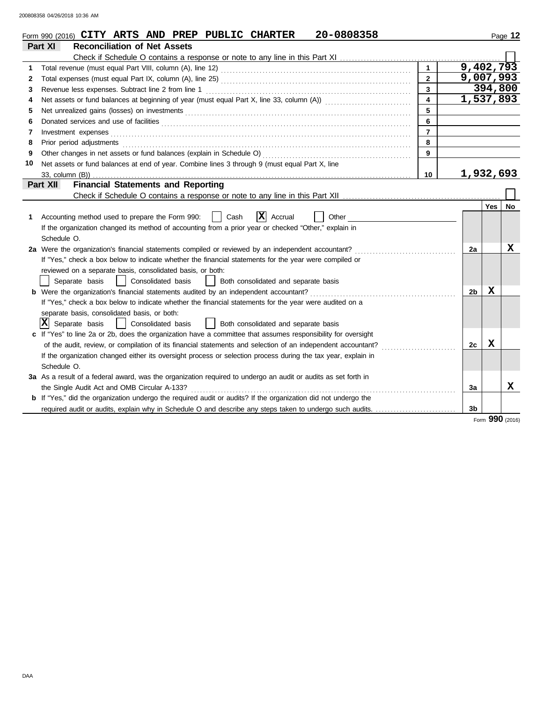|    | 20-0808358<br>Form 990 (2016) CITY ARTS AND PREP PUBLIC CHARTER                                                                                                                                                                |                         |                        |            | Page 12   |
|----|--------------------------------------------------------------------------------------------------------------------------------------------------------------------------------------------------------------------------------|-------------------------|------------------------|------------|-----------|
|    | Part XI<br><b>Reconciliation of Net Assets</b>                                                                                                                                                                                 |                         |                        |            |           |
|    |                                                                                                                                                                                                                                |                         |                        |            |           |
| 1  |                                                                                                                                                                                                                                | $\blacktriangleleft$    | 9,402,793              |            |           |
| 2  |                                                                                                                                                                                                                                | $\overline{2}$          | 9,007,993              |            |           |
| 3  | Revenue less expenses. Subtract line 2 from line 1                                                                                                                                                                             | $\overline{3}$          |                        | 394,800    |           |
| 4  | Net assets or fund balances at beginning of year (must equal Part X, line 33, column (A)) [[[[[[[[[[[[[[[[[[[                                                                                                                  | $\overline{\mathbf{4}}$ | $\overline{1,537,893}$ |            |           |
| 5  |                                                                                                                                                                                                                                | 5                       |                        |            |           |
| 6  | Donated services and use of facilities <b>constructs</b> and the service of facilities <b>constructs</b> and use of facilities                                                                                                 | 6                       |                        |            |           |
| 7  | Investment expenses <b>contract and the expenses</b>                                                                                                                                                                           | $\overline{7}$          |                        |            |           |
| 8  | Prior period adjustments entertainments and adjustments and account of the contract of the contract of the contract of the contract of the contract of the contract of the contract of the contract of the contract of the con | 8                       |                        |            |           |
| 9  |                                                                                                                                                                                                                                | 9                       |                        |            |           |
| 10 | Net assets or fund balances at end of year. Combine lines 3 through 9 (must equal Part X, line                                                                                                                                 |                         |                        |            |           |
|    | 33, column (B))                                                                                                                                                                                                                | 10                      | 1,932,693              |            |           |
|    | <b>Financial Statements and Reporting</b><br>Part XII                                                                                                                                                                          |                         |                        |            |           |
|    |                                                                                                                                                                                                                                |                         |                        |            |           |
|    |                                                                                                                                                                                                                                |                         |                        | <b>Yes</b> | <b>No</b> |
| 1  | <b>x</b><br>Accounting method used to prepare the Form 990:<br>Cash<br>Accrual<br>Other                                                                                                                                        |                         |                        |            |           |
|    | If the organization changed its method of accounting from a prior year or checked "Other," explain in                                                                                                                          |                         |                        |            |           |
|    | Schedule O.                                                                                                                                                                                                                    |                         |                        |            |           |
|    | 2a Were the organization's financial statements compiled or reviewed by an independent accountant?                                                                                                                             |                         | 2a                     |            | x         |
|    | If "Yes," check a box below to indicate whether the financial statements for the year were compiled or                                                                                                                         |                         |                        |            |           |
|    | reviewed on a separate basis, consolidated basis, or both:                                                                                                                                                                     |                         |                        |            |           |
|    | Separate basis<br>Consolidated basis<br>Both consolidated and separate basis<br>$\perp$                                                                                                                                        |                         |                        |            |           |
|    | Were the organization's financial statements audited by an independent accountant?                                                                                                                                             |                         | 2b                     | x          |           |
|    | If "Yes," check a box below to indicate whether the financial statements for the year were audited on a                                                                                                                        |                         |                        |            |           |
|    | separate basis, consolidated basis, or both:                                                                                                                                                                                   |                         |                        |            |           |
|    | x <br>Separate basis<br>Consolidated basis<br>$\perp$<br>Both consolidated and separate basis                                                                                                                                  |                         |                        |            |           |
|    | c If "Yes" to line 2a or 2b, does the organization have a committee that assumes responsibility for oversight                                                                                                                  |                         |                        |            |           |
|    | of the audit, review, or compilation of its financial statements and selection of an independent accountant?                                                                                                                   |                         | 2c                     | X          |           |
|    | If the organization changed either its oversight process or selection process during the tax year, explain in                                                                                                                  |                         |                        |            |           |
|    | Schedule O.                                                                                                                                                                                                                    |                         |                        |            |           |
|    | 3a As a result of a federal award, was the organization required to undergo an audit or audits as set forth in                                                                                                                 |                         |                        |            |           |
|    | the Single Audit Act and OMB Circular A-133?                                                                                                                                                                                   |                         | 3a                     |            | x         |
|    | <b>b</b> If "Yes," did the organization undergo the required audit or audits? If the organization did not undergo the                                                                                                          |                         |                        |            |           |
|    | required audit or audits, explain why in Schedule O and describe any steps taken to undergo such audits.                                                                                                                       |                         | 3 <sub>b</sub>         |            |           |

Form **990** (2016)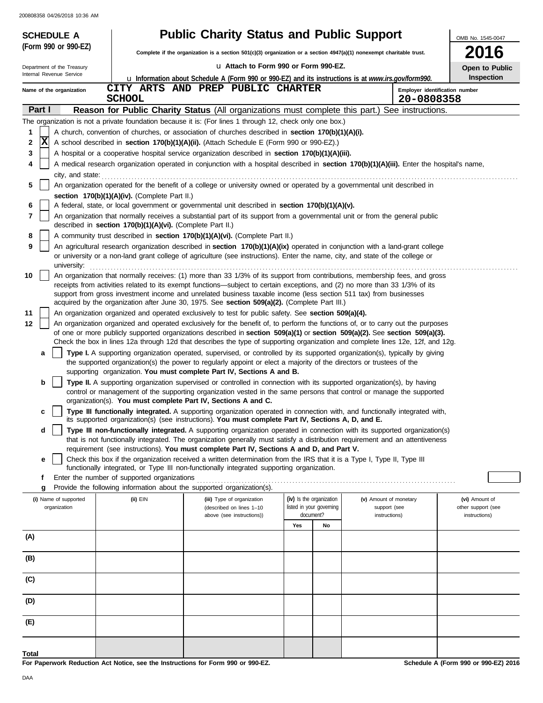|        | <b>SCHEDULE A</b>          |                                                            | <b>Public Charity Status and Public Support</b>                                                                                                                                                                                                                 |     |                          |                                              | OMB No. 1545-0047  |  |  |  |  |
|--------|----------------------------|------------------------------------------------------------|-----------------------------------------------------------------------------------------------------------------------------------------------------------------------------------------------------------------------------------------------------------------|-----|--------------------------|----------------------------------------------|--------------------|--|--|--|--|
|        | (Form 990 or 990-EZ)       |                                                            | <b>2016</b><br>Complete if the organization is a section $501(c)(3)$ organization or a section $4947(a)(1)$ nonexempt charitable trust.                                                                                                                         |     |                          |                                              |                    |  |  |  |  |
|        | Department of the Treasury |                                                            | La Attach to Form 990 or Form 990-EZ.<br>Open to Public                                                                                                                                                                                                         |     |                          |                                              |                    |  |  |  |  |
|        | Internal Revenue Service   |                                                            | <b>u</b> Information about Schedule A (Form 990 or 990-EZ) and its instructions is at www.irs.gov/form990.                                                                                                                                                      |     |                          |                                              | Inspection         |  |  |  |  |
|        | Name of the organization   | <b>SCHOOL</b>                                              | CITY ARTS AND PREP PUBLIC CHARTER                                                                                                                                                                                                                               |     |                          | Employer identification number<br>20-0808358 |                    |  |  |  |  |
| Part I |                            |                                                            | Reason for Public Charity Status (All organizations must complete this part.) See instructions.                                                                                                                                                                 |     |                          |                                              |                    |  |  |  |  |
|        |                            |                                                            | The organization is not a private foundation because it is: (For lines 1 through 12, check only one box.)                                                                                                                                                       |     |                          |                                              |                    |  |  |  |  |
| 1      |                            |                                                            | A church, convention of churches, or association of churches described in section 170(b)(1)(A)(i).                                                                                                                                                              |     |                          |                                              |                    |  |  |  |  |
| 2      | $\overline{\mathbf{x}}$    |                                                            | A school described in section 170(b)(1)(A)(ii). (Attach Schedule E (Form 990 or 990-EZ).)                                                                                                                                                                       |     |                          |                                              |                    |  |  |  |  |
| 3<br>4 |                            |                                                            | A hospital or a cooperative hospital service organization described in section 170(b)(1)(A)(iii).                                                                                                                                                               |     |                          |                                              |                    |  |  |  |  |
|        | city, and state:           |                                                            | A medical research organization operated in conjunction with a hospital described in section 170(b)(1)(A)(iii). Enter the hospital's name,                                                                                                                      |     |                          |                                              |                    |  |  |  |  |
| 5      |                            |                                                            | An organization operated for the benefit of a college or university owned or operated by a governmental unit described in                                                                                                                                       |     |                          |                                              |                    |  |  |  |  |
|        |                            | section 170(b)(1)(A)(iv). (Complete Part II.)              |                                                                                                                                                                                                                                                                 |     |                          |                                              |                    |  |  |  |  |
| 6      |                            |                                                            | A federal, state, or local government or governmental unit described in section 170(b)(1)(A)(v).                                                                                                                                                                |     |                          |                                              |                    |  |  |  |  |
| 7      |                            | described in section 170(b)(1)(A)(vi). (Complete Part II.) | An organization that normally receives a substantial part of its support from a governmental unit or from the general public                                                                                                                                    |     |                          |                                              |                    |  |  |  |  |
| 8      |                            |                                                            | A community trust described in section 170(b)(1)(A)(vi). (Complete Part II.)                                                                                                                                                                                    |     |                          |                                              |                    |  |  |  |  |
| 9      |                            |                                                            | An agricultural research organization described in section 170(b)(1)(A)(ix) operated in conjunction with a land-grant college<br>or university or a non-land grant college of agriculture (see instructions). Enter the name, city, and state of the college or |     |                          |                                              |                    |  |  |  |  |
| 10     | university:                |                                                            | An organization that normally receives: (1) more than 33 1/3% of its support from contributions, membership fees, and gross                                                                                                                                     |     |                          |                                              |                    |  |  |  |  |
|        |                            |                                                            | receipts from activities related to its exempt functions—subject to certain exceptions, and (2) no more than 33 1/3% of its                                                                                                                                     |     |                          |                                              |                    |  |  |  |  |
|        |                            |                                                            | support from gross investment income and unrelated business taxable income (less section 511 tax) from businesses<br>acquired by the organization after June 30, 1975. See section 509(a)(2). (Complete Part III.)                                              |     |                          |                                              |                    |  |  |  |  |
| 11     |                            |                                                            | An organization organized and operated exclusively to test for public safety. See section 509(a)(4).                                                                                                                                                            |     |                          |                                              |                    |  |  |  |  |
| 12     |                            |                                                            | An organization organized and operated exclusively for the benefit of, to perform the functions of, or to carry out the purposes                                                                                                                                |     |                          |                                              |                    |  |  |  |  |
|        |                            |                                                            | of one or more publicly supported organizations described in section 509(a)(1) or section 509(a)(2). See section 509(a)(3).<br>Check the box in lines 12a through 12d that describes the type of supporting organization and complete lines 12e, 12f, and 12g.  |     |                          |                                              |                    |  |  |  |  |
|        | a                          |                                                            | Type I. A supporting organization operated, supervised, or controlled by its supported organization(s), typically by giving                                                                                                                                     |     |                          |                                              |                    |  |  |  |  |
|        |                            |                                                            | the supported organization(s) the power to regularly appoint or elect a majority of the directors or trustees of the<br>supporting organization. You must complete Part IV, Sections A and B.                                                                   |     |                          |                                              |                    |  |  |  |  |
|        | b                          |                                                            | Type II. A supporting organization supervised or controlled in connection with its supported organization(s), by having                                                                                                                                         |     |                          |                                              |                    |  |  |  |  |
|        |                            |                                                            | control or management of the supporting organization vested in the same persons that control or manage the supported<br>organization(s). You must complete Part IV, Sections A and C.                                                                           |     |                          |                                              |                    |  |  |  |  |
|        | c                          |                                                            | Type III functionally integrated. A supporting organization operated in connection with, and functionally integrated with,                                                                                                                                      |     |                          |                                              |                    |  |  |  |  |
|        |                            |                                                            | its supported organization(s) (see instructions). You must complete Part IV, Sections A, D, and E.                                                                                                                                                              |     |                          |                                              |                    |  |  |  |  |
|        | d                          |                                                            | Type III non-functionally integrated. A supporting organization operated in connection with its supported organization(s)                                                                                                                                       |     |                          |                                              |                    |  |  |  |  |
|        |                            |                                                            | that is not functionally integrated. The organization generally must satisfy a distribution requirement and an attentiveness<br>requirement (see instructions). You must complete Part IV, Sections A and D, and Part V.                                        |     |                          |                                              |                    |  |  |  |  |
|        | е                          |                                                            | Check this box if the organization received a written determination from the IRS that it is a Type I, Type II, Type III                                                                                                                                         |     |                          |                                              |                    |  |  |  |  |
|        |                            |                                                            | functionally integrated, or Type III non-functionally integrated supporting organization.                                                                                                                                                                       |     |                          |                                              |                    |  |  |  |  |
|        | f<br>g                     | Enter the number of supported organizations                | Provide the following information about the supported organization(s).                                                                                                                                                                                          |     |                          |                                              |                    |  |  |  |  |
|        | (i) Name of supported      | $(ii)$ EIN                                                 | (iii) Type of organization                                                                                                                                                                                                                                      |     | (iv) Is the organization | (v) Amount of monetary                       | (vi) Amount of     |  |  |  |  |
|        | organization               |                                                            | (described on lines 1-10                                                                                                                                                                                                                                        |     | listed in your governing | support (see                                 | other support (see |  |  |  |  |
|        |                            |                                                            | above (see instructions))                                                                                                                                                                                                                                       | Yes | document?<br>No          | instructions)                                | instructions)      |  |  |  |  |
| (A)    |                            |                                                            |                                                                                                                                                                                                                                                                 |     |                          |                                              |                    |  |  |  |  |
| (B)    |                            |                                                            |                                                                                                                                                                                                                                                                 |     |                          |                                              |                    |  |  |  |  |
|        |                            |                                                            |                                                                                                                                                                                                                                                                 |     |                          |                                              |                    |  |  |  |  |
| (C)    |                            |                                                            |                                                                                                                                                                                                                                                                 |     |                          |                                              |                    |  |  |  |  |
| (D)    |                            |                                                            |                                                                                                                                                                                                                                                                 |     |                          |                                              |                    |  |  |  |  |
| (E)    |                            |                                                            |                                                                                                                                                                                                                                                                 |     |                          |                                              |                    |  |  |  |  |
| Total  |                            |                                                            |                                                                                                                                                                                                                                                                 |     |                          |                                              |                    |  |  |  |  |

**For Paperwork Reduction Act Notice, see the Instructions for Form 990 or 990-EZ.**

**Schedule A (Form 990 or 990-EZ) 2016**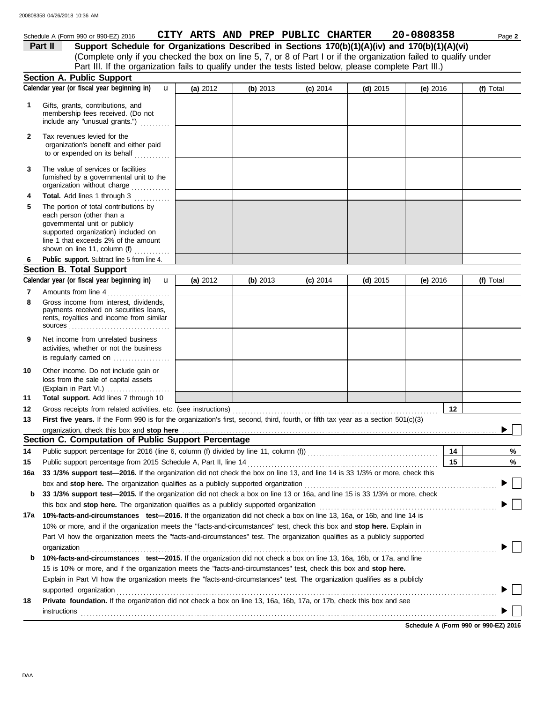### **Section A. Public Support** membership fees received. (Do not Gifts, grants, contributions, and Schedule A (Form 990 or 990-EZ) 2016 **CITY ARTS AND PREP PUBLIC CHARTER** 20-0808358 Page 2 **1 (a)** 2012 **(b)** 2013 **(c)** 2014 **(d)** 2015 **(e)** 2016 (Complete only if you checked the box on line 5, 7, or 8 of Part I or if the organization failed to qualify under **Part II** Support Schedule for Organizations Described in Sections 170(b)(1)(A)(iv) and 170(b)(1)(A)(vi) Calendar year (or fiscal year beginning in)  $\bf{u}$  (a) 2012 (b) 2013 (c) 2014 (d) 2015 (e) 2016 (f) Total Part III. If the organization fails to qualify under the tests listed below, please complete Part III.) u

|     | include any "unusual grants.")                                                                                                                                                                                                                                                                                                                               |          |            |            |            |            |    |                                      |
|-----|--------------------------------------------------------------------------------------------------------------------------------------------------------------------------------------------------------------------------------------------------------------------------------------------------------------------------------------------------------------|----------|------------|------------|------------|------------|----|--------------------------------------|
| 2   | Tax revenues levied for the<br>organization's benefit and either paid<br>to or expended on its behalf                                                                                                                                                                                                                                                        |          |            |            |            |            |    |                                      |
| 3   | The value of services or facilities<br>furnished by a governmental unit to the<br>organization without charge                                                                                                                                                                                                                                                |          |            |            |            |            |    |                                      |
| 4   | Total. Add lines 1 through 3                                                                                                                                                                                                                                                                                                                                 |          |            |            |            |            |    |                                      |
| 5   | The portion of total contributions by<br>each person (other than a<br>governmental unit or publicly<br>supported organization) included on<br>line 1 that exceeds 2% of the amount<br>shown on line 11, column (f)                                                                                                                                           |          |            |            |            |            |    |                                      |
| 6   | Public support. Subtract line 5 from line 4.                                                                                                                                                                                                                                                                                                                 |          |            |            |            |            |    |                                      |
|     | <b>Section B. Total Support</b>                                                                                                                                                                                                                                                                                                                              |          |            |            |            |            |    |                                      |
| 7   | Calendar year (or fiscal year beginning in)<br>$\mathbf{u}$<br>Amounts from line 4                                                                                                                                                                                                                                                                           | (a) 2012 | (b) $2013$ | $(c)$ 2014 | $(d)$ 2015 | (e) $2016$ |    | (f) Total                            |
| 8   | Gross income from interest, dividends,<br>payments received on securities loans,<br>rents, royalties and income from similar                                                                                                                                                                                                                                 |          |            |            |            |            |    |                                      |
| 9   | Net income from unrelated business<br>activities, whether or not the business<br>is regularly carried on                                                                                                                                                                                                                                                     |          |            |            |            |            |    |                                      |
| 10  | Other income. Do not include gain or<br>loss from the sale of capital assets<br>(Explain in Part VI.)                                                                                                                                                                                                                                                        |          |            |            |            |            |    |                                      |
| 11  | Total support. Add lines 7 through 10                                                                                                                                                                                                                                                                                                                        |          |            |            |            |            |    |                                      |
| 12  |                                                                                                                                                                                                                                                                                                                                                              |          |            |            |            |            | 12 |                                      |
| 13  | First five years. If the Form 990 is for the organization's first, second, third, fourth, or fifth tax year as a section 501(c)(3)                                                                                                                                                                                                                           |          |            |            |            |            |    |                                      |
|     | organization, check this box and stop here <i>conservation</i> and conservation of the conservation of the conservation of the conservation of the conservation of the conservation of the conservation of the conservation of the                                                                                                                           |          |            |            |            |            |    |                                      |
|     | Section C. Computation of Public Support Percentage                                                                                                                                                                                                                                                                                                          |          |            |            |            |            |    |                                      |
| 14  | Public support percentage for 2016 (line 6, column (f) divided by line 11, column (f)) [[[[[[[[[[[[[[[[[[[[[[                                                                                                                                                                                                                                                |          |            |            |            |            | 14 | %                                    |
| 15  |                                                                                                                                                                                                                                                                                                                                                              |          |            |            |            |            | 15 | %                                    |
| 16a | 33 1/3% support test-2016. If the organization did not check the box on line 13, and line 14 is 33 1/3% or more, check this                                                                                                                                                                                                                                  |          |            |            |            |            |    |                                      |
| b   | box and stop here. The organization qualifies as a publicly supported organization [11] content content content content content of the state of the state of the state of the state of the state of the state of the state of<br>33 1/3% support test-2015. If the organization did not check a box on line 13 or 16a, and line 15 is 33 1/3% or more, check |          |            |            |            |            |    |                                      |
|     | this box and stop here. The organization qualifies as a publicly supported organization                                                                                                                                                                                                                                                                      |          |            |            |            |            |    |                                      |
|     | 17a 10%-facts-and-circumstances test-2016. If the organization did not check a box on line 13, 16a, or 16b, and line 14 is                                                                                                                                                                                                                                   |          |            |            |            |            |    |                                      |
|     | 10% or more, and if the organization meets the "facts-and-circumstances" test, check this box and stop here. Explain in                                                                                                                                                                                                                                      |          |            |            |            |            |    |                                      |
|     | Part VI how the organization meets the "facts-and-circumstances" test. The organization qualifies as a publicly supported                                                                                                                                                                                                                                    |          |            |            |            |            |    |                                      |
|     | organization                                                                                                                                                                                                                                                                                                                                                 |          |            |            |            |            |    |                                      |
| b   | 10%-facts-and-circumstances test-2015. If the organization did not check a box on line 13, 16a, 16b, or 17a, and line                                                                                                                                                                                                                                        |          |            |            |            |            |    |                                      |
|     | 15 is 10% or more, and if the organization meets the "facts-and-circumstances" test, check this box and stop here.                                                                                                                                                                                                                                           |          |            |            |            |            |    |                                      |
|     | Explain in Part VI how the organization meets the "facts-and-circumstances" test. The organization qualifies as a publicly                                                                                                                                                                                                                                   |          |            |            |            |            |    |                                      |
|     |                                                                                                                                                                                                                                                                                                                                                              |          |            |            |            |            |    |                                      |
| 18  | supported organization contains and contains a supported organization of the supported organization contains and contains a supported organization contains a supported organization contains a supported or support of the su<br>Private foundation. If the organization did not check a box on line 13, 16a, 16b, 17a, or 17b, check this box and see      |          |            |            |            |            |    |                                      |
|     |                                                                                                                                                                                                                                                                                                                                                              |          |            |            |            |            |    |                                      |
|     | instructions                                                                                                                                                                                                                                                                                                                                                 |          |            |            |            |            |    |                                      |
|     |                                                                                                                                                                                                                                                                                                                                                              |          |            |            |            |            |    | Schedule A (Form 990 or 990-EZ) 2016 |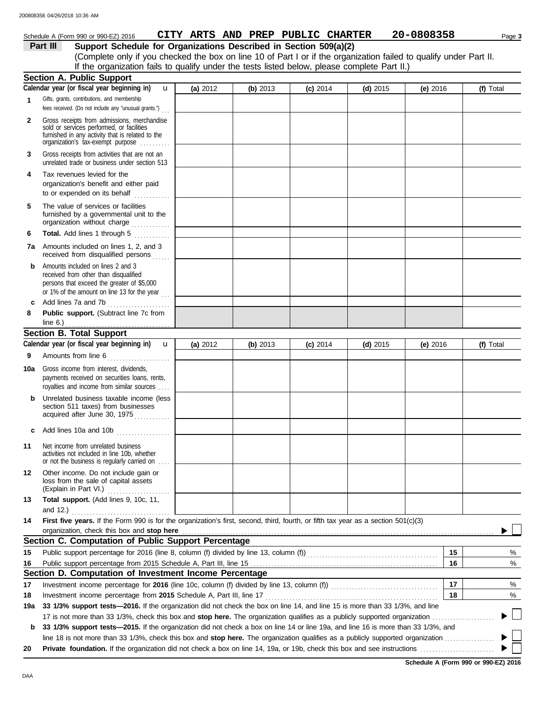## Schedule A (Form 990 or 990-EZ) 2016 **CITY ARTS AND PREP PUBLIC CHARTER** 20-0808358 Page 3

**Part III Support Schedule for Organizations Described in Section 509(a)(2)**

(Complete only if you checked the box on line 10 of Part I or if the organization failed to qualify under Part II. If the organization fails to qualify under the tests listed below, please complete Part II.)

|              | <b>Section A. Public Support</b>                                                                                                                                                  |          |          |            |            |          |          |                |
|--------------|-----------------------------------------------------------------------------------------------------------------------------------------------------------------------------------|----------|----------|------------|------------|----------|----------|----------------|
|              | Calendar year (or fiscal year beginning in)<br>u                                                                                                                                  | (a) 2012 | (b) 2013 | $(c)$ 2014 | $(d)$ 2015 | (e) 2016 |          | (f) Total      |
| $\mathbf{1}$ | Gifts, grants, contributions, and membership<br>fees received. (Do not include any "unusual grants.")                                                                             |          |          |            |            |          |          |                |
| 2            | Gross receipts from admissions, merchandise<br>sold or services performed, or facilities<br>furnished in any activity that is related to the<br>organization's tax-exempt purpose |          |          |            |            |          |          |                |
| 3            | Gross receipts from activities that are not an<br>unrelated trade or business under section 513                                                                                   |          |          |            |            |          |          |                |
| 4            | Tax revenues levied for the<br>organization's benefit and either paid<br>to or expended on its behalf                                                                             |          |          |            |            |          |          |                |
| 5            | The value of services or facilities<br>furnished by a governmental unit to the<br>organization without charge                                                                     |          |          |            |            |          |          |                |
| 6            | Total. Add lines 1 through 5                                                                                                                                                      |          |          |            |            |          |          |                |
|              | <b>7a</b> Amounts included on lines 1, 2, and 3<br>received from disqualified persons                                                                                             |          |          |            |            |          |          |                |
| b            | Amounts included on lines 2 and 3<br>received from other than disqualified<br>persons that exceed the greater of \$5,000<br>or 1% of the amount on line 13 for the year $\ldots$  |          |          |            |            |          |          |                |
| c            | Add lines 7a and 7b<br>.                                                                                                                                                          |          |          |            |            |          |          |                |
| 8            | Public support. (Subtract line 7c from                                                                                                                                            |          |          |            |            |          |          |                |
|              | line $6.$ )<br><b>Section B. Total Support</b>                                                                                                                                    |          |          |            |            |          |          |                |
|              | Calendar year (or fiscal year beginning in)<br>$\mathbf{u}$                                                                                                                       | (a) 2012 | (b) 2013 |            |            | (e) 2016 |          | (f) Total      |
| 9            |                                                                                                                                                                                   |          |          | $(c)$ 2014 | (d) $2015$ |          |          |                |
|              | Amounts from line 6<br>.                                                                                                                                                          |          |          |            |            |          |          |                |
| 10a          | Gross income from interest, dividends,<br>payments received on securities loans, rents,<br>royalties and income from similar sources                                              |          |          |            |            |          |          |                |
| b            | Unrelated business taxable income (less<br>section 511 taxes) from businesses<br>acquired after June 30, 1975                                                                     |          |          |            |            |          |          |                |
| C            | Add lines 10a and 10b                                                                                                                                                             |          |          |            |            |          |          |                |
| 11           | Net income from unrelated business<br>activities not included in line 10b, whether<br>or not the business is regularly carried on                                                 |          |          |            |            |          |          |                |
| 12           | Other income. Do not include gain or<br>loss from the sale of capital assets<br>(Explain in Part VI.)                                                                             |          |          |            |            |          |          |                |
| 13           | Total support. (Add lines 9, 10c, 11,                                                                                                                                             |          |          |            |            |          |          |                |
|              | and $12.$ )<br>.                                                                                                                                                                  |          |          |            |            |          |          |                |
| 14           | First five years. If the Form 990 is for the organization's first, second, third, fourth, or fifth tax year as a section 501(c)(3)                                                |          |          |            |            |          |          |                |
|              | organization, check this box and stop here<br>Section C. Computation of Public Support Percentage                                                                                 |          |          |            |            |          |          |                |
|              |                                                                                                                                                                                   |          |          |            |            |          |          |                |
| 15           | Public support percentage for 2016 (line 8, column (f) divided by line 13, column (f) [[[[[[[[[[[[[[[[[[[[[[[                                                                     |          |          |            |            |          | 15<br>16 | %              |
| 16           | Section D. Computation of Investment Income Percentage                                                                                                                            |          |          |            |            |          |          | %              |
| 17           |                                                                                                                                                                                   |          |          |            |            |          | 17       | %              |
| 18           | Investment income percentage from 2015 Schedule A, Part III, line 17                                                                                                              |          |          |            |            |          | 18       | %              |
| 19a          | 33 1/3% support tests—2016. If the organization did not check the box on line 14, and line 15 is more than 33 1/3%, and line                                                      |          |          |            |            |          |          |                |
|              | 17 is not more than 33 1/3%, check this box and stop here. The organization qualifies as a publicly supported organization                                                        |          |          |            |            |          |          | $\mathbb{R}^n$ |
| b            | 33 1/3% support tests-2015. If the organization did not check a box on line 14 or line 19a, and line 16 is more than 33 1/3%, and                                                 |          |          |            |            |          |          |                |
|              | line 18 is not more than 33 1/3%, check this box and stop here. The organization qualifies as a publicly supported organization                                                   |          |          |            |            |          |          | ▶ │            |
| 20           |                                                                                                                                                                                   |          |          |            |            |          |          | $\mathbf{L}$   |

**Schedule A (Form 990 or 990-EZ) 2016**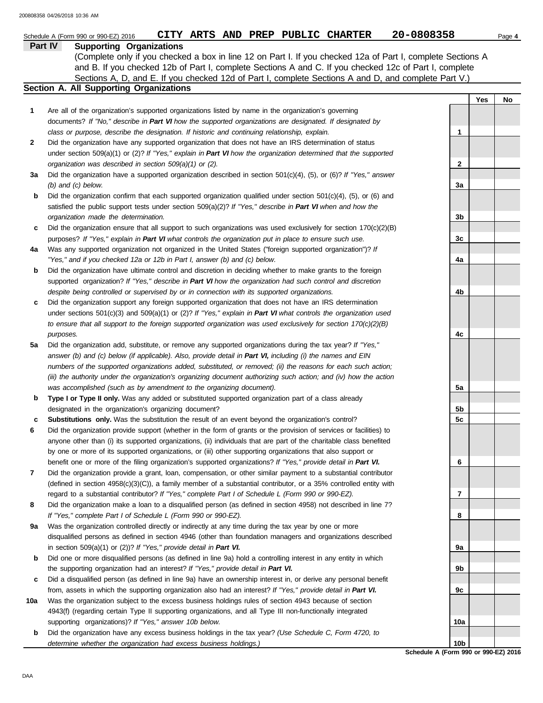|         | CITY ARTS AND PREP PUBLIC CHARTER<br>Schedule A (Form 990 or 990-EZ) 2016                                                                                                                                                 | 20-0808358                                           |     | Page 4 |
|---------|---------------------------------------------------------------------------------------------------------------------------------------------------------------------------------------------------------------------------|------------------------------------------------------|-----|--------|
| Part IV | <b>Supporting Organizations</b>                                                                                                                                                                                           |                                                      |     |        |
|         | (Complete only if you checked a box in line 12 on Part I. If you checked 12a of Part I, complete Sections A                                                                                                               |                                                      |     |        |
|         | and B. If you checked 12b of Part I, complete Sections A and C. If you checked 12c of Part I, complete                                                                                                                    |                                                      |     |        |
|         | Sections A, D, and E. If you checked 12d of Part I, complete Sections A and D, and complete Part V.)                                                                                                                      |                                                      |     |        |
|         | <b>Section A. All Supporting Organizations</b>                                                                                                                                                                            |                                                      |     |        |
|         |                                                                                                                                                                                                                           |                                                      | Yes | No     |
| 1       | Are all of the organization's supported organizations listed by name in the organization's governing                                                                                                                      |                                                      |     |        |
|         | documents? If "No," describe in Part VI how the supported organizations are designated. If designated by                                                                                                                  |                                                      |     |        |
|         | class or purpose, describe the designation. If historic and continuing relationship, explain.                                                                                                                             | 1                                                    |     |        |
| 2       | Did the organization have any supported organization that does not have an IRS determination of status<br>under section 509(a)(1) or (2)? If "Yes," explain in Part VI how the organization determined that the supported |                                                      |     |        |
|         | organization was described in section $509(a)(1)$ or (2).                                                                                                                                                                 | 2                                                    |     |        |
| За      | Did the organization have a supported organization described in section $501(c)(4)$ , (5), or (6)? If "Yes," answer                                                                                                       |                                                      |     |        |
|         | $(b)$ and $(c)$ below.                                                                                                                                                                                                    | 3a                                                   |     |        |
| b       | Did the organization confirm that each supported organization qualified under section $501(c)(4)$ , (5), or (6) and                                                                                                       |                                                      |     |        |
|         | satisfied the public support tests under section 509(a)(2)? If "Yes," describe in Part VI when and how the                                                                                                                |                                                      |     |        |
|         | organization made the determination.                                                                                                                                                                                      | 3b                                                   |     |        |
| c       | Did the organization ensure that all support to such organizations was used exclusively for section $170(c)(2)(B)$                                                                                                        |                                                      |     |        |
|         | purposes? If "Yes," explain in Part VI what controls the organization put in place to ensure such use.                                                                                                                    | 3c                                                   |     |        |
| 4a      | Was any supported organization not organized in the United States ("foreign supported organization")? If                                                                                                                  |                                                      |     |        |
|         | "Yes," and if you checked 12a or 12b in Part I, answer (b) and (c) below.                                                                                                                                                 | 4a                                                   |     |        |
| b       | Did the organization have ultimate control and discretion in deciding whether to make grants to the foreign                                                                                                               |                                                      |     |        |
|         | supported organization? If "Yes," describe in Part VI how the organization had such control and discretion                                                                                                                |                                                      |     |        |
|         | despite being controlled or supervised by or in connection with its supported organizations.                                                                                                                              | 4b                                                   |     |        |
| c       | Did the organization support any foreign supported organization that does not have an IRS determination                                                                                                                   |                                                      |     |        |
|         | under sections $501(c)(3)$ and $509(a)(1)$ or (2)? If "Yes," explain in Part VI what controls the organization used                                                                                                       |                                                      |     |        |
|         | to ensure that all support to the foreign supported organization was used exclusively for section $170(c)(2)(B)$                                                                                                          |                                                      |     |        |
|         | purposes.                                                                                                                                                                                                                 | 4c                                                   |     |        |
| 5a      | Did the organization add, substitute, or remove any supported organizations during the tax year? If "Yes,"                                                                                                                |                                                      |     |        |
|         | answer (b) and (c) below (if applicable). Also, provide detail in Part VI, including (i) the names and EIN                                                                                                                |                                                      |     |        |
|         | numbers of the supported organizations added, substituted, or removed; (ii) the reasons for each such action;                                                                                                             |                                                      |     |        |
|         | (iii) the authority under the organization's organizing document authorizing such action; and (iv) how the action                                                                                                         |                                                      |     |        |
|         | was accomplished (such as by amendment to the organizing document).                                                                                                                                                       | 5а                                                   |     |        |
| b       | Type I or Type II only. Was any added or substituted supported organization part of a class already                                                                                                                       |                                                      |     |        |
|         | designated in the organization's organizing document?                                                                                                                                                                     | 5b                                                   |     |        |
| c       | Substitutions only. Was the substitution the result of an event beyond the organization's control?                                                                                                                        | 5c                                                   |     |        |
| 6       | Did the organization provide support (whether in the form of grants or the provision of services or facilities) to                                                                                                        |                                                      |     |        |
|         | anyone other than (i) its supported organizations, (ii) individuals that are part of the charitable class benefited                                                                                                       |                                                      |     |        |
|         | by one or more of its supported organizations, or (iii) other supporting organizations that also support or                                                                                                               |                                                      |     |        |
|         | benefit one or more of the filing organization's supported organizations? If "Yes," provide detail in Part VI.                                                                                                            | 6                                                    |     |        |
| 7       | Did the organization provide a grant, loan, compensation, or other similar payment to a substantial contributor                                                                                                           |                                                      |     |        |
|         | (defined in section 4958(c)(3)(C)), a family member of a substantial contributor, or a 35% controlled entity with                                                                                                         |                                                      |     |        |
|         | regard to a substantial contributor? If "Yes," complete Part I of Schedule L (Form 990 or 990-EZ).                                                                                                                        | 7                                                    |     |        |
| 8       | Did the organization make a loan to a disqualified person (as defined in section 4958) not described in line 7?                                                                                                           |                                                      |     |        |
|         | If "Yes," complete Part I of Schedule L (Form 990 or 990-EZ).                                                                                                                                                             | 8                                                    |     |        |
| 9а      | Was the organization controlled directly or indirectly at any time during the tax year by one or more                                                                                                                     |                                                      |     |        |
|         | disqualified persons as defined in section 4946 (other than foundation managers and organizations described                                                                                                               |                                                      |     |        |
|         | in section 509(a)(1) or (2))? If "Yes," provide detail in Part VI.                                                                                                                                                        | 9а                                                   |     |        |
| b       | Did one or more disqualified persons (as defined in line 9a) hold a controlling interest in any entity in which                                                                                                           |                                                      |     |        |
|         | the supporting organization had an interest? If "Yes," provide detail in Part VI.                                                                                                                                         | 9b                                                   |     |        |
| c       | Did a disqualified person (as defined in line 9a) have an ownership interest in, or derive any personal benefit                                                                                                           |                                                      |     |        |
|         | from, assets in which the supporting organization also had an interest? If "Yes," provide detail in Part VI.                                                                                                              | 9с                                                   |     |        |
| 10a     | Was the organization subject to the excess business holdings rules of section 4943 because of section                                                                                                                     |                                                      |     |        |
|         | 4943(f) (regarding certain Type II supporting organizations, and all Type III non-functionally integrated                                                                                                                 |                                                      |     |        |
|         | supporting organizations)? If "Yes," answer 10b below.                                                                                                                                                                    | 10a                                                  |     |        |
| b       | Did the organization have any excess business holdings in the tax year? (Use Schedule C, Form 4720, to                                                                                                                    |                                                      |     |        |
|         | determine whether the organization had excess business holdings.)                                                                                                                                                         | 10b<br>$A$ (Faxed 000 as 000 EZ)<br><b>Calcadola</b> |     |        |

**Schedule A (Form 990 or 990-EZ) 2016**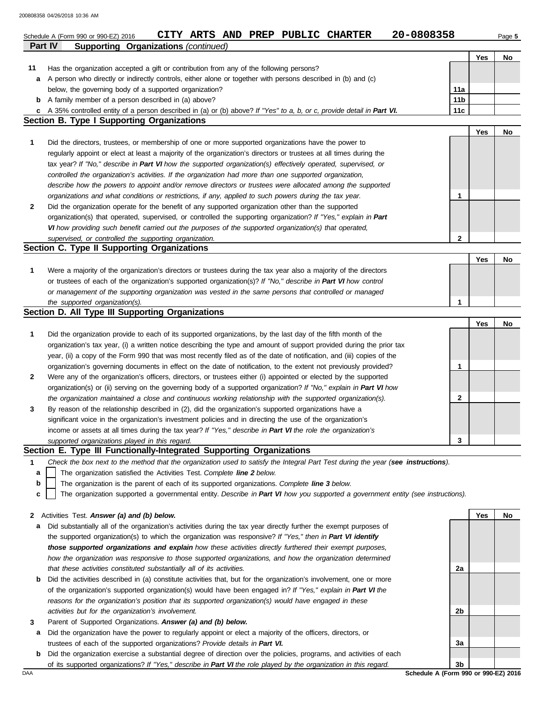|                | 20-0808358<br>CITY ARTS AND PREP PUBLIC CHARTER<br>Schedule A (Form 990 or 990-EZ) 2016                                                                                                                                              |                 |     | Page 5 |
|----------------|--------------------------------------------------------------------------------------------------------------------------------------------------------------------------------------------------------------------------------------|-----------------|-----|--------|
| <b>Part IV</b> | <b>Supporting Organizations (continued)</b>                                                                                                                                                                                          |                 |     |        |
|                |                                                                                                                                                                                                                                      |                 | Yes | No     |
| 11             | Has the organization accepted a gift or contribution from any of the following persons?                                                                                                                                              |                 |     |        |
| a              | A person who directly or indirectly controls, either alone or together with persons described in (b) and (c)                                                                                                                         |                 |     |        |
|                | below, the governing body of a supported organization?                                                                                                                                                                               | 11a             |     |        |
| b              | A family member of a person described in (a) above?                                                                                                                                                                                  | 11 <sub>b</sub> |     |        |
| c              | A 35% controlled entity of a person described in (a) or (b) above? If "Yes" to a, b, or c, provide detail in Part VI.<br><b>Section B. Type I Supporting Organizations</b>                                                           | 11c             |     |        |
|                |                                                                                                                                                                                                                                      |                 | Yes | No     |
| 1              | Did the directors, trustees, or membership of one or more supported organizations have the power to                                                                                                                                  |                 |     |        |
|                | regularly appoint or elect at least a majority of the organization's directors or trustees at all times during the                                                                                                                   |                 |     |        |
|                | tax year? If "No," describe in Part VI how the supported organization(s) effectively operated, supervised, or                                                                                                                        |                 |     |        |
|                | controlled the organization's activities. If the organization had more than one supported organization,                                                                                                                              |                 |     |        |
|                | describe how the powers to appoint and/or remove directors or trustees were allocated among the supported                                                                                                                            |                 |     |        |
|                | organizations and what conditions or restrictions, if any, applied to such powers during the tax year.                                                                                                                               | 1               |     |        |
| 2              | Did the organization operate for the benefit of any supported organization other than the supported                                                                                                                                  |                 |     |        |
|                | organization(s) that operated, supervised, or controlled the supporting organization? If "Yes," explain in Part                                                                                                                      |                 |     |        |
|                | VI how providing such benefit carried out the purposes of the supported organization(s) that operated,                                                                                                                               |                 |     |        |
|                | supervised, or controlled the supporting organization.                                                                                                                                                                               | $\mathbf{2}$    |     |        |
|                | Section C. Type II Supporting Organizations                                                                                                                                                                                          |                 |     |        |
|                |                                                                                                                                                                                                                                      |                 | Yes | No     |
| 1              | Were a majority of the organization's directors or trustees during the tax year also a majority of the directors                                                                                                                     |                 |     |        |
|                | or trustees of each of the organization's supported organization(s)? If "No," describe in Part VI how control                                                                                                                        |                 |     |        |
|                | or management of the supporting organization was vested in the same persons that controlled or managed                                                                                                                               |                 |     |        |
|                | the supported organization(s).                                                                                                                                                                                                       | $\mathbf{1}$    |     |        |
|                | Section D. All Type III Supporting Organizations                                                                                                                                                                                     |                 |     |        |
|                |                                                                                                                                                                                                                                      |                 | Yes | No     |
| 1              | Did the organization provide to each of its supported organizations, by the last day of the fifth month of the                                                                                                                       |                 |     |        |
|                | organization's tax year, (i) a written notice describing the type and amount of support provided during the prior tax                                                                                                                |                 |     |        |
|                | year, (ii) a copy of the Form 990 that was most recently filed as of the date of notification, and (iii) copies of the                                                                                                               |                 |     |        |
| 2              | organization's governing documents in effect on the date of notification, to the extent not previously provided?<br>Were any of the organization's officers, directors, or trustees either (i) appointed or elected by the supported | 1               |     |        |
|                | organization(s) or (ii) serving on the governing body of a supported organization? If "No," explain in Part VI how                                                                                                                   |                 |     |        |
|                | the organization maintained a close and continuous working relationship with the supported organization(s).                                                                                                                          | 2               |     |        |
| 3              | By reason of the relationship described in (2), did the organization's supported organizations have a                                                                                                                                |                 |     |        |
|                | significant voice in the organization's investment policies and in directing the use of the organization's                                                                                                                           |                 |     |        |
|                | income or assets at all times during the tax year? If "Yes," describe in Part VI the role the organization's                                                                                                                         |                 |     |        |
|                | supported organizations played in this regard.                                                                                                                                                                                       | 3               |     |        |
|                | Section E. Type III Functionally-Integrated Supporting Organizations                                                                                                                                                                 |                 |     |        |
| 1              | Check the box next to the method that the organization used to satisfy the Integral Part Test during the year (see instructions).                                                                                                    |                 |     |        |
| а              | The organization satisfied the Activities Test. Complete line 2 below.                                                                                                                                                               |                 |     |        |
| b              | The organization is the parent of each of its supported organizations. Complete line 3 below.                                                                                                                                        |                 |     |        |
| c              | The organization supported a governmental entity. Describe in Part VI how you supported a government entity (see instructions).                                                                                                      |                 |     |        |
|                |                                                                                                                                                                                                                                      |                 |     |        |
| 2              | Activities Test. Answer (a) and (b) below.                                                                                                                                                                                           |                 | Yes | No     |
| а              | Did substantially all of the organization's activities during the tax year directly further the exempt purposes of                                                                                                                   |                 |     |        |
|                | the supported organization(s) to which the organization was responsive? If "Yes," then in Part VI identify                                                                                                                           |                 |     |        |
|                | those supported organizations and explain how these activities directly furthered their exempt purposes,                                                                                                                             |                 |     |        |
|                | how the organization was responsive to those supported organizations, and how the organization determined                                                                                                                            |                 |     |        |
|                | that these activities constituted substantially all of its activities.                                                                                                                                                               | 2a              |     |        |
| b              | Did the activities described in (a) constitute activities that, but for the organization's involvement, one or more                                                                                                                  |                 |     |        |
|                | of the organization's supported organization(s) would have been engaged in? If "Yes," explain in Part VI the<br>reasons for the organization's position that its supported organization(s) would have engaged in these               |                 |     |        |
|                | activities but for the organization's involvement.                                                                                                                                                                                   | 2b              |     |        |
|                | Parent of Supported Organizations. Answer (a) and (b) below.                                                                                                                                                                         |                 |     |        |
| 3<br>а         | Did the organization have the power to regularly appoint or elect a majority of the officers, directors, or                                                                                                                          |                 |     |        |
|                | trustees of each of the supported organizations? Provide details in Part VI.                                                                                                                                                         | За              |     |        |
| b              | Did the organization exercise a substantial degree of direction over the policies, programs, and activities of each                                                                                                                  |                 |     |        |

| Did the organization exercise a substantial degree of direction over the policies, programs, and activities of each |
|---------------------------------------------------------------------------------------------------------------------|
| of its supported organizations? If "Yes," describe in Part VI the role played by the organization in this regard.   |

DAA **Schedule A (Form 990 or 990-EZ) 2016 3b**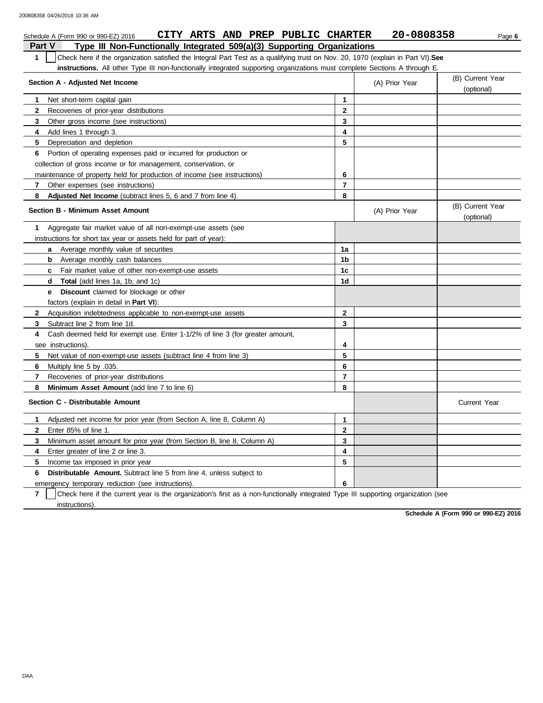|               | CITY ARTS AND PREP PUBLIC CHARTER<br>Schedule A (Form 990 or 990-EZ) 2016                                                        |                | 20-0808358     | Page 6                         |
|---------------|----------------------------------------------------------------------------------------------------------------------------------|----------------|----------------|--------------------------------|
| <b>Part V</b> | Type III Non-Functionally Integrated 509(a)(3) Supporting Organizations                                                          |                |                |                                |
| $\mathbf{1}$  | Check here if the organization satisfied the Integral Part Test as a qualifying trust on Nov. 20, 1970 (explain in Part VI). See |                |                |                                |
|               | instructions. All other Type III non-functionally integrated supporting organizations must complete Sections A through E.        |                |                |                                |
|               | Section A - Adjusted Net Income                                                                                                  |                | (A) Prior Year | (B) Current Year               |
|               |                                                                                                                                  |                |                | (optional)                     |
| 1.            | Net short-term capital gain                                                                                                      | $\mathbf{1}$   |                |                                |
| $\mathbf{2}$  | Recoveries of prior-year distributions                                                                                           | $\mathbf{2}$   |                |                                |
| 3             | Other gross income (see instructions)                                                                                            | 3              |                |                                |
| 4             | Add lines 1 through 3.                                                                                                           | 4              |                |                                |
| 5             | Depreciation and depletion                                                                                                       | 5              |                |                                |
| 6             | Portion of operating expenses paid or incurred for production or                                                                 |                |                |                                |
|               | collection of gross income or for management, conservation, or                                                                   |                |                |                                |
|               | maintenance of property held for production of income (see instructions)                                                         | 6              |                |                                |
| 7             | Other expenses (see instructions)                                                                                                | 7              |                |                                |
| 8             | Adjusted Net Income (subtract lines 5, 6 and 7 from line 4).                                                                     | 8              |                |                                |
|               | <b>Section B - Minimum Asset Amount</b>                                                                                          |                | (A) Prior Year | (B) Current Year<br>(optional) |
| 1             | Aggregate fair market value of all non-exempt-use assets (see                                                                    |                |                |                                |
|               | instructions for short tax year or assets held for part of year):                                                                |                |                |                                |
|               | <b>a</b> Average monthly value of securities                                                                                     | 1a             |                |                                |
|               | Average monthly cash balances<br>b                                                                                               | 1b             |                |                                |
|               | c Fair market value of other non-exempt-use assets                                                                               | 1 <sub>c</sub> |                |                                |
|               | <b>d</b> Total (add lines 1a, 1b, and 1c)                                                                                        | 1d             |                |                                |
|               | <b>Discount</b> claimed for blockage or other<br>e                                                                               |                |                |                                |
|               | factors (explain in detail in Part VI):                                                                                          |                |                |                                |
| $\mathbf{2}$  | Acquisition indebtedness applicable to non-exempt-use assets                                                                     | $\mathbf{2}$   |                |                                |
| 3             | Subtract line 2 from line 1d.                                                                                                    | 3              |                |                                |
| 4             | Cash deemed held for exempt use. Enter 1-1/2% of line 3 (for greater amount,                                                     |                |                |                                |
|               | see instructions).                                                                                                               | 4              |                |                                |
| 5             | Net value of non-exempt-use assets (subtract line 4 from line 3)                                                                 | 5              |                |                                |
| 6             | Multiply line 5 by .035.                                                                                                         | 6              |                |                                |
| 7             | Recoveries of prior-year distributions                                                                                           | $\overline{7}$ |                |                                |
| 8             | Minimum Asset Amount (add line 7 to line 6)                                                                                      | 8              |                |                                |
|               | Section C - Distributable Amount                                                                                                 |                |                | <b>Current Year</b>            |
| 1             | Adjusted net income for prior year (from Section A, line 8, Column A)                                                            | $\mathbf{1}$   |                |                                |
| $\mathbf{2}$  | Enter 85% of line 1.                                                                                                             | $\mathbf{2}$   |                |                                |
| 3             | Minimum asset amount for prior year (from Section B, line 8, Column A)                                                           | 3              |                |                                |
| 4             | Enter greater of line 2 or line 3.                                                                                               | 4              |                |                                |
| 5             | Income tax imposed in prior year                                                                                                 | 5              |                |                                |
| 6             | <b>Distributable Amount.</b> Subtract line 5 from line 4, unless subject to                                                      |                |                |                                |
|               | emergency temporary reduction (see instructions).                                                                                | 6              |                |                                |

**7** instructions). Check here if the current year is the organization's first as a non-functionally integrated Type III supporting organization (see

**Schedule A (Form 990 or 990-EZ) 2016**

DAA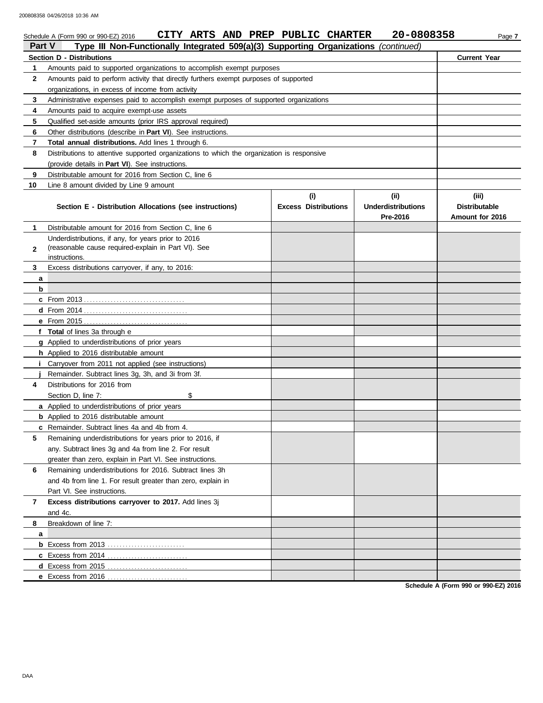| 20-0808358<br>CITY ARTS AND PREP PUBLIC CHARTER<br>Schedule A (Form 990 or 990-EZ) 2016<br>Page 7<br>Type III Non-Functionally Integrated 509(a)(3) Supporting Organizations<br><b>Part V</b><br>(continued) |                                                                                            |                             |                           |                      |  |
|--------------------------------------------------------------------------------------------------------------------------------------------------------------------------------------------------------------|--------------------------------------------------------------------------------------------|-----------------------------|---------------------------|----------------------|--|
|                                                                                                                                                                                                              | <b>Section D - Distributions</b>                                                           |                             |                           | <b>Current Year</b>  |  |
| 1                                                                                                                                                                                                            | Amounts paid to supported organizations to accomplish exempt purposes                      |                             |                           |                      |  |
| $\mathbf{2}$                                                                                                                                                                                                 | Amounts paid to perform activity that directly furthers exempt purposes of supported       |                             |                           |                      |  |
|                                                                                                                                                                                                              | organizations, in excess of income from activity                                           |                             |                           |                      |  |
| 3                                                                                                                                                                                                            | Administrative expenses paid to accomplish exempt purposes of supported organizations      |                             |                           |                      |  |
| 4                                                                                                                                                                                                            | Amounts paid to acquire exempt-use assets                                                  |                             |                           |                      |  |
| 5                                                                                                                                                                                                            | Qualified set-aside amounts (prior IRS approval required)                                  |                             |                           |                      |  |
| 6                                                                                                                                                                                                            | Other distributions (describe in <b>Part VI</b> ). See instructions.                       |                             |                           |                      |  |
| 7                                                                                                                                                                                                            | <b>Total annual distributions.</b> Add lines 1 through 6.                                  |                             |                           |                      |  |
| 8                                                                                                                                                                                                            | Distributions to attentive supported organizations to which the organization is responsive |                             |                           |                      |  |
|                                                                                                                                                                                                              | (provide details in Part VI). See instructions.                                            |                             |                           |                      |  |
| 9                                                                                                                                                                                                            | Distributable amount for 2016 from Section C, line 6                                       |                             |                           |                      |  |
| 10                                                                                                                                                                                                           | Line 8 amount divided by Line 9 amount                                                     |                             |                           |                      |  |
|                                                                                                                                                                                                              |                                                                                            | (i)                         | (iii)                     | (iii)                |  |
|                                                                                                                                                                                                              | Section E - Distribution Allocations (see instructions)                                    | <b>Excess Distributions</b> | <b>Underdistributions</b> | <b>Distributable</b> |  |
|                                                                                                                                                                                                              |                                                                                            |                             | Pre-2016                  | Amount for 2016      |  |
| 1                                                                                                                                                                                                            | Distributable amount for 2016 from Section C. line 6                                       |                             |                           |                      |  |
|                                                                                                                                                                                                              | Underdistributions, if any, for years prior to 2016                                        |                             |                           |                      |  |
| $\mathbf{2}$                                                                                                                                                                                                 | (reasonable cause required-explain in Part VI). See                                        |                             |                           |                      |  |
| 3                                                                                                                                                                                                            | instructions.<br>Excess distributions carryover, if any, to 2016:                          |                             |                           |                      |  |
|                                                                                                                                                                                                              |                                                                                            |                             |                           |                      |  |
| a<br>b                                                                                                                                                                                                       |                                                                                            |                             |                           |                      |  |
|                                                                                                                                                                                                              |                                                                                            |                             |                           |                      |  |
|                                                                                                                                                                                                              |                                                                                            |                             |                           |                      |  |
|                                                                                                                                                                                                              |                                                                                            |                             |                           |                      |  |
|                                                                                                                                                                                                              | f Total of lines 3a through e                                                              |                             |                           |                      |  |
|                                                                                                                                                                                                              | g Applied to underdistributions of prior years                                             |                             |                           |                      |  |
|                                                                                                                                                                                                              | <b>h</b> Applied to 2016 distributable amount                                              |                             |                           |                      |  |
|                                                                                                                                                                                                              | <i>i</i> Carryover from 2011 not applied (see instructions)                                |                             |                           |                      |  |
|                                                                                                                                                                                                              | Remainder. Subtract lines 3g, 3h, and 3i from 3f.                                          |                             |                           |                      |  |
| 4                                                                                                                                                                                                            | Distributions for 2016 from                                                                |                             |                           |                      |  |
|                                                                                                                                                                                                              | \$<br>Section D, line 7:                                                                   |                             |                           |                      |  |
|                                                                                                                                                                                                              | a Applied to underdistributions of prior years                                             |                             |                           |                      |  |
|                                                                                                                                                                                                              | <b>b</b> Applied to 2016 distributable amount                                              |                             |                           |                      |  |
|                                                                                                                                                                                                              | c Remainder. Subtract lines 4a and 4b from 4.                                              |                             |                           |                      |  |
| 5                                                                                                                                                                                                            | Remaining underdistributions for years prior to 2016, if                                   |                             |                           |                      |  |
|                                                                                                                                                                                                              | any. Subtract lines 3g and 4a from line 2. For result                                      |                             |                           |                      |  |
|                                                                                                                                                                                                              | greater than zero, explain in Part VI. See instructions.                                   |                             |                           |                      |  |
| 6                                                                                                                                                                                                            | Remaining underdistributions for 2016. Subtract lines 3h                                   |                             |                           |                      |  |
|                                                                                                                                                                                                              | and 4b from line 1. For result greater than zero, explain in                               |                             |                           |                      |  |
|                                                                                                                                                                                                              | Part VI. See instructions.                                                                 |                             |                           |                      |  |
| 7                                                                                                                                                                                                            | Excess distributions carryover to 2017. Add lines 3j                                       |                             |                           |                      |  |
|                                                                                                                                                                                                              | and 4c.                                                                                    |                             |                           |                      |  |
| 8                                                                                                                                                                                                            | Breakdown of line 7:                                                                       |                             |                           |                      |  |
| a                                                                                                                                                                                                            |                                                                                            |                             |                           |                      |  |
|                                                                                                                                                                                                              |                                                                                            |                             |                           |                      |  |
|                                                                                                                                                                                                              |                                                                                            |                             |                           |                      |  |
|                                                                                                                                                                                                              | <b>d</b> Excess from 2015                                                                  |                             |                           |                      |  |
|                                                                                                                                                                                                              | e Excess from 2016                                                                         |                             |                           |                      |  |

**Schedule A (Form 990 or 990-EZ) 2016**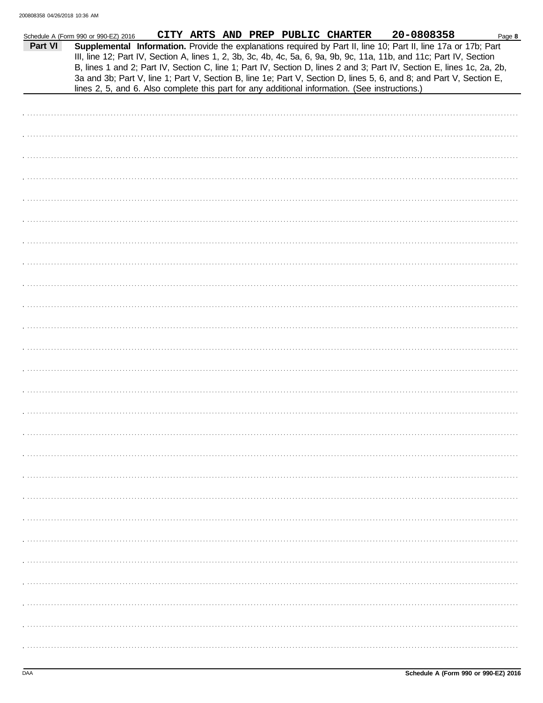|         | Schedule A (Form 990 or 990-EZ) 2016                                                                                 | CITY ARTS AND PREP PUBLIC CHARTER |  | 20-0808358<br>Page 8                                                                                                                                                                                                                                                                                                                                             |
|---------|----------------------------------------------------------------------------------------------------------------------|-----------------------------------|--|------------------------------------------------------------------------------------------------------------------------------------------------------------------------------------------------------------------------------------------------------------------------------------------------------------------------------------------------------------------|
| Part VI | III, line 12; Part IV, Section A, lines 1, 2, 3b, 3c, 4b, 4c, 5a, 6, 9a, 9b, 9c, 11a, 11b, and 11c; Part IV, Section |                                   |  | Supplemental Information. Provide the explanations required by Part II, line 10; Part II, line 17a or 17b; Part<br>B, lines 1 and 2; Part IV, Section C, line 1; Part IV, Section D, lines 2 and 3; Part IV, Section E, lines 1c, 2a, 2b,<br>3a and 3b; Part V, line 1; Part V, Section B, line 1e; Part V, Section D, lines 5, 6, and 8; and Part V, Section E, |
|         | lines 2, 5, and 6. Also complete this part for any additional information. (See instructions.)                       |                                   |  |                                                                                                                                                                                                                                                                                                                                                                  |
|         |                                                                                                                      |                                   |  |                                                                                                                                                                                                                                                                                                                                                                  |
|         |                                                                                                                      |                                   |  |                                                                                                                                                                                                                                                                                                                                                                  |
|         |                                                                                                                      |                                   |  |                                                                                                                                                                                                                                                                                                                                                                  |
|         |                                                                                                                      |                                   |  |                                                                                                                                                                                                                                                                                                                                                                  |
|         |                                                                                                                      |                                   |  |                                                                                                                                                                                                                                                                                                                                                                  |
|         |                                                                                                                      |                                   |  |                                                                                                                                                                                                                                                                                                                                                                  |
|         |                                                                                                                      |                                   |  |                                                                                                                                                                                                                                                                                                                                                                  |
|         |                                                                                                                      |                                   |  |                                                                                                                                                                                                                                                                                                                                                                  |
|         |                                                                                                                      |                                   |  |                                                                                                                                                                                                                                                                                                                                                                  |
|         |                                                                                                                      |                                   |  |                                                                                                                                                                                                                                                                                                                                                                  |
|         |                                                                                                                      |                                   |  |                                                                                                                                                                                                                                                                                                                                                                  |
|         |                                                                                                                      |                                   |  |                                                                                                                                                                                                                                                                                                                                                                  |
|         |                                                                                                                      |                                   |  |                                                                                                                                                                                                                                                                                                                                                                  |
|         |                                                                                                                      |                                   |  |                                                                                                                                                                                                                                                                                                                                                                  |
|         |                                                                                                                      |                                   |  |                                                                                                                                                                                                                                                                                                                                                                  |
|         |                                                                                                                      |                                   |  |                                                                                                                                                                                                                                                                                                                                                                  |
|         |                                                                                                                      |                                   |  |                                                                                                                                                                                                                                                                                                                                                                  |
|         |                                                                                                                      |                                   |  |                                                                                                                                                                                                                                                                                                                                                                  |
|         |                                                                                                                      |                                   |  |                                                                                                                                                                                                                                                                                                                                                                  |
|         |                                                                                                                      |                                   |  |                                                                                                                                                                                                                                                                                                                                                                  |
|         |                                                                                                                      |                                   |  |                                                                                                                                                                                                                                                                                                                                                                  |
|         |                                                                                                                      |                                   |  |                                                                                                                                                                                                                                                                                                                                                                  |
|         |                                                                                                                      |                                   |  |                                                                                                                                                                                                                                                                                                                                                                  |
|         |                                                                                                                      |                                   |  |                                                                                                                                                                                                                                                                                                                                                                  |
|         |                                                                                                                      |                                   |  |                                                                                                                                                                                                                                                                                                                                                                  |
|         |                                                                                                                      |                                   |  |                                                                                                                                                                                                                                                                                                                                                                  |
|         |                                                                                                                      |                                   |  |                                                                                                                                                                                                                                                                                                                                                                  |
|         |                                                                                                                      |                                   |  |                                                                                                                                                                                                                                                                                                                                                                  |
|         |                                                                                                                      |                                   |  |                                                                                                                                                                                                                                                                                                                                                                  |
|         |                                                                                                                      |                                   |  |                                                                                                                                                                                                                                                                                                                                                                  |
|         |                                                                                                                      |                                   |  |                                                                                                                                                                                                                                                                                                                                                                  |
|         |                                                                                                                      |                                   |  |                                                                                                                                                                                                                                                                                                                                                                  |
|         |                                                                                                                      |                                   |  |                                                                                                                                                                                                                                                                                                                                                                  |
|         |                                                                                                                      |                                   |  |                                                                                                                                                                                                                                                                                                                                                                  |
|         |                                                                                                                      |                                   |  |                                                                                                                                                                                                                                                                                                                                                                  |
|         |                                                                                                                      |                                   |  |                                                                                                                                                                                                                                                                                                                                                                  |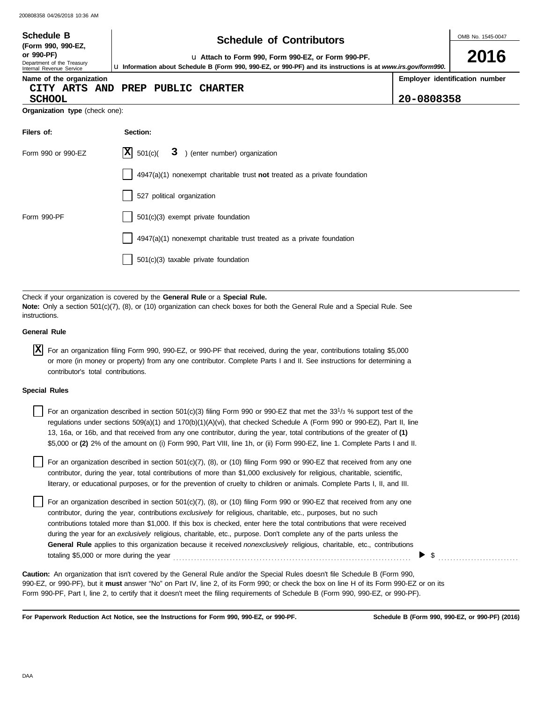| <b>Schedule B</b><br>(Form 990, 990-EZ,<br>or 990-PF)                                                                                                                                                                         | <b>Schedule of Contributors</b>                                                                                                                                                                                                               |            | OMB No. 1545-0047<br>2016      |  |  |  |  |
|-------------------------------------------------------------------------------------------------------------------------------------------------------------------------------------------------------------------------------|-----------------------------------------------------------------------------------------------------------------------------------------------------------------------------------------------------------------------------------------------|------------|--------------------------------|--|--|--|--|
| u Attach to Form 990, Form 990-EZ, or Form 990-PF.<br>Department of the Treasury<br>Lu Information about Schedule B (Form 990, 990-EZ, or 990-PF) and its instructions is at www.irs.gov/form990.<br>Internal Revenue Service |                                                                                                                                                                                                                                               |            |                                |  |  |  |  |
| Name of the organization<br>CITY ARTS AND<br><b>SCHOOL</b>                                                                                                                                                                    | PREP<br><b>PUBLIC CHARTER</b>                                                                                                                                                                                                                 | 20-0808358 | Employer identification number |  |  |  |  |
| Organization type (check one):                                                                                                                                                                                                |                                                                                                                                                                                                                                               |            |                                |  |  |  |  |
| Filers of:                                                                                                                                                                                                                    | Section:                                                                                                                                                                                                                                      |            |                                |  |  |  |  |
| Form 990 or 990-EZ                                                                                                                                                                                                            | $ \mathbf{X} $ 501(c)(<br>3 ) (enter number) organization                                                                                                                                                                                     |            |                                |  |  |  |  |
|                                                                                                                                                                                                                               | $4947(a)(1)$ nonexempt charitable trust not treated as a private foundation                                                                                                                                                                   |            |                                |  |  |  |  |
|                                                                                                                                                                                                                               | 527 political organization                                                                                                                                                                                                                    |            |                                |  |  |  |  |
| Form 990-PF                                                                                                                                                                                                                   | 501(c)(3) exempt private foundation                                                                                                                                                                                                           |            |                                |  |  |  |  |
|                                                                                                                                                                                                                               | 4947(a)(1) nonexempt charitable trust treated as a private foundation                                                                                                                                                                         |            |                                |  |  |  |  |
|                                                                                                                                                                                                                               | 501(c)(3) taxable private foundation                                                                                                                                                                                                          |            |                                |  |  |  |  |
|                                                                                                                                                                                                                               |                                                                                                                                                                                                                                               |            |                                |  |  |  |  |
| instructions.                                                                                                                                                                                                                 | Check if your organization is covered by the General Rule or a Special Rule.<br>Note: Only a section 501(c)(7), (8), or (10) organization can check boxes for both the General Rule and a Special Rule. See                                   |            |                                |  |  |  |  |
| <b>General Rule</b>                                                                                                                                                                                                           |                                                                                                                                                                                                                                               |            |                                |  |  |  |  |
| ΙX                                                                                                                                                                                                                            | For an organization filing Form 990, 990-EZ, or 990-PF that received, during the year, contributions totaling \$5,000<br>or more (in money or property) from any one contributor. Complete Parts I and II. See instructions for determining a |            |                                |  |  |  |  |

| $X$ For an organization filing Form 990, 990-EZ, or 990-PF that received, during the year, contributions totaling \$5,000 |
|---------------------------------------------------------------------------------------------------------------------------|
| or more (in money or property) from any one contributor. Complete Parts I and II. See instructions for determining a      |
| contributor's total contributions.                                                                                        |

### **Special Rules**

| For an organization described in section 501(c)(3) filing Form 990 or 990-EZ that met the 33 <sup>1</sup> /3 % support test of the |
|------------------------------------------------------------------------------------------------------------------------------------|
| regulations under sections 509(a)(1) and 170(b)(1)(A)(vi), that checked Schedule A (Form 990 or 990-EZ), Part II, line             |
| 13, 16a, or 16b, and that received from any one contributor, during the year, total contributions of the greater of (1)            |
| \$5,000 or (2) 2% of the amount on (i) Form 990, Part VIII, line 1h, or (ii) Form 990-EZ, line 1. Complete Parts I and II.         |

literary, or educational purposes, or for the prevention of cruelty to children or animals. Complete Parts I, II, and III. For an organization described in section  $501(c)(7)$ ,  $(8)$ , or  $(10)$  filing Form 990 or 990-EZ that received from any one contributor, during the year, total contributions of more than \$1,000 exclusively for religious, charitable, scientific,

For an organization described in section  $501(c)(7)$ ,  $(8)$ , or  $(10)$  filing Form 990 or 990-EZ that received from any one contributor, during the year, contributions *exclusively* for religious, charitable, etc., purposes, but no such contributions totaled more than \$1,000. If this box is checked, enter here the total contributions that were received during the year for an *exclusively* religious, charitable, etc., purpose. Don't complete any of the parts unless the **General Rule** applies to this organization because it received *nonexclusively* religious, charitable, etc., contributions totaling \$5,000 or more during the year . . . . . . . . . . . . . . . . . . . . . . . . . . . . . . . . . . . . . . . . . . . . . . . . . . . . . . . . . . . . . . . . . . . . . . . . . . . . . . . .

990-EZ, or 990-PF), but it **must** answer "No" on Part IV, line 2, of its Form 990; or check the box on line H of its Form 990-EZ or on its Form 990-PF, Part I, line 2, to certify that it doesn't meet the filing requirements of Schedule B (Form 990, 990-EZ, or 990-PF). **Caution:** An organization that isn't covered by the General Rule and/or the Special Rules doesn't file Schedule B (Form 990,

**For Paperwork Reduction Act Notice, see the Instructions for Form 990, 990-EZ, or 990-PF.**

\$ . . . . . . . . . . . . . . . . . . . . . . . . . . .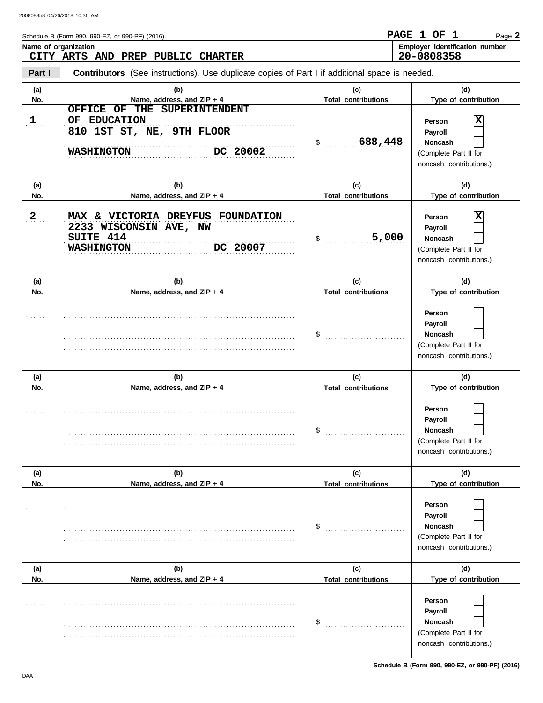|              | Schedule B (Form 990, 990-EZ, or 990-PF) (2016)                                                            |                                   | PAGE 1 OF 1<br>Page 2                                                                   |
|--------------|------------------------------------------------------------------------------------------------------------|-----------------------------------|-----------------------------------------------------------------------------------------|
|              | Name of organization                                                                                       |                                   | Employer identification number                                                          |
|              | CITY ARTS AND PREP PUBLIC CHARTER                                                                          |                                   | 20-0808358                                                                              |
| Part I       | Contributors (See instructions). Use duplicate copies of Part I if additional space is needed.             |                                   |                                                                                         |
| (a)<br>No.   | (b)<br>Name, address, and ZIP + 4                                                                          | (c)<br><b>Total contributions</b> | (d)<br>Type of contribution                                                             |
| $1$          | OFFICE OF THE SUPERINTENDENT<br>OF EDUCATION<br>810 1ST ST, NE, 9TH FLOOR<br>DC 20002<br><b>WASHINGTON</b> | 688,448<br>\$                     | Person<br>Payroll<br><b>Noncash</b><br>(Complete Part II for<br>noncash contributions.) |
| (a)          | (b)                                                                                                        | (c)                               | (d)                                                                                     |
| No.          | Name, address, and ZIP + 4                                                                                 | <b>Total contributions</b>        | Type of contribution                                                                    |
| $\mathbf{2}$ | MAX & VICTORIA DREYFUS FOUNDATION<br>2233 WISCONSIN AVE, NW<br>SUITE 414<br>DC 20007<br><b>WASHINGTON</b>  | 5,000<br>\$                       | Person<br>Payroll<br><b>Noncash</b><br>(Complete Part II for<br>noncash contributions.) |
| (a)<br>No.   | (b)<br>Name, address, and ZIP + 4                                                                          | (c)<br><b>Total contributions</b> | (d)<br>Type of contribution                                                             |
|              |                                                                                                            | \$                                | Person<br>Payroll<br><b>Noncash</b><br>(Complete Part II for<br>noncash contributions.) |
| (a)          | (b)                                                                                                        | (c)                               | (d)                                                                                     |
| No.          | Name, address, and ZIP + 4                                                                                 | <b>Total contributions</b>        | Type of contribution                                                                    |
|              |                                                                                                            | \$                                | Person<br>Payroll<br><b>Noncash</b><br>(Complete Part II for<br>noncash contributions.) |
| (a)<br>No.   | (b)<br>Name, address, and ZIP + 4                                                                          | (c)<br><b>Total contributions</b> | (d)<br>Type of contribution                                                             |
|              |                                                                                                            | \$<br>.                           | Person<br>Payroll<br><b>Noncash</b><br>(Complete Part II for<br>noncash contributions.) |

**(a) (b) (c) (d)** No. No. Name, address, and ZIP + 4 **Total contributions** Type of contribution

. . . . . . . . . . . . . . . . . . . . . . . . . . . . . . . . . . . . . . . . . . . . . . . . . . . . . . . . . . . . . . . . . . . . . . . . . . . . . . . . . . . . . . . . . . . . . . . . . . . . . . . . . . . . . . . . . . . . . . . . . . . . . . . . . . . . . . . . . . . . . . . . . . . . . . . . . .

. . . . . . . . . . . . . . . . . . . . . . . . . . . . . . . . . . . . . . . . . . . . . . . . . . . . . . . . . . . . . . . . . . . . . . . . . . . . .

(Complete Part II for noncash contributions.)

**Person Payroll Noncash**

\$ . . . . . . . . . . . . . . . . . . . . . . . . . . . .

**Total contributions**

. . . . . . .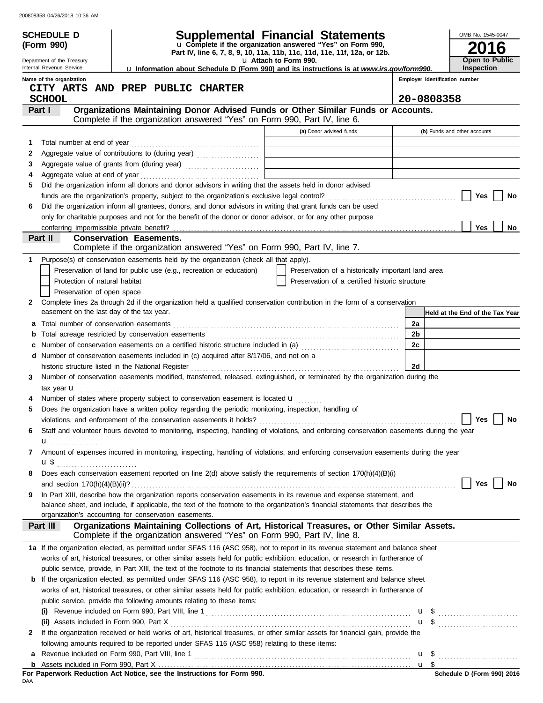|        | <b>SCHEDULE D</b>                                           | Supplemental Financial Statements                                                                                                                                                                                                                         |        |                                | OMB No. 1545-0047                   |
|--------|-------------------------------------------------------------|-----------------------------------------------------------------------------------------------------------------------------------------------------------------------------------------------------------------------------------------------------------|--------|--------------------------------|-------------------------------------|
|        | (Form 990)                                                  | u Complete if the organization answered "Yes" on Form 990,<br>Part IV, line 6, 7, 8, 9, 10, 11a, 11b, 11c, 11d, 11e, 11f, 12a, or 12b.                                                                                                                    |        |                                | О                                   |
|        | Department of the Treasury<br>Internal Revenue Service      | u Attach to Form 990.<br>La Information about Schedule D (Form 990) and its instructions is at www.irs.gov/form990.                                                                                                                                       |        |                                | Open to Public<br><b>Inspection</b> |
|        | Name of the organization                                    |                                                                                                                                                                                                                                                           |        | Employer identification number |                                     |
|        |                                                             | CITY ARTS AND PREP PUBLIC CHARTER                                                                                                                                                                                                                         |        |                                |                                     |
|        | <b>SCHOOL</b>                                               |                                                                                                                                                                                                                                                           |        | 20-0808358                     |                                     |
|        | Part I                                                      | Organizations Maintaining Donor Advised Funds or Other Similar Funds or Accounts.                                                                                                                                                                         |        |                                |                                     |
|        |                                                             | Complete if the organization answered "Yes" on Form 990, Part IV, line 6.                                                                                                                                                                                 |        |                                |                                     |
|        |                                                             | (a) Donor advised funds                                                                                                                                                                                                                                   |        | (b) Funds and other accounts   |                                     |
| 1      | Total number at end of year                                 |                                                                                                                                                                                                                                                           |        |                                |                                     |
| 2<br>3 |                                                             | Aggregate value of grants from (during year)                                                                                                                                                                                                              |        |                                |                                     |
| 4      |                                                             |                                                                                                                                                                                                                                                           |        |                                |                                     |
| 5      |                                                             | Did the organization inform all donors and donor advisors in writing that the assets held in donor advised                                                                                                                                                |        |                                |                                     |
|        |                                                             |                                                                                                                                                                                                                                                           |        |                                | Yes<br>No                           |
| 6      |                                                             | Did the organization inform all grantees, donors, and donor advisors in writing that grant funds can be used                                                                                                                                              |        |                                |                                     |
|        |                                                             | only for charitable purposes and not for the benefit of the donor or donor advisor, or for any other purpose                                                                                                                                              |        |                                |                                     |
|        |                                                             |                                                                                                                                                                                                                                                           |        |                                | Yes<br><b>No</b>                    |
|        | Part II                                                     | <b>Conservation Easements.</b>                                                                                                                                                                                                                            |        |                                |                                     |
|        |                                                             | Complete if the organization answered "Yes" on Form 990, Part IV, line 7.                                                                                                                                                                                 |        |                                |                                     |
| 1      |                                                             | Purpose(s) of conservation easements held by the organization (check all that apply).                                                                                                                                                                     |        |                                |                                     |
|        |                                                             | Preservation of land for public use (e.g., recreation or education)<br>Preservation of a historically important land area                                                                                                                                 |        |                                |                                     |
|        | Protection of natural habitat<br>Preservation of open space | Preservation of a certified historic structure                                                                                                                                                                                                            |        |                                |                                     |
| 2      |                                                             | Complete lines 2a through 2d if the organization held a qualified conservation contribution in the form of a conservation                                                                                                                                 |        |                                |                                     |
|        | easement on the last day of the tax year.                   |                                                                                                                                                                                                                                                           |        |                                | Held at the End of the Tax Year     |
| a      |                                                             |                                                                                                                                                                                                                                                           | 2a     |                                |                                     |
| b      |                                                             |                                                                                                                                                                                                                                                           | 2b     |                                |                                     |
| c      |                                                             | Number of conservation easements on a certified historic structure included in (a) [[[[[ [ [ ]]]                                                                                                                                                          | 2c     |                                |                                     |
| d      |                                                             | Number of conservation easements included in (c) acquired after 8/17/06, and not on a                                                                                                                                                                     |        |                                |                                     |
|        |                                                             | historic structure listed in the National Register                                                                                                                                                                                                        | 2d     |                                |                                     |
| 3      |                                                             | Number of conservation easements modified, transferred, released, extinguished, or terminated by the organization during the                                                                                                                              |        |                                |                                     |
|        | tax year $\mathbf{u}$                                       |                                                                                                                                                                                                                                                           |        |                                |                                     |
|        |                                                             | Number of states where property subject to conservation easement is located u                                                                                                                                                                             |        |                                |                                     |
| 5      |                                                             | Does the organization have a written policy regarding the periodic monitoring, inspection, handling of                                                                                                                                                    |        |                                |                                     |
|        |                                                             |                                                                                                                                                                                                                                                           |        |                                | Yes $\boxed{\phantom{0}}$ No        |
| 6      |                                                             | Staff and volunteer hours devoted to monitoring, inspecting, handling of violations, and enforcing conservation easements during the year                                                                                                                 |        |                                |                                     |
|        | u <sub></sub>                                               |                                                                                                                                                                                                                                                           |        |                                |                                     |
| 7      |                                                             | Amount of expenses incurred in monitoring, inspecting, handling of violations, and enforcing conservation easements during the year                                                                                                                       |        |                                |                                     |
|        | <b>u</b> \$                                                 |                                                                                                                                                                                                                                                           |        |                                |                                     |
| 8      |                                                             | Does each conservation easement reported on line 2(d) above satisfy the requirements of section 170(h)(4)(B)(i)                                                                                                                                           |        |                                |                                     |
|        |                                                             |                                                                                                                                                                                                                                                           |        |                                | Yes<br>No                           |
| 9      |                                                             | In Part XIII, describe how the organization reports conservation easements in its revenue and expense statement, and<br>balance sheet, and include, if applicable, the text of the footnote to the organization's financial statements that describes the |        |                                |                                     |
|        |                                                             | organization's accounting for conservation easements.                                                                                                                                                                                                     |        |                                |                                     |
|        | Part III                                                    | Organizations Maintaining Collections of Art, Historical Treasures, or Other Similar Assets.                                                                                                                                                              |        |                                |                                     |
|        |                                                             | Complete if the organization answered "Yes" on Form 990, Part IV, line 8.                                                                                                                                                                                 |        |                                |                                     |
|        |                                                             | 1a If the organization elected, as permitted under SFAS 116 (ASC 958), not to report in its revenue statement and balance sheet                                                                                                                           |        |                                |                                     |
|        |                                                             | works of art, historical treasures, or other similar assets held for public exhibition, education, or research in furtherance of                                                                                                                          |        |                                |                                     |
|        |                                                             | public service, provide, in Part XIII, the text of the footnote to its financial statements that describes these items.                                                                                                                                   |        |                                |                                     |
|        |                                                             | <b>b</b> If the organization elected, as permitted under SFAS 116 (ASC 958), to report in its revenue statement and balance sheet                                                                                                                         |        |                                |                                     |
|        |                                                             | works of art, historical treasures, or other similar assets held for public exhibition, education, or research in furtherance of                                                                                                                          |        |                                |                                     |
|        |                                                             | public service, provide the following amounts relating to these items:                                                                                                                                                                                    |        |                                |                                     |
|        |                                                             |                                                                                                                                                                                                                                                           |        |                                |                                     |
|        |                                                             |                                                                                                                                                                                                                                                           |        |                                | $\mathbf{u}$ \$ $\ldots$            |
| 2      |                                                             | If the organization received or held works of art, historical treasures, or other similar assets for financial gain, provide the                                                                                                                          |        |                                |                                     |
|        |                                                             | following amounts required to be reported under SFAS 116 (ASC 958) relating to these items:                                                                                                                                                               |        |                                |                                     |
| a      |                                                             |                                                                                                                                                                                                                                                           | $u \$  |                                |                                     |
|        |                                                             | For Paperwork Reduction Act Notice, see the Instructions for Form 990.                                                                                                                                                                                    | $u$ \$ |                                | Schedule D (Form 990) 2016          |
| DAA    |                                                             |                                                                                                                                                                                                                                                           |        |                                |                                     |

|     |  |  |  | For Paperwork Reduction Act Notice, see the Instructions for Form 990. |  |  |
|-----|--|--|--|------------------------------------------------------------------------|--|--|
| DAA |  |  |  |                                                                        |  |  |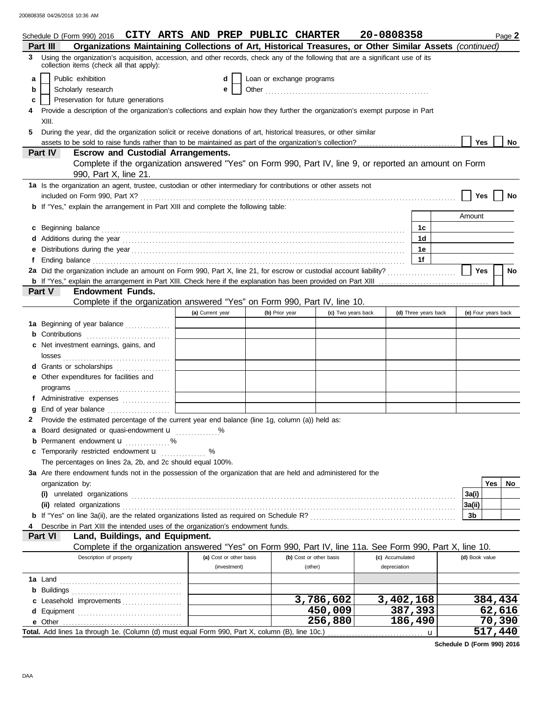|   | Schedule D (Form 990) 2016 CITY ARTS AND PREP PUBLIC CHARTER                                                                       |                                                      |                           |                         |                      | 20-0808358      |                      |                     |     | Page 2  |
|---|------------------------------------------------------------------------------------------------------------------------------------|------------------------------------------------------|---------------------------|-------------------------|----------------------|-----------------|----------------------|---------------------|-----|---------|
|   | Organizations Maintaining Collections of Art, Historical Treasures, or Other Similar Assets (continued)<br>Part III                |                                                      |                           |                         |                      |                 |                      |                     |     |         |
|   | 3 Using the organization's acquisition, accession, and other records, check any of the following that are a significant use of its |                                                      |                           |                         |                      |                 |                      |                     |     |         |
|   | collection items (check all that apply):                                                                                           |                                                      |                           |                         |                      |                 |                      |                     |     |         |
| a | Public exhibition                                                                                                                  | d                                                    | Loan or exchange programs |                         |                      |                 |                      |                     |     |         |
| b | Scholarly research                                                                                                                 | e                                                    |                           |                         |                      |                 |                      |                     |     |         |
| c | Preservation for future generations                                                                                                |                                                      |                           |                         |                      |                 |                      |                     |     |         |
|   | Provide a description of the organization's collections and explain how they further the organization's exempt purpose in Part     |                                                      |                           |                         |                      |                 |                      |                     |     |         |
|   | XIII.                                                                                                                              |                                                      |                           |                         |                      |                 |                      |                     |     |         |
| 5 | During the year, did the organization solicit or receive donations of art, historical treasures, or other similar                  |                                                      |                           |                         |                      |                 |                      |                     |     |         |
|   | assets to be sold to raise funds rather than to be maintained as part of the organization's collection?                            |                                                      |                           |                         |                      |                 |                      | Yes                 |     | No.     |
|   | Part IV<br><b>Escrow and Custodial Arrangements.</b>                                                                               |                                                      |                           |                         |                      |                 |                      |                     |     |         |
|   | Complete if the organization answered "Yes" on Form 990, Part IV, line 9, or reported an amount on Form                            |                                                      |                           |                         |                      |                 |                      |                     |     |         |
|   | 990, Part X, line 21.                                                                                                              |                                                      |                           |                         |                      |                 |                      |                     |     |         |
|   | 1a Is the organization an agent, trustee, custodian or other intermediary for contributions or other assets not                    |                                                      |                           |                         |                      |                 |                      |                     |     |         |
|   |                                                                                                                                    |                                                      |                           |                         |                      |                 |                      | Yes                 |     | No      |
|   | <b>b</b> If "Yes," explain the arrangement in Part XIII and complete the following table:                                          |                                                      |                           |                         |                      |                 |                      |                     |     |         |
|   |                                                                                                                                    |                                                      |                           |                         |                      |                 |                      | Amount              |     |         |
|   | c Beginning balance                                                                                                                |                                                      |                           |                         |                      |                 | 1c                   |                     |     |         |
|   |                                                                                                                                    |                                                      |                           |                         |                      |                 | 1d                   |                     |     |         |
|   | Additions during the year contact the search contact the year contact the year contact the year contact the year                   |                                                      |                           |                         |                      |                 | 1е                   |                     |     |         |
|   |                                                                                                                                    |                                                      |                           |                         |                      |                 | 1f                   |                     |     |         |
|   | 2a Did the organization include an amount on Form 990, Part X, line 21, for escrow or custodial account liability?                 |                                                      |                           |                         |                      |                 |                      | Yes                 |     | No      |
|   |                                                                                                                                    |                                                      |                           |                         |                      |                 |                      |                     |     |         |
|   | Part V<br><b>Endowment Funds.</b>                                                                                                  |                                                      |                           |                         |                      |                 |                      |                     |     |         |
|   | Complete if the organization answered "Yes" on Form 990, Part IV, line 10.                                                         |                                                      |                           |                         |                      |                 |                      |                     |     |         |
|   |                                                                                                                                    | (a) Current year                                     | (b) Prior year            |                         | (c) Two years back   |                 | (d) Three years back | (e) Four years back |     |         |
|   |                                                                                                                                    |                                                      |                           |                         |                      |                 |                      |                     |     |         |
|   | 1a Beginning of year balance                                                                                                       |                                                      |                           |                         |                      |                 |                      |                     |     |         |
|   | <b>b</b> Contributions <b>contributions</b>                                                                                        |                                                      |                           |                         |                      |                 |                      |                     |     |         |
| с | Net investment earnings, gains, and                                                                                                |                                                      |                           |                         |                      |                 |                      |                     |     |         |
|   | losses                                                                                                                             |                                                      |                           |                         |                      |                 |                      |                     |     |         |
|   | <b>d</b> Grants or scholarships                                                                                                    |                                                      |                           |                         |                      |                 |                      |                     |     |         |
|   | e Other expenditures for facilities and                                                                                            |                                                      |                           |                         |                      |                 |                      |                     |     |         |
|   |                                                                                                                                    |                                                      |                           |                         |                      |                 |                      |                     |     |         |
|   |                                                                                                                                    | <u> 1990 - Johann Barbara, politik eta politikar</u> |                           |                         |                      |                 |                      |                     |     |         |
|   | End of year balance <i></i>                                                                                                        |                                                      |                           |                         |                      |                 |                      |                     |     |         |
|   | 2 Provide the estimated percentage of the current year end balance (line 1g, column (a)) held as:                                  |                                                      |                           |                         |                      |                 |                      |                     |     |         |
|   | Board designated or quasi-endowment u %                                                                                            |                                                      |                           |                         |                      |                 |                      |                     |     |         |
|   | <b>b</b> Permanent endowment $\mathbf{u}$ %                                                                                        |                                                      |                           |                         |                      |                 |                      |                     |     |         |
|   | Temporarily restricted endowment <b>u</b>                                                                                          | %                                                    |                           |                         |                      |                 |                      |                     |     |         |
|   | The percentages on lines 2a, 2b, and 2c should equal 100%.                                                                         |                                                      |                           |                         |                      |                 |                      |                     |     |         |
|   | 3a Are there endowment funds not in the possession of the organization that are held and administered for the                      |                                                      |                           |                         |                      |                 |                      |                     |     |         |
|   | organization by:                                                                                                                   |                                                      |                           |                         |                      |                 |                      |                     | Yes | No      |
|   |                                                                                                                                    |                                                      |                           |                         |                      |                 |                      | 3a(i)               |     |         |
|   | (ii) related organizations                                                                                                         |                                                      |                           |                         |                      |                 |                      | 3a(ii)              |     |         |
|   |                                                                                                                                    |                                                      |                           |                         |                      |                 |                      | 3b                  |     |         |
|   | Describe in Part XIII the intended uses of the organization's endowment funds.                                                     |                                                      |                           |                         |                      |                 |                      |                     |     |         |
|   | Land, Buildings, and Equipment.<br>Part VI                                                                                         |                                                      |                           |                         |                      |                 |                      |                     |     |         |
|   | Complete if the organization answered "Yes" on Form 990, Part IV, line 11a. See Form 990, Part X, line 10.                         |                                                      |                           |                         |                      |                 |                      |                     |     |         |
|   | Description of property                                                                                                            | (a) Cost or other basis                              |                           | (b) Cost or other basis |                      | (c) Accumulated |                      | (d) Book value      |     |         |
|   |                                                                                                                                    | (investment)                                         |                           | (other)                 |                      | depreciation    |                      |                     |     |         |
|   | 1a Land                                                                                                                            |                                                      |                           |                         |                      |                 |                      |                     |     |         |
|   | <b>b</b> Buildings                                                                                                                 |                                                      |                           |                         |                      |                 |                      |                     |     |         |
|   | c Leasehold improvements                                                                                                           |                                                      |                           |                         | 3,786,602            | 3,402,168       |                      |                     |     | 384,434 |
|   |                                                                                                                                    |                                                      |                           |                         | $\overline{450,009}$ |                 | 387,393              |                     |     | 62,616  |
|   |                                                                                                                                    |                                                      |                           |                         | 256,880              |                 | 186,490              |                     |     | 70,390  |
|   |                                                                                                                                    |                                                      |                           |                         |                      |                 |                      |                     |     | 517,440 |

**Schedule D (Form 990) 2016**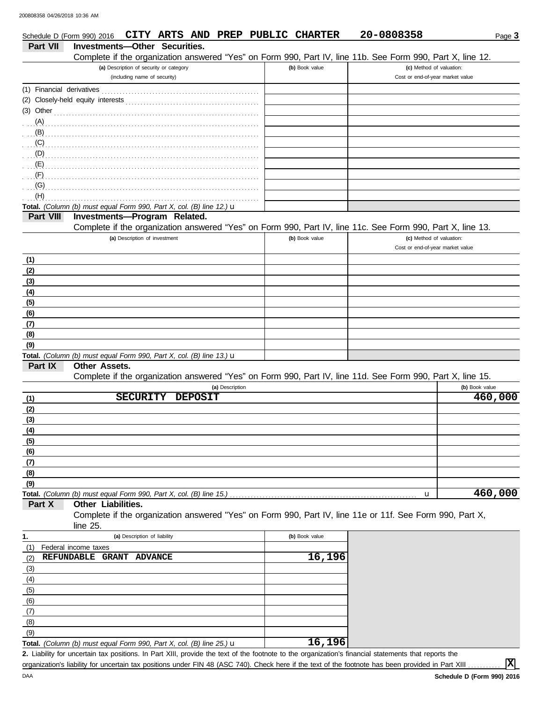|                           | Schedule D (Form 990) 2016 CITY ARTS AND PREP PUBLIC CHARTER                   |                                         |                |                 |                                                                                                            | 20-0808358                       |                | Page 3               |
|---------------------------|--------------------------------------------------------------------------------|-----------------------------------------|----------------|-----------------|------------------------------------------------------------------------------------------------------------|----------------------------------|----------------|----------------------|
| Part VII                  | <b>Investments-Other Securities.</b>                                           |                                         |                |                 |                                                                                                            |                                  |                |                      |
|                           |                                                                                |                                         |                |                 | Complete if the organization answered "Yes" on Form 990, Part IV, line 11b. See Form 990, Part X, line 12. |                                  |                |                      |
|                           |                                                                                | (a) Description of security or category |                |                 | (b) Book value                                                                                             | (c) Method of valuation:         |                |                      |
|                           |                                                                                | (including name of security)            |                |                 |                                                                                                            | Cost or end-of-year market value |                |                      |
| (1) Financial derivatives |                                                                                |                                         |                |                 |                                                                                                            |                                  |                |                      |
|                           |                                                                                |                                         |                |                 |                                                                                                            |                                  |                |                      |
| $(3)$ Other               |                                                                                |                                         |                |                 |                                                                                                            |                                  |                |                      |
| (A)                       |                                                                                |                                         |                |                 |                                                                                                            |                                  |                |                      |
| (B)                       |                                                                                |                                         |                |                 |                                                                                                            |                                  |                |                      |
| (C)                       |                                                                                |                                         |                |                 |                                                                                                            |                                  |                |                      |
| (D)                       |                                                                                |                                         |                |                 |                                                                                                            |                                  |                |                      |
| (E)                       |                                                                                |                                         |                |                 |                                                                                                            |                                  |                |                      |
| (F)                       |                                                                                |                                         |                |                 |                                                                                                            |                                  |                |                      |
| (G)                       |                                                                                |                                         |                |                 |                                                                                                            |                                  |                |                      |
| (H)                       |                                                                                |                                         |                |                 |                                                                                                            |                                  |                |                      |
|                           | Total. (Column (b) must equal Form 990, Part X, col. (B) line 12.) $\mathbf u$ |                                         |                |                 |                                                                                                            |                                  |                |                      |
| Part VIII                 | Investments-Program Related.                                                   |                                         |                |                 |                                                                                                            |                                  |                |                      |
|                           |                                                                                |                                         |                |                 | Complete if the organization answered "Yes" on Form 990, Part IV, line 11c. See Form 990, Part X, line 13. |                                  |                |                      |
|                           |                                                                                | (a) Description of investment           |                |                 | (b) Book value                                                                                             | (c) Method of valuation:         |                |                      |
|                           |                                                                                |                                         |                |                 |                                                                                                            | Cost or end-of-year market value |                |                      |
| (1)                       |                                                                                |                                         |                |                 |                                                                                                            |                                  |                |                      |
| (2)                       |                                                                                |                                         |                |                 |                                                                                                            |                                  |                |                      |
| (3)                       |                                                                                |                                         |                |                 |                                                                                                            |                                  |                |                      |
| (4)                       |                                                                                |                                         |                |                 |                                                                                                            |                                  |                |                      |
| (5)                       |                                                                                |                                         |                |                 |                                                                                                            |                                  |                |                      |
| (6)                       |                                                                                |                                         |                |                 |                                                                                                            |                                  |                |                      |
| (7)                       |                                                                                |                                         |                |                 |                                                                                                            |                                  |                |                      |
| (8)                       |                                                                                |                                         |                |                 |                                                                                                            |                                  |                |                      |
| (9)                       |                                                                                |                                         |                |                 |                                                                                                            |                                  |                |                      |
|                           | Total. (Column (b) must equal Form 990, Part X, col. (B) line 13.) $\mathbf u$ |                                         |                |                 |                                                                                                            |                                  |                |                      |
| Part IX                   | Other Assets.                                                                  |                                         |                |                 |                                                                                                            |                                  |                |                      |
|                           |                                                                                |                                         |                |                 | Complete if the organization answered "Yes" on Form 990, Part IV, line 11d. See Form 990, Part X, line 15. |                                  |                |                      |
|                           |                                                                                |                                         |                | (a) Description |                                                                                                            |                                  | (b) Book value |                      |
| (1)                       |                                                                                | <b>SECURITY</b>                         | <b>DEPOSIT</b> |                 |                                                                                                            |                                  |                | $\overline{460,000}$ |
| (2)                       |                                                                                |                                         |                |                 |                                                                                                            |                                  |                |                      |
| (3)                       |                                                                                |                                         |                |                 |                                                                                                            |                                  |                |                      |
| (4)                       |                                                                                |                                         |                |                 |                                                                                                            |                                  |                |                      |
| (5)                       |                                                                                |                                         |                |                 |                                                                                                            |                                  |                |                      |
| (6)                       |                                                                                |                                         |                |                 |                                                                                                            |                                  |                |                      |
| (7)                       |                                                                                |                                         |                |                 |                                                                                                            |                                  |                |                      |
| (8)                       |                                                                                |                                         |                |                 |                                                                                                            |                                  |                |                      |
| (9)                       |                                                                                |                                         |                |                 |                                                                                                            |                                  |                |                      |
|                           | Total. (Column (b) must equal Form 990, Part X, col. (B) line 15.)             |                                         |                |                 |                                                                                                            | u                                |                | 460,000              |
| Part X                    | Other Liabilities.                                                             |                                         |                |                 |                                                                                                            |                                  |                |                      |
|                           |                                                                                |                                         |                |                 | Complete if the organization answered "Yes" on Form 990, Part IV, line 11e or 11f. See Form 990, Part X,   |                                  |                |                      |
|                           | line 25.                                                                       |                                         |                |                 |                                                                                                            |                                  |                |                      |
| 1.                        |                                                                                | (a) Description of liability            |                |                 | (b) Book value                                                                                             |                                  |                |                      |
| (1)                       | Federal income taxes                                                           |                                         |                |                 |                                                                                                            |                                  |                |                      |
| (2)                       | REFUNDABLE GRANT ADVANCE                                                       |                                         |                |                 | 16,196                                                                                                     |                                  |                |                      |
| (3)                       |                                                                                |                                         |                |                 |                                                                                                            |                                  |                |                      |
| (4)                       |                                                                                |                                         |                |                 |                                                                                                            |                                  |                |                      |
| (5)                       |                                                                                |                                         |                |                 |                                                                                                            |                                  |                |                      |
| (6)                       |                                                                                |                                         |                |                 |                                                                                                            |                                  |                |                      |
| (7)                       |                                                                                |                                         |                |                 |                                                                                                            |                                  |                |                      |
| (8)                       |                                                                                |                                         |                |                 |                                                                                                            |                                  |                |                      |
| (9)                       |                                                                                |                                         |                |                 |                                                                                                            |                                  |                |                      |
|                           |                                                                                |                                         |                |                 |                                                                                                            |                                  |                |                      |

| <b>Total.</b> (Column (b) must equal Form 990, Part X, col. (B) line 25.) $\mathbf{u}$ |  |
|----------------------------------------------------------------------------------------|--|
|                                                                                        |  |

Liability for uncertain tax positions. In Part XIII, provide the text of the footnote to the organization's financial statements that reports the **2.** organization's liability for uncertain tax positions under FIN 48 (ASC 740). Check here if the text of the footnote has been provided in Part XIII

**X**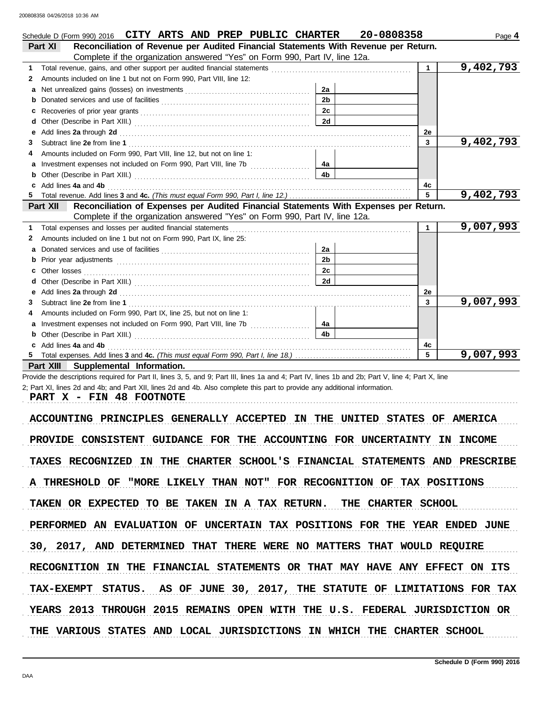|          | Schedule D (Form 990) 2016 CITY ARTS AND PREP PUBLIC CHARTER                                                                                                                                                                     |                | 20-0808358 |              | Page 4    |
|----------|----------------------------------------------------------------------------------------------------------------------------------------------------------------------------------------------------------------------------------|----------------|------------|--------------|-----------|
| Part XI  | Reconciliation of Revenue per Audited Financial Statements With Revenue per Return.                                                                                                                                              |                |            |              |           |
|          | Complete if the organization answered "Yes" on Form 990, Part IV, line 12a.                                                                                                                                                      |                |            |              |           |
| 1        | Total revenue, gains, and other support per audited financial statements<br>[[CODDITER STIPHTS STIPHTS STIPHTS STIPHTS STIPHTS STIPHTS STIPHTS STIPHTS STIPHTS STIPHTS STIPHTS STIPHTS STIPHTS STIPHTS STIPHTS STIPHTS STIPHTS S |                |            | $\mathbf{1}$ | 9,402,793 |
| 2        | Amounts included on line 1 but not on Form 990, Part VIII, line 12:                                                                                                                                                              |                |            |              |           |
| a        |                                                                                                                                                                                                                                  | 2a             |            |              |           |
|          |                                                                                                                                                                                                                                  | 2 <sub>b</sub> |            |              |           |
| c        |                                                                                                                                                                                                                                  | 2c             |            |              |           |
| d        |                                                                                                                                                                                                                                  | 2d             |            |              |           |
|          | Add lines 2a through 2d [11] Add [12] Add [12] Add lines 2a through 2d [12] Add lines 2a through 2d [12] Add [12] Add [12] Add [12] Add [12] Add [12] Add [12] Add [12] Add [12] Add [12] Add [12] Add [12] Add [12] Add [12]    |                |            | 2e           |           |
| 3        |                                                                                                                                                                                                                                  |                |            | 3            | 9,402,793 |
|          | Amounts included on Form 990, Part VIII, line 12, but not on line 1:                                                                                                                                                             |                |            |              |           |
|          |                                                                                                                                                                                                                                  | 4a             |            |              |           |
|          |                                                                                                                                                                                                                                  | 4 <sub>b</sub> |            |              |           |
| c        | Add lines 4a and 4b                                                                                                                                                                                                              |                |            | 4c           |           |
|          |                                                                                                                                                                                                                                  |                |            | 5            | 9,402,793 |
| Part XII | Reconciliation of Expenses per Audited Financial Statements With Expenses per Return.                                                                                                                                            |                |            |              |           |
|          | Complete if the organization answered "Yes" on Form 990, Part IV, line 12a.                                                                                                                                                      |                |            |              |           |
| 1        |                                                                                                                                                                                                                                  |                |            | 1            | 9,007,993 |
| 2        | Amounts included on line 1 but not on Form 990, Part IX, line 25:                                                                                                                                                                |                |            |              |           |
| a        |                                                                                                                                                                                                                                  | 2a             |            |              |           |
|          |                                                                                                                                                                                                                                  | 2 <sub>b</sub> |            |              |           |
|          |                                                                                                                                                                                                                                  | 2c             |            |              |           |
|          |                                                                                                                                                                                                                                  | 2d             |            |              |           |
| е        | Add lines 2a through 2d [11] Additional Property and Property and Property and Property and Property and Property and Property and Property and Property and Property and Property and Property and Property and Property and    |                |            | 2e           |           |
| 3        |                                                                                                                                                                                                                                  |                |            | $\mathbf{3}$ | 9,007,993 |
|          | Amounts included on Form 990, Part IX, line 25, but not on line 1:                                                                                                                                                               |                |            |              |           |
| a        | Investment expenses not included on Form 990, Part VIII, line 7b [                                                                                                                                                               | 4a             |            |              |           |
|          |                                                                                                                                                                                                                                  | 4 <sub>b</sub> |            |              |           |
|          | Add lines 4a and 4b                                                                                                                                                                                                              |                |            | 4c           |           |
|          |                                                                                                                                                                                                                                  |                |            |              | 9,007,993 |
|          | Part XIII Supplemental Information.                                                                                                                                                                                              |                |            |              |           |

Provide the descriptions required for Part II, lines 3, 5, and 9; Part III, lines 1a and 4; Part IV, lines 1b and 2b; Part V, line 4; Part X, line 2; Part XI, lines 2d and 4b; and Part XII, lines 2d and 4b. Also complete this part to provide any additional information.

PART X - FIN 48 FOOTNOTE

ACCOUNTING PRINCIPLES GENERALLY ACCEPTED IN THE UNITED STATES OF AMERICA PROVIDE CONSISTENT GUIDANCE FOR THE ACCOUNTING FOR UNCERTAINTY IN INCOME TAXES RECOGNIZED IN THE CHARTER SCHOOL'S FINANCIAL STATEMENTS AND PRESCRIBE A THRESHOLD OF "MORE LIKELY THAN NOT" FOR RECOGNITION OF TAX POSITIONS TAKEN OR EXPECTED TO BE TAKEN IN A TAX RETURN. THE CHARTER SCHOOL PERFORMED AN EVALUATION OF UNCERTAIN TAX POSITIONS FOR THE YEAR ENDED JUNE TAX-EXEMPT STATUS. AS OF JUNE 30, 2017, THE STATUTE OF LIMITATIONS FOR TAX 30, 2017, AND DETERMINED THAT THERE WERE NO MATTERS THAT WOULD REQUIRE RECOGNITION IN THE FINANCIAL STATEMENTS OR THAT MAY HAVE ANY EFFECT ON ITS YEARS 2013 THROUGH 2015 REMAINS OPEN WITH THE U.S. FEDERAL JURISDICTION OR THE VARIOUS STATES AND LOCAL JURISDICTIONS IN WHICH THE CHARTER SCHOOL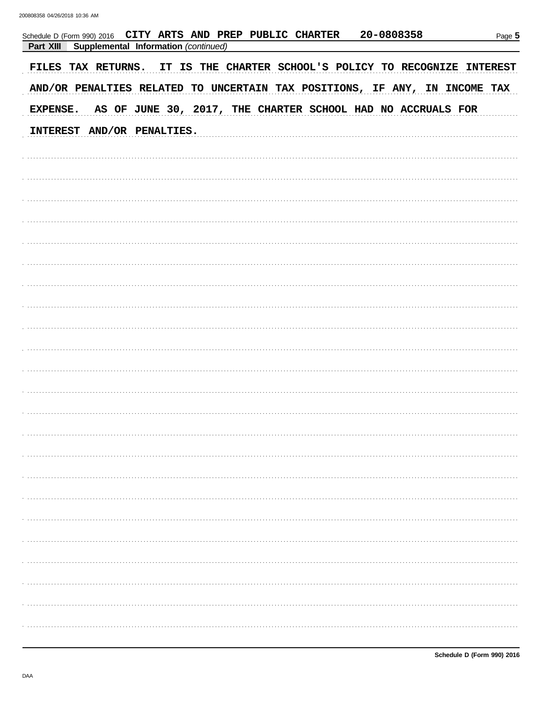| 20-0808358<br>Schedule D (Form 990) 2016 CITY ARTS AND PREP PUBLIC CHARTER<br>Supplemental Information (continued)<br>Part XIII | Page 5 |
|---------------------------------------------------------------------------------------------------------------------------------|--------|
| IT IS THE CHARTER SCHOOL'S POLICY TO RECOGNIZE INTEREST<br>FILES TAX RETURNS.                                                   |        |
| AND/OR PENALTIES RELATED TO UNCERTAIN TAX POSITIONS, IF ANY, IN INCOME TAX                                                      |        |
| AS OF JUNE 30, 2017, THE CHARTER SCHOOL HAD NO ACCRUALS FOR<br><b>EXPENSE.</b>                                                  |        |
| INTEREST AND/OR PENALTIES.                                                                                                      |        |
|                                                                                                                                 |        |
|                                                                                                                                 |        |
|                                                                                                                                 |        |
|                                                                                                                                 |        |
|                                                                                                                                 |        |
|                                                                                                                                 |        |
|                                                                                                                                 |        |
|                                                                                                                                 |        |
|                                                                                                                                 |        |
|                                                                                                                                 |        |
|                                                                                                                                 |        |
|                                                                                                                                 |        |
|                                                                                                                                 |        |
|                                                                                                                                 |        |
|                                                                                                                                 |        |
|                                                                                                                                 |        |
|                                                                                                                                 |        |
|                                                                                                                                 |        |
|                                                                                                                                 |        |
|                                                                                                                                 |        |
|                                                                                                                                 |        |
|                                                                                                                                 |        |
|                                                                                                                                 |        |
|                                                                                                                                 |        |
|                                                                                                                                 |        |
|                                                                                                                                 |        |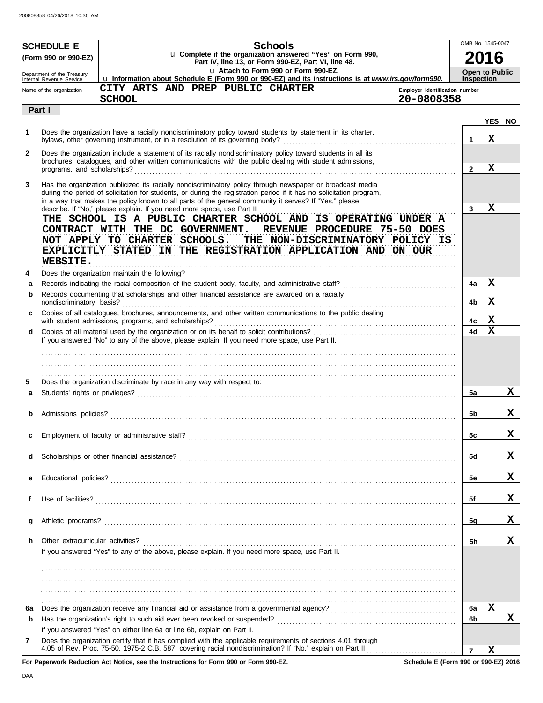| u Complete if the organization answered "Yes" on Form 990,<br>(Form 990 or 990-EZ)<br>Part IV, line 13, or Form 990-EZ, Part VI, line 48.<br>La Attach to Form 990 or Form 990-EZ.<br>Department of the Treasury<br>Lu Information about Schedule E (Form 990 or 990-EZ) and its instructions is at www.irs.gov/form990.<br>Internal Revenue Service<br>CITY ARTS AND PREP PUBLIC CHARTER<br>Name of the organization<br><b>SCHOOL</b><br>Part I<br>Does the organization have a racially nondiscriminatory policy toward students by statement in its charter,<br>1 | <b>Inspection</b><br>Employer identification number<br>20-0808358<br>$\mathbf{1}$<br>$\mathbf{2}$<br>3 | 2016<br><b>Open to Public</b><br><b>YES</b><br>X<br>x | <b>NO</b> |
|----------------------------------------------------------------------------------------------------------------------------------------------------------------------------------------------------------------------------------------------------------------------------------------------------------------------------------------------------------------------------------------------------------------------------------------------------------------------------------------------------------------------------------------------------------------------|--------------------------------------------------------------------------------------------------------|-------------------------------------------------------|-----------|
|                                                                                                                                                                                                                                                                                                                                                                                                                                                                                                                                                                      |                                                                                                        |                                                       |           |
|                                                                                                                                                                                                                                                                                                                                                                                                                                                                                                                                                                      |                                                                                                        |                                                       |           |
|                                                                                                                                                                                                                                                                                                                                                                                                                                                                                                                                                                      |                                                                                                        |                                                       |           |
|                                                                                                                                                                                                                                                                                                                                                                                                                                                                                                                                                                      |                                                                                                        |                                                       |           |
|                                                                                                                                                                                                                                                                                                                                                                                                                                                                                                                                                                      |                                                                                                        |                                                       |           |
|                                                                                                                                                                                                                                                                                                                                                                                                                                                                                                                                                                      |                                                                                                        |                                                       |           |
|                                                                                                                                                                                                                                                                                                                                                                                                                                                                                                                                                                      |                                                                                                        |                                                       |           |
| Does the organization include a statement of its racially nondiscriminatory policy toward students in all its<br>2                                                                                                                                                                                                                                                                                                                                                                                                                                                   |                                                                                                        |                                                       |           |
| brochures, catalogues, and other written communications with the public dealing with student admissions,<br>programs, and scholarships?                                                                                                                                                                                                                                                                                                                                                                                                                              |                                                                                                        |                                                       |           |
| Has the organization publicized its racially nondiscriminatory policy through newspaper or broadcast media                                                                                                                                                                                                                                                                                                                                                                                                                                                           |                                                                                                        |                                                       |           |
| 3<br>during the period of solicitation for students, or during the registration period if it has no solicitation program,                                                                                                                                                                                                                                                                                                                                                                                                                                            |                                                                                                        |                                                       |           |
| in a way that makes the policy known to all parts of the general community it serves? If "Yes," please<br>describe. If "No," please explain. If you need more space, use Part II                                                                                                                                                                                                                                                                                                                                                                                     |                                                                                                        | X                                                     |           |
| THE SCHOOL IS A PUBLIC CHARTER SCHOOL AND IS OPERATING UNDER A                                                                                                                                                                                                                                                                                                                                                                                                                                                                                                       |                                                                                                        |                                                       |           |
| CONTRACT WITH THE DC GOVERNMENT.<br>REVENUE PROCEDURE 75-50 DOES                                                                                                                                                                                                                                                                                                                                                                                                                                                                                                     |                                                                                                        |                                                       |           |
| NOT APPLY TO CHARTER SCHOOLS. THE NON-DISCRIMINATORY POLICY IS                                                                                                                                                                                                                                                                                                                                                                                                                                                                                                       |                                                                                                        |                                                       |           |
| EXPLICITLY STATED IN THE REGISTRATION APPLICATION AND ON OUR                                                                                                                                                                                                                                                                                                                                                                                                                                                                                                         |                                                                                                        |                                                       |           |
| <b>WEBSITE.</b><br>4                                                                                                                                                                                                                                                                                                                                                                                                                                                                                                                                                 |                                                                                                        |                                                       |           |
| Does the organization maintain the following?<br>а                                                                                                                                                                                                                                                                                                                                                                                                                                                                                                                   | 4a                                                                                                     | X                                                     |           |
| Records documenting that scholarships and other financial assistance are awarded on a racially<br>b                                                                                                                                                                                                                                                                                                                                                                                                                                                                  |                                                                                                        |                                                       |           |
| nondiscriminatory basis?                                                                                                                                                                                                                                                                                                                                                                                                                                                                                                                                             | 4b                                                                                                     | x                                                     |           |
| Copies of all catalogues, brochures, announcements, and other written communications to the public dealing<br>C.<br>with student admissions, programs, and scholarships?                                                                                                                                                                                                                                                                                                                                                                                             | 4с                                                                                                     | X                                                     |           |
| d                                                                                                                                                                                                                                                                                                                                                                                                                                                                                                                                                                    | 4d                                                                                                     | $\mathbf x$                                           |           |
| If you answered "No" to any of the above, please explain. If you need more space, use Part II.                                                                                                                                                                                                                                                                                                                                                                                                                                                                       |                                                                                                        |                                                       |           |
|                                                                                                                                                                                                                                                                                                                                                                                                                                                                                                                                                                      |                                                                                                        |                                                       |           |
|                                                                                                                                                                                                                                                                                                                                                                                                                                                                                                                                                                      |                                                                                                        |                                                       |           |
| Does the organization discriminate by race in any way with respect to:<br>5                                                                                                                                                                                                                                                                                                                                                                                                                                                                                          |                                                                                                        |                                                       |           |
| a                                                                                                                                                                                                                                                                                                                                                                                                                                                                                                                                                                    | 5a                                                                                                     |                                                       | X         |
|                                                                                                                                                                                                                                                                                                                                                                                                                                                                                                                                                                      |                                                                                                        |                                                       | x         |
| b                                                                                                                                                                                                                                                                                                                                                                                                                                                                                                                                                                    | 5b                                                                                                     |                                                       |           |
| Employment of faculty or administrative staff?                                                                                                                                                                                                                                                                                                                                                                                                                                                                                                                       | 5 <sub>c</sub>                                                                                         |                                                       | X         |
|                                                                                                                                                                                                                                                                                                                                                                                                                                                                                                                                                                      |                                                                                                        |                                                       |           |
| d                                                                                                                                                                                                                                                                                                                                                                                                                                                                                                                                                                    | 5d                                                                                                     |                                                       | X.        |
|                                                                                                                                                                                                                                                                                                                                                                                                                                                                                                                                                                      |                                                                                                        |                                                       | X.        |
| е                                                                                                                                                                                                                                                                                                                                                                                                                                                                                                                                                                    | 5e                                                                                                     |                                                       |           |
| f                                                                                                                                                                                                                                                                                                                                                                                                                                                                                                                                                                    | 5f                                                                                                     |                                                       | X.        |
|                                                                                                                                                                                                                                                                                                                                                                                                                                                                                                                                                                      |                                                                                                        |                                                       |           |
| g                                                                                                                                                                                                                                                                                                                                                                                                                                                                                                                                                                    | <u>5g</u>                                                                                              |                                                       | X.        |
| Other extracurricular activities?<br>h.                                                                                                                                                                                                                                                                                                                                                                                                                                                                                                                              | 5h                                                                                                     |                                                       | x         |
| If you answered "Yes" to any of the above, please explain. If you need more space, use Part II.                                                                                                                                                                                                                                                                                                                                                                                                                                                                      |                                                                                                        |                                                       |           |
|                                                                                                                                                                                                                                                                                                                                                                                                                                                                                                                                                                      |                                                                                                        |                                                       |           |
|                                                                                                                                                                                                                                                                                                                                                                                                                                                                                                                                                                      |                                                                                                        |                                                       |           |
|                                                                                                                                                                                                                                                                                                                                                                                                                                                                                                                                                                      |                                                                                                        |                                                       |           |
|                                                                                                                                                                                                                                                                                                                                                                                                                                                                                                                                                                      |                                                                                                        |                                                       |           |
| 6a                                                                                                                                                                                                                                                                                                                                                                                                                                                                                                                                                                   | 6a                                                                                                     | X                                                     |           |
| b<br>If you answered "Yes" on either line 6a or line 6b, explain on Part II.                                                                                                                                                                                                                                                                                                                                                                                                                                                                                         | 6b                                                                                                     |                                                       | X         |
| Does the organization certify that it has complied with the applicable requirements of sections 4.01 through<br>7                                                                                                                                                                                                                                                                                                                                                                                                                                                    |                                                                                                        |                                                       |           |
| 4.05 of Rev. Proc. 75-50, 1975-2 C.B. 587, covering racial nondiscrimination? If "No," explain on Part II                                                                                                                                                                                                                                                                                                                                                                                                                                                            | $\overline{7}$                                                                                         | X                                                     |           |

**For Paperwork Reduction Act Notice, see the Instructions for Form 990 or Form 990-EZ.**

**Schedule E (Form 990 or 990-EZ) 2016**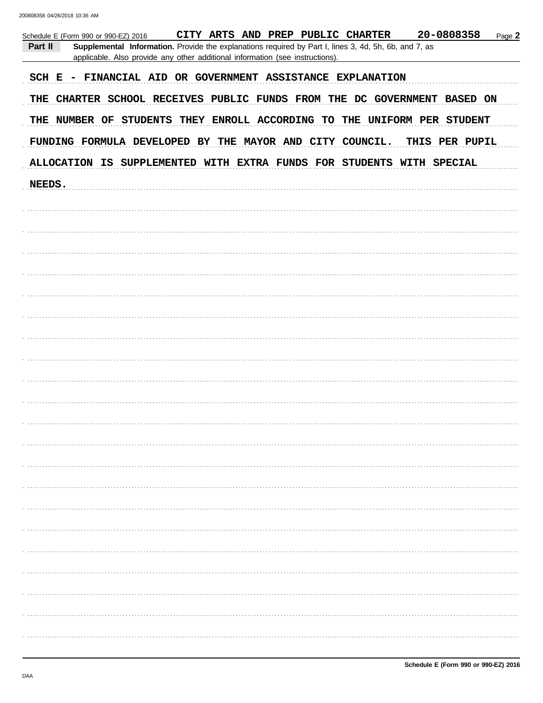| 20-0808358<br>CITY ARTS AND PREP PUBLIC CHARTER<br>Page 2<br>Schedule E (Form 990 or 990-EZ) 2016                |
|------------------------------------------------------------------------------------------------------------------|
| Part II<br>Supplemental Information. Provide the explanations required by Part I, lines 3, 4d, 5h, 6b, and 7, as |
| applicable. Also provide any other additional information (see instructions).                                    |
|                                                                                                                  |
| SCH E - FINANCIAL AID OR GOVERNMENT ASSISTANCE EXPLANATION                                                       |
|                                                                                                                  |
| THE CHARTER SCHOOL RECEIVES PUBLIC FUNDS FROM THE DC GOVERNMENT BASED ON                                         |
| THE NUMBER OF STUDENTS THEY ENROLL ACCORDING TO THE UNIFORM PER STUDENT                                          |
|                                                                                                                  |
| FUNDING FORMULA DEVELOPED BY THE MAYOR AND CITY COUNCIL.<br>THIS PER PUPIL                                       |
|                                                                                                                  |
| ALLOCATION IS SUPPLEMENTED WITH EXTRA FUNDS FOR STUDENTS WITH SPECIAL                                            |
| NEEDS.                                                                                                           |
|                                                                                                                  |
|                                                                                                                  |
|                                                                                                                  |
|                                                                                                                  |
|                                                                                                                  |
|                                                                                                                  |
|                                                                                                                  |
|                                                                                                                  |
|                                                                                                                  |
|                                                                                                                  |
|                                                                                                                  |
|                                                                                                                  |
|                                                                                                                  |
|                                                                                                                  |
|                                                                                                                  |
|                                                                                                                  |
|                                                                                                                  |
|                                                                                                                  |
|                                                                                                                  |
|                                                                                                                  |
|                                                                                                                  |
|                                                                                                                  |
|                                                                                                                  |
|                                                                                                                  |
|                                                                                                                  |
|                                                                                                                  |
|                                                                                                                  |
|                                                                                                                  |
|                                                                                                                  |
|                                                                                                                  |
|                                                                                                                  |
|                                                                                                                  |
|                                                                                                                  |
|                                                                                                                  |
|                                                                                                                  |
|                                                                                                                  |
|                                                                                                                  |
|                                                                                                                  |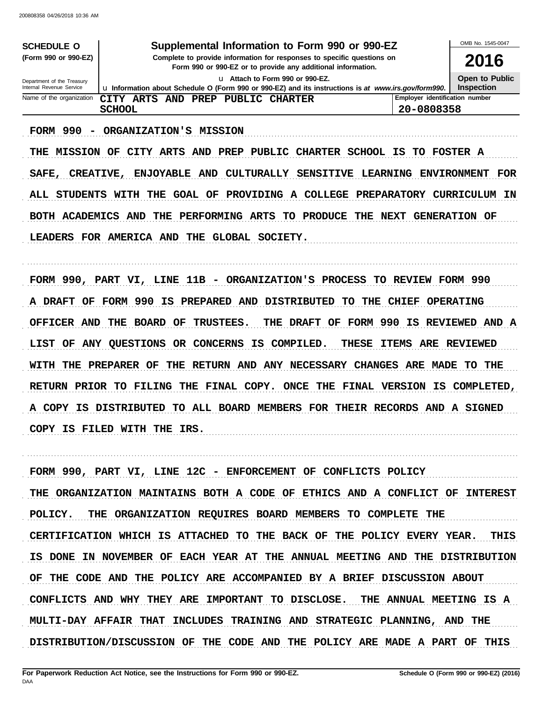| SCHEDULE O                                                                                     | Supplemental Information to Form 990 or 990-EZ                                                                                                                                                           |                                | OMB No. 1545-0047                   |  |
|------------------------------------------------------------------------------------------------|----------------------------------------------------------------------------------------------------------------------------------------------------------------------------------------------------------|--------------------------------|-------------------------------------|--|
| (Form 990 or 990-EZ)<br>Complete to provide information for responses to specific questions on |                                                                                                                                                                                                          |                                | 2016                                |  |
| Department of the Treasury<br>Internal Revenue Service                                         | Form 990 or 990-EZ or to provide any additional information.<br>Lu Attach to Form 990 or 990-EZ.<br>Lu Information about Schedule O (Form 990 or 990-EZ) and its instructions is at www.irs.gov/form990. |                                | Open to Public<br><b>Inspection</b> |  |
| Name of the organization                                                                       | CITY ARTS AND PREP PUBLIC CHARTER                                                                                                                                                                        | Employer identification number |                                     |  |
|                                                                                                | <b>SCHOOL</b>                                                                                                                                                                                            | 20-0808358                     |                                     |  |
| 990<br>FORM<br><b>MISSION</b><br>THE                                                           | <b>ORGANIZATION'S</b><br><b>MISSION</b><br>OF<br><b>CITY</b><br><b>ARTS</b><br>AND<br><b>PREP</b><br>PUBLIC<br><b>CHARTER</b><br><b>SCHOOL</b>                                                           | IS<br>TO                       | <b>FOSTER A</b>                     |  |
|                                                                                                |                                                                                                                                                                                                          |                                |                                     |  |
| SAFE,                                                                                          | <b>ENJOYABLE</b><br><b>SENSITIVE</b><br><b>LEARNING</b><br><b>CREATIVE,</b><br>AND<br><b>CULTURALLY</b>                                                                                                  |                                | <b>ENVIRONMENT</b><br>FOR           |  |
| ALL<br><b>STUDENTS</b>                                                                         | THE<br><b>GOAL OF</b><br><b>PROVIDING</b><br>$\mathbf{A}$<br><b>COLLEGE</b><br><b>PREPARATORY</b><br>WITH                                                                                                |                                | CURRICULUM<br>ΙN                    |  |
| BOTH ACADEMICS                                                                                 | THE<br>PERFORMING<br>ARTS<br><b>PRODUCE</b><br>THE<br><b>NEXT</b><br>AND<br>TO                                                                                                                           |                                | <b>GENERATION OF</b>                |  |
|                                                                                                |                                                                                                                                                                                                          |                                |                                     |  |
| LEADERS                                                                                        | FOR AMERICA AND<br>THE<br>GLOBAL SOCIETY.                                                                                                                                                                |                                |                                     |  |
|                                                                                                |                                                                                                                                                                                                          |                                |                                     |  |
| FORM 990, PART                                                                                 | 11B<br>ORGANIZATION'S<br>PROCESS<br>VI,<br><b>LINE</b><br>TO.<br>$\overline{\phantom{0}}$                                                                                                                | REVIEW FORM 990                |                                     |  |
|                                                                                                |                                                                                                                                                                                                          |                                |                                     |  |
| A DRAFT<br>OF                                                                                  | 990<br>FORM<br>PREPARED AND<br><b>DISTRIBUTED</b><br>TО<br>ΙS<br>THE                                                                                                                                     | <b>CHIEF</b>                   | <b>OPERATING</b>                    |  |
| <b>OFFICER AND</b>                                                                             | FORM 990<br>THE<br><b>BOARD</b><br><b>TRUSTEES.</b><br>OF<br>THE<br><b>DRAFT</b><br>OF                                                                                                                   | ΙS                             | REVIEWED AND A                      |  |
| LIST<br><b>ANY</b><br>OF                                                                       | <b>QUESTIONS</b><br>OR CONCERNS<br>IS<br>COMPILED.<br>THESE<br><b>ITEMS</b>                                                                                                                              | ARE                            | <b>REVIEWED</b>                     |  |
| WITH<br>THE                                                                                    | <b>RETURN AND</b><br>NECESSARY CHANGES<br><b>PREPARER</b><br>OF<br>THE<br>ANY                                                                                                                            | ARE<br><b>MADE</b>             | THE<br>TО                           |  |
|                                                                                                |                                                                                                                                                                                                          |                                |                                     |  |
| <b>RETURN</b><br><b>PRIOR</b>                                                                  | THE<br>FINAL COPY.<br><b>ONCE</b><br><b>FINAL VERSION</b><br>TO<br><b>FILING</b><br>THE                                                                                                                  | IS                             | <b>COMPLETED,</b>                   |  |
| <b>COPY</b><br>ΙS                                                                              | <b>DISTRIBUTED</b><br>TO ALL BOARD MEMBERS<br>FOR THEIR RECORDS AND A SIGNED                                                                                                                             |                                |                                     |  |
|                                                                                                |                                                                                                                                                                                                          |                                |                                     |  |
|                                                                                                | COPY IS FILED WITH THE IRS.                                                                                                                                                                              |                                |                                     |  |
|                                                                                                |                                                                                                                                                                                                          |                                |                                     |  |
|                                                                                                | FORM 990, PART VI, LINE 12C - ENFORCEMENT OF CONFLICTS POLICY                                                                                                                                            |                                |                                     |  |
|                                                                                                |                                                                                                                                                                                                          |                                |                                     |  |
|                                                                                                | THE ORGANIZATION MAINTAINS BOTH A CODE OF ETHICS AND A CONFLICT OF INTEREST                                                                                                                              |                                |                                     |  |
| POLICY.                                                                                        | THE ORGANIZATION REQUIRES BOARD MEMBERS TO COMPLETE THE                                                                                                                                                  |                                |                                     |  |
|                                                                                                |                                                                                                                                                                                                          |                                |                                     |  |
|                                                                                                | CERTIFICATION WHICH IS ATTACHED TO THE BACK OF THE POLICY EVERY YEAR.                                                                                                                                    |                                | THIS                                |  |

IS DONE IN NOVEMBER OF EACH YEAR AT THE ANNUAL MEETING AND THE DISTRIBUTION

OF THE CODE AND THE POLICY ARE ACCOMPANIED BY A BRIEF DISCUSSION ABOUT

CONFLICTS AND WHY THEY ARE IMPORTANT TO DISCLOSE. THE ANNUAL MEETING IS A

MULTI-DAY AFFAIR THAT INCLUDES TRAINING AND STRATEGIC PLANNING, AND THE

DISTRIBUTION/DISCUSSION OF THE CODE AND THE POLICY ARE MADE A PART OF THIS

**For Paperwork Reduction Act Notice, see the Instructions for Form 990 or 990-EZ. Schedule O (Form 990 or 990-EZ) (2016)** DAA